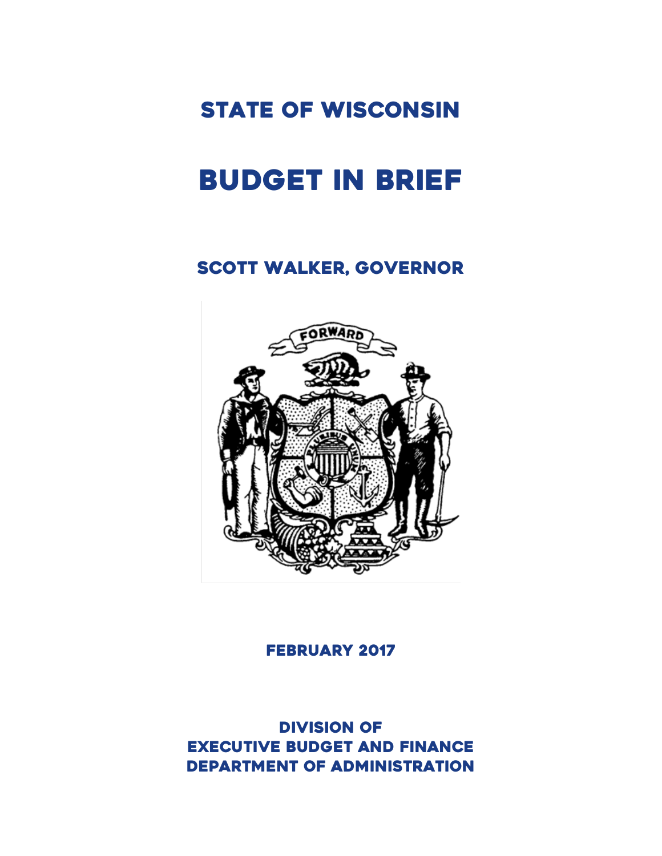# STATE OF WISCONSIN

# BUDGET IN BRIEF

# SCOTT WALKER, GOVERNOR



FEBRUARY 2017

DIVISION OF EXECUTIVE BUDGET AND FINANCE DEPARTMENT OF ADMINISTRATION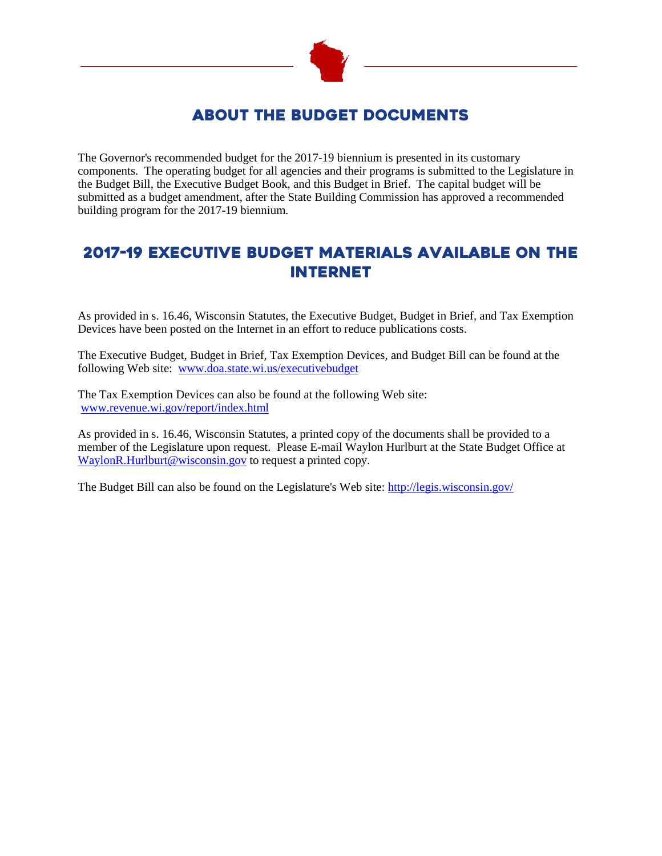

# ABOUT THE BUDGET DOCUMENTS

The Governor's recommended budget for the 2017-19 biennium is presented in its customary components. The operating budget for all agencies and their programs is submitted to the Legislature in the Budget Bill, the Executive Budget Book, and this Budget in Brief. The capital budget will be submitted as a budget amendment, after the State Building Commission has approved a recommended building program for the 2017-19 biennium.

# 2017-19 EXECUTIVE BUDGET MATERIALS AVAILABLE ON THE INTERNET

As provided in s. 16.46, Wisconsin Statutes, the Executive Budget, Budget in Brief, and Tax Exemption Devices have been posted on the Internet in an effort to reduce publications costs.

The Executive Budget, Budget in Brief, Tax Exemption Devices, and Budget Bill can be found at the following Web site: [www.doa.state.wi.us/executivebudget](http://www.doa.state.wi.us/executivebudget)

The Tax Exemption Devices can also be found at the following Web site: [www.revenue.wi.gov/report/index.html](http://www.revenue.wi.gov/report/index.html)

As provided in s. 16.46, Wisconsin Statutes, a printed copy of the documents shall be provided to a member of the Legislature upon request. Please E-mail Waylon Hurlburt at the State Budget Office at [WaylonR.Hurlburt@wisconsin.gov](mailto:WaylonR.Hurlburt@wisconsin.gov) to request a printed copy.

The Budget Bill can also be found on the Legislature's Web site[: http://legis.wisconsin.gov/](http://legis.wisconsin.gov/)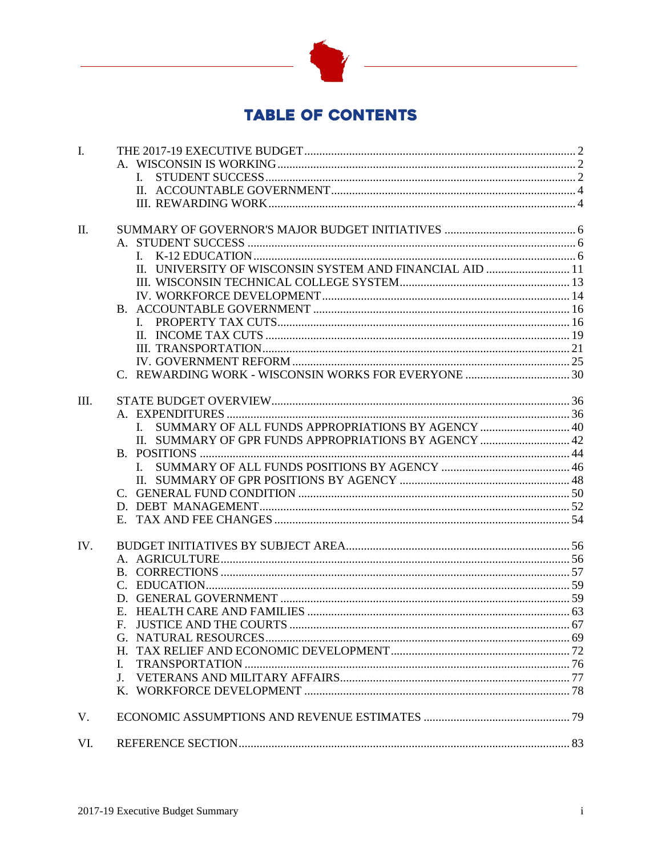

<u> 1970 - Jan Barat III, prima po</u>

# **TABLE OF CONTENTS**

| I.  |                                                          |  |
|-----|----------------------------------------------------------|--|
|     |                                                          |  |
|     | L                                                        |  |
|     |                                                          |  |
|     |                                                          |  |
| Π.  |                                                          |  |
|     |                                                          |  |
|     |                                                          |  |
|     | II. UNIVERSITY OF WISCONSIN SYSTEM AND FINANCIAL AID  11 |  |
|     |                                                          |  |
|     |                                                          |  |
|     |                                                          |  |
|     |                                                          |  |
|     |                                                          |  |
|     |                                                          |  |
|     |                                                          |  |
|     |                                                          |  |
| Ш.  |                                                          |  |
|     |                                                          |  |
|     | SUMMARY OF ALL FUNDS APPROPRIATIONS BY AGENCY  40<br>L   |  |
|     | II. SUMMARY OF GPR FUNDS APPROPRIATIONS BY AGENCY  42    |  |
|     |                                                          |  |
|     | $\mathbf{L}$                                             |  |
|     |                                                          |  |
|     |                                                          |  |
|     |                                                          |  |
|     |                                                          |  |
|     |                                                          |  |
| IV. |                                                          |  |
|     |                                                          |  |
|     |                                                          |  |
|     |                                                          |  |
|     |                                                          |  |
|     | Е.                                                       |  |
|     | F.                                                       |  |
|     |                                                          |  |
|     |                                                          |  |
|     | L.                                                       |  |
|     | J.                                                       |  |
|     |                                                          |  |
| V.  |                                                          |  |
| VI. |                                                          |  |
|     |                                                          |  |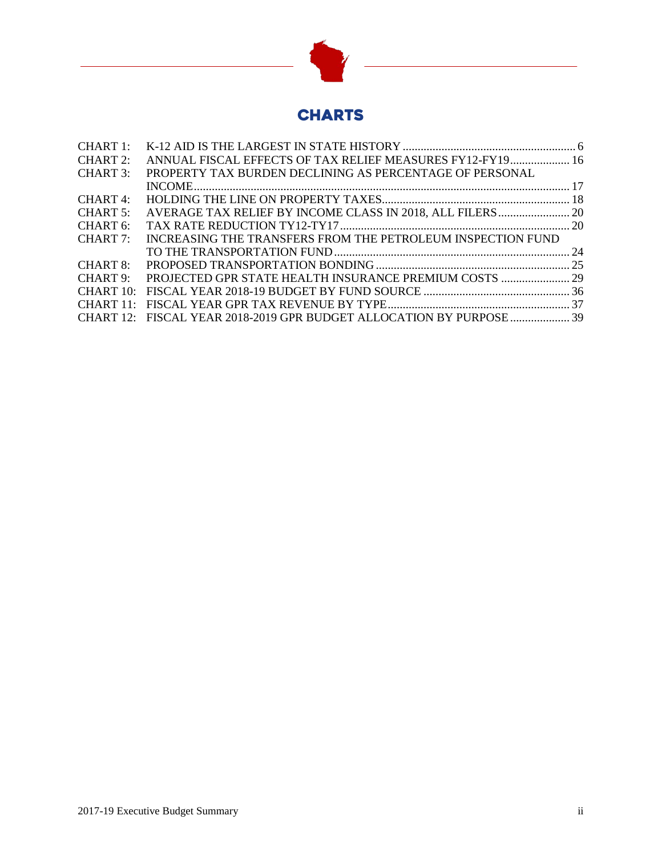

# **CHARTS**

| CHART 1:         |                                                                      |  |
|------------------|----------------------------------------------------------------------|--|
| CHART 2:         | ANNUAL FISCAL EFFECTS OF TAX RELIEF MEASURES FY12-FY19 16            |  |
| CHART 3:         | PROPERTY TAX BURDEN DECLINING AS PERCENTAGE OF PERSONAL              |  |
|                  |                                                                      |  |
| CHART 4:         |                                                                      |  |
| CHART $5$ :      | AVERAGE TAX RELIEF BY INCOME CLASS IN 2018, ALL FILERS 20            |  |
| CHART 6:         |                                                                      |  |
| CHART 7:         | INCREASING THE TRANSFERS FROM THE PETROLEUM INSPECTION FUND          |  |
|                  |                                                                      |  |
| CHART 8:         |                                                                      |  |
| CHART 9:         | PROJECTED GPR STATE HEALTH INSURANCE PREMIUM COSTS  29               |  |
| CHART $10:$      |                                                                      |  |
| CHART $11 \cdot$ |                                                                      |  |
|                  | CHART 12: FISCAL YEAR 2018-2019 GPR BUDGET ALLOCATION BY PURPOSE  39 |  |
|                  |                                                                      |  |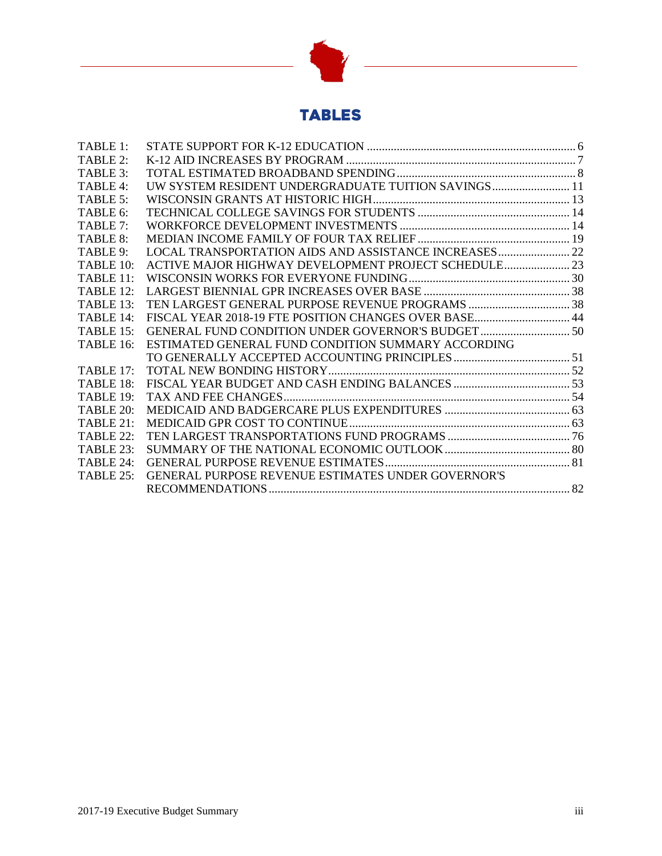

## TABLES

| TABLE 1:         |                                                           |  |
|------------------|-----------------------------------------------------------|--|
| TABLE 2:         |                                                           |  |
| TABLE 3:         |                                                           |  |
| TABLE 4:         | UW SYSTEM RESIDENT UNDERGRADUATE TUITION SAVINGS 11       |  |
| TABLE 5:         |                                                           |  |
| TABLE 6:         |                                                           |  |
| TABLE 7:         |                                                           |  |
| TABLE 8:         |                                                           |  |
| TABLE 9:         |                                                           |  |
| TARI E 10        | ACTIVE MAJOR HIGHWAY DEVELOPMENT PROJECT SCHEDULE 23      |  |
| TABLE 11:        |                                                           |  |
| TABLE 12:        |                                                           |  |
| TABLE 13:        |                                                           |  |
| TABLE 14:        |                                                           |  |
| TABLE 15:        |                                                           |  |
| TABLE 16:        | ESTIMATED GENERAL FUND CONDITION SUMMARY ACCORDING        |  |
|                  |                                                           |  |
| <b>TABLE 17:</b> |                                                           |  |
| TABLE 18:        |                                                           |  |
| TABLE 19:        |                                                           |  |
| TABLE 20:        |                                                           |  |
| TABLE 21:        |                                                           |  |
| TABLE 22:        |                                                           |  |
| TABLE 23:        |                                                           |  |
| TABLE 24:        |                                                           |  |
| TABLE 25:        | <b>GENERAL PURPOSE REVENUE ESTIMATES UNDER GOVERNOR'S</b> |  |
|                  |                                                           |  |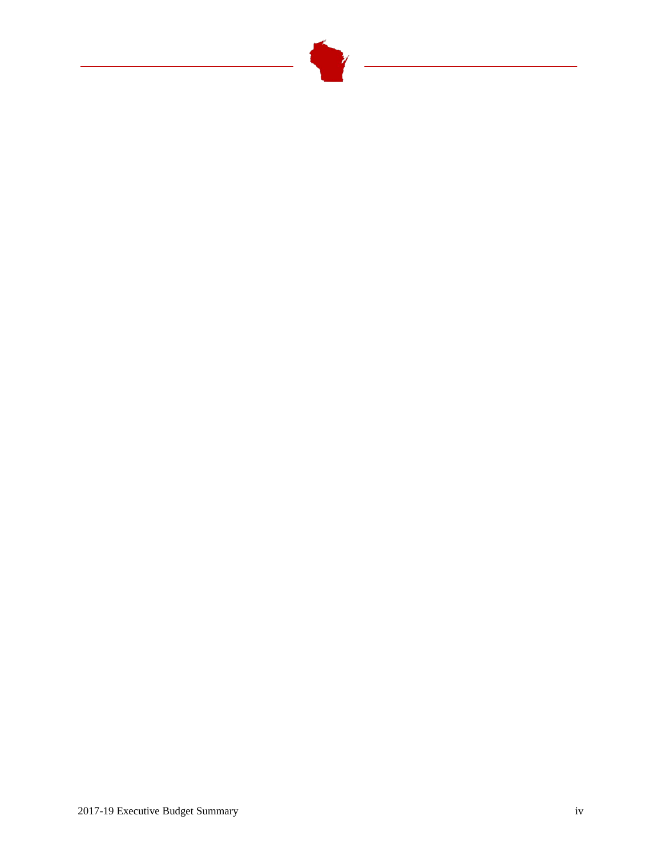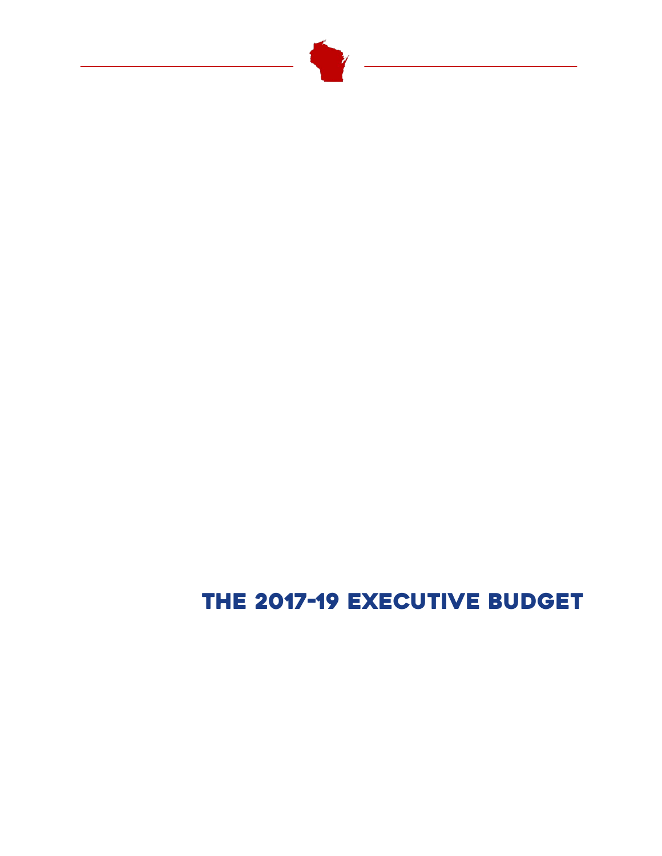

# THE 2017-19 EXECUTIVE BUDGET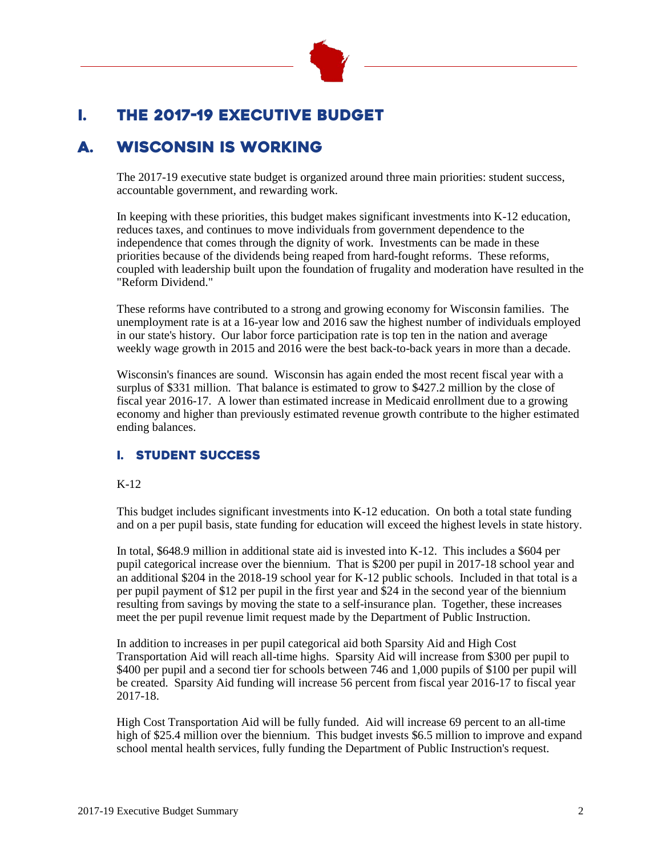

# I. THE 2017-19 EXECUTIVE BUDGET

# a. WISCONSIN IS WORKING

The 2017-19 executive state budget is organized around three main priorities: student success, accountable government, and rewarding work.

In keeping with these priorities, this budget makes significant investments into K-12 education, reduces taxes, and continues to move individuals from government dependence to the independence that comes through the dignity of work. Investments can be made in these priorities because of the dividends being reaped from hard-fought reforms. These reforms, coupled with leadership built upon the foundation of frugality and moderation have resulted in the "Reform Dividend."

These reforms have contributed to a strong and growing economy for Wisconsin families. The unemployment rate is at a 16-year low and 2016 saw the highest number of individuals employed in our state's history. Our labor force participation rate is top ten in the nation and average weekly wage growth in 2015 and 2016 were the best back-to-back years in more than a decade.

Wisconsin's finances are sound. Wisconsin has again ended the most recent fiscal year with a surplus of \$331 million. That balance is estimated to grow to \$427.2 million by the close of fiscal year 2016-17. A lower than estimated increase in Medicaid enrollment due to a growing economy and higher than previously estimated revenue growth contribute to the higher estimated ending balances.

### i. Student Success

#### K-12

This budget includes significant investments into K-12 education. On both a total state funding and on a per pupil basis, state funding for education will exceed the highest levels in state history.

In total, \$648.9 million in additional state aid is invested into K-12. This includes a \$604 per pupil categorical increase over the biennium. That is \$200 per pupil in 2017-18 school year and an additional \$204 in the 2018-19 school year for K-12 public schools. Included in that total is a per pupil payment of \$12 per pupil in the first year and \$24 in the second year of the biennium resulting from savings by moving the state to a self-insurance plan. Together, these increases meet the per pupil revenue limit request made by the Department of Public Instruction.

In addition to increases in per pupil categorical aid both Sparsity Aid and High Cost Transportation Aid will reach all-time highs. Sparsity Aid will increase from \$300 per pupil to \$400 per pupil and a second tier for schools between 746 and 1,000 pupils of \$100 per pupil will be created. Sparsity Aid funding will increase 56 percent from fiscal year 2016-17 to fiscal year 2017-18.

High Cost Transportation Aid will be fully funded. Aid will increase 69 percent to an all-time high of \$25.4 million over the biennium. This budget invests \$6.5 million to improve and expand school mental health services, fully funding the Department of Public Instruction's request.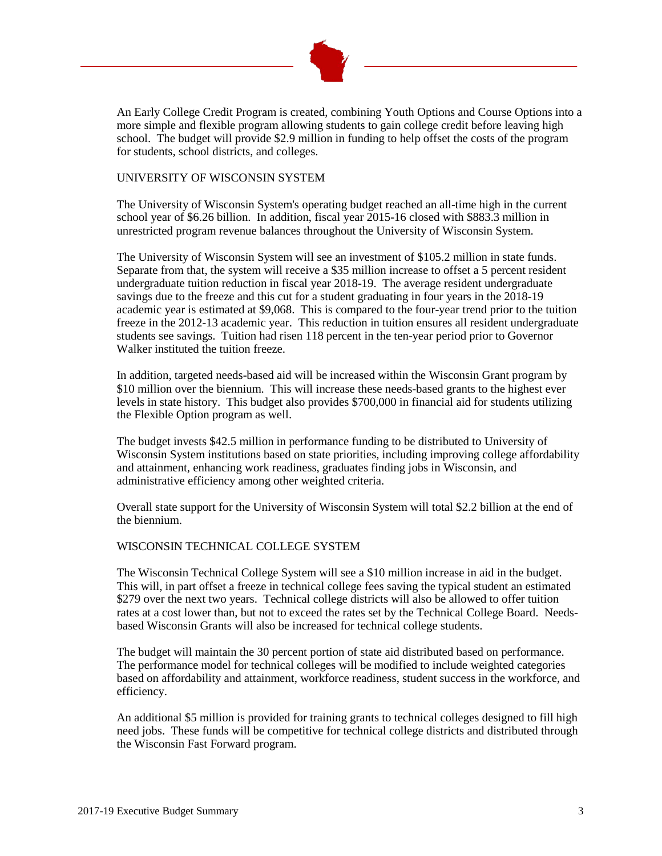

An Early College Credit Program is created, combining Youth Options and Course Options into a more simple and flexible program allowing students to gain college credit before leaving high school. The budget will provide \$2.9 million in funding to help offset the costs of the program for students, school districts, and colleges.

#### UNIVERSITY OF WISCONSIN SYSTEM

The University of Wisconsin System's operating budget reached an all-time high in the current school year of \$6.26 billion. In addition, fiscal year 2015-16 closed with \$883.3 million in unrestricted program revenue balances throughout the University of Wisconsin System.

The University of Wisconsin System will see an investment of \$105.2 million in state funds. Separate from that, the system will receive a \$35 million increase to offset a 5 percent resident undergraduate tuition reduction in fiscal year 2018-19. The average resident undergraduate savings due to the freeze and this cut for a student graduating in four years in the 2018-19 academic year is estimated at \$9,068. This is compared to the four-year trend prior to the tuition freeze in the 2012-13 academic year. This reduction in tuition ensures all resident undergraduate students see savings. Tuition had risen 118 percent in the ten-year period prior to Governor Walker instituted the tuition freeze.

In addition, targeted needs-based aid will be increased within the Wisconsin Grant program by \$10 million over the biennium. This will increase these needs-based grants to the highest ever levels in state history. This budget also provides \$700,000 in financial aid for students utilizing the Flexible Option program as well.

The budget invests \$42.5 million in performance funding to be distributed to University of Wisconsin System institutions based on state priorities, including improving college affordability and attainment, enhancing work readiness, graduates finding jobs in Wisconsin, and administrative efficiency among other weighted criteria.

Overall state support for the University of Wisconsin System will total \$2.2 billion at the end of the biennium.

#### WISCONSIN TECHNICAL COLLEGE SYSTEM

The Wisconsin Technical College System will see a \$10 million increase in aid in the budget. This will, in part offset a freeze in technical college fees saving the typical student an estimated \$279 over the next two years. Technical college districts will also be allowed to offer tuition rates at a cost lower than, but not to exceed the rates set by the Technical College Board. Needsbased Wisconsin Grants will also be increased for technical college students.

The budget will maintain the 30 percent portion of state aid distributed based on performance. The performance model for technical colleges will be modified to include weighted categories based on affordability and attainment, workforce readiness, student success in the workforce, and efficiency.

An additional \$5 million is provided for training grants to technical colleges designed to fill high need jobs. These funds will be competitive for technical college districts and distributed through the Wisconsin Fast Forward program.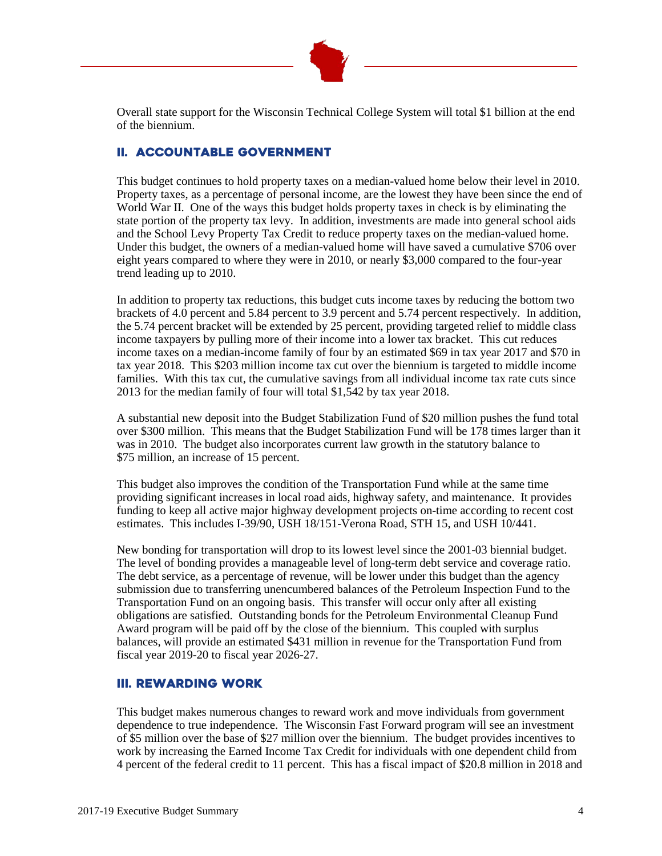

Overall state support for the Wisconsin Technical College System will total \$1 billion at the end of the biennium.

### ii. Accountable Government

This budget continues to hold property taxes on a median-valued home below their level in 2010. Property taxes, as a percentage of personal income, are the lowest they have been since the end of World War II. One of the ways this budget holds property taxes in check is by eliminating the state portion of the property tax levy. In addition, investments are made into general school aids and the School Levy Property Tax Credit to reduce property taxes on the median-valued home. Under this budget, the owners of a median-valued home will have saved a cumulative \$706 over eight years compared to where they were in 2010, or nearly \$3,000 compared to the four-year trend leading up to 2010.

In addition to property tax reductions, this budget cuts income taxes by reducing the bottom two brackets of 4.0 percent and 5.84 percent to 3.9 percent and 5.74 percent respectively. In addition, the 5.74 percent bracket will be extended by 25 percent, providing targeted relief to middle class income taxpayers by pulling more of their income into a lower tax bracket. This cut reduces income taxes on a median-income family of four by an estimated \$69 in tax year 2017 and \$70 in tax year 2018. This \$203 million income tax cut over the biennium is targeted to middle income families. With this tax cut, the cumulative savings from all individual income tax rate cuts since 2013 for the median family of four will total \$1,542 by tax year 2018.

A substantial new deposit into the Budget Stabilization Fund of \$20 million pushes the fund total over \$300 million. This means that the Budget Stabilization Fund will be 178 times larger than it was in 2010. The budget also incorporates current law growth in the statutory balance to \$75 million, an increase of 15 percent.

This budget also improves the condition of the Transportation Fund while at the same time providing significant increases in local road aids, highway safety, and maintenance. It provides funding to keep all active major highway development projects on-time according to recent cost estimates. This includes I-39/90, USH 18/151-Verona Road, STH 15, and USH 10/441.

New bonding for transportation will drop to its lowest level since the 2001-03 biennial budget. The level of bonding provides a manageable level of long-term debt service and coverage ratio. The debt service, as a percentage of revenue, will be lower under this budget than the agency submission due to transferring unencumbered balances of the Petroleum Inspection Fund to the Transportation Fund on an ongoing basis. This transfer will occur only after all existing obligations are satisfied. Outstanding bonds for the Petroleum Environmental Cleanup Fund Award program will be paid off by the close of the biennium. This coupled with surplus balances, will provide an estimated \$431 million in revenue for the Transportation Fund from fiscal year 2019-20 to fiscal year 2026-27.

### iii. Rewarding Work

This budget makes numerous changes to reward work and move individuals from government dependence to true independence. The Wisconsin Fast Forward program will see an investment of \$5 million over the base of \$27 million over the biennium. The budget provides incentives to work by increasing the Earned Income Tax Credit for individuals with one dependent child from 4 percent of the federal credit to 11 percent. This has a fiscal impact of \$20.8 million in 2018 and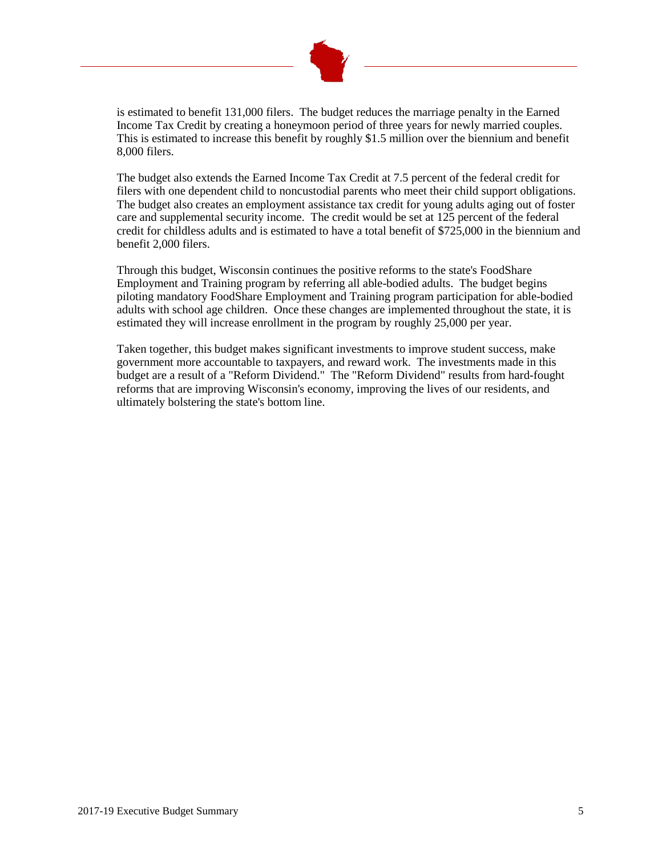

is estimated to benefit 131,000 filers. The budget reduces the marriage penalty in the Earned Income Tax Credit by creating a honeymoon period of three years for newly married couples. This is estimated to increase this benefit by roughly \$1.5 million over the biennium and benefit 8,000 filers.

The budget also extends the Earned Income Tax Credit at 7.5 percent of the federal credit for filers with one dependent child to noncustodial parents who meet their child support obligations. The budget also creates an employment assistance tax credit for young adults aging out of foster care and supplemental security income. The credit would be set at 125 percent of the federal credit for childless adults and is estimated to have a total benefit of \$725,000 in the biennium and benefit 2,000 filers.

Through this budget, Wisconsin continues the positive reforms to the state's FoodShare Employment and Training program by referring all able-bodied adults. The budget begins piloting mandatory FoodShare Employment and Training program participation for able-bodied adults with school age children. Once these changes are implemented throughout the state, it is estimated they will increase enrollment in the program by roughly 25,000 per year.

Taken together, this budget makes significant investments to improve student success, make government more accountable to taxpayers, and reward work. The investments made in this budget are a result of a "Reform Dividend." The "Reform Dividend" results from hard-fought reforms that are improving Wisconsin's economy, improving the lives of our residents, and ultimately bolstering the state's bottom line.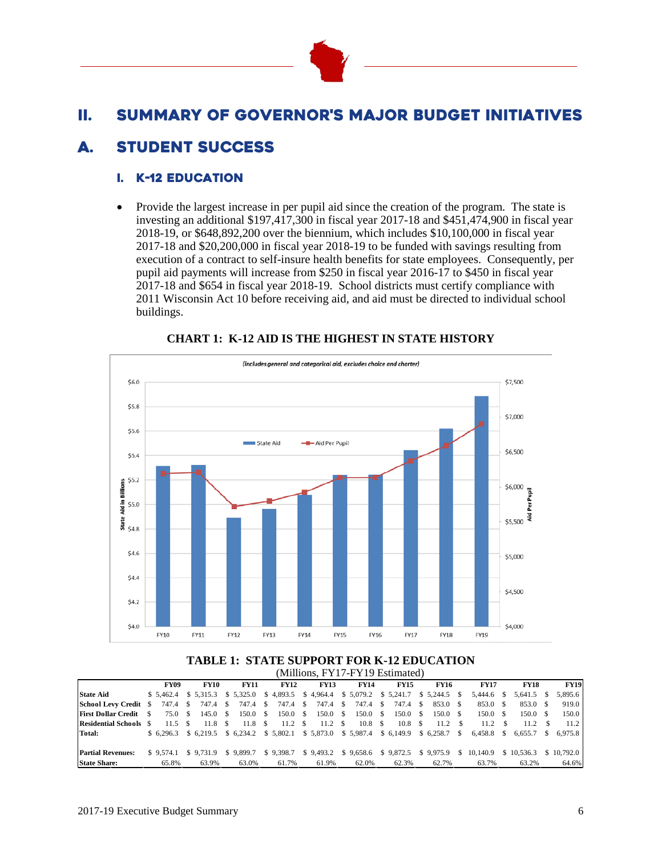

# II. SUMMARY OF GOVERNOR'S MAJOR BUDGET INITIATIVES

# a. STUDENT SUCCESS

### i. K-12 education

• Provide the largest increase in per pupil aid since the creation of the program. The state is investing an additional \$197,417,300 in fiscal year 2017-18 and \$451,474,900 in fiscal year 2018-19, or \$648,892,200 over the biennium, which includes \$10,100,000 in fiscal year 2017-18 and \$20,200,000 in fiscal year 2018-19 to be funded with savings resulting from execution of a contract to self-insure health benefits for state employees. Consequently, per pupil aid payments will increase from \$250 in fiscal year 2016-17 to \$450 in fiscal year 2017-18 and \$654 in fiscal year 2018-19. School districts must certify compliance with 2011 Wisconsin Act 10 before receiving aid, and aid must be directed to individual school buildings.



### **CHART 1: K-12 AID IS THE HIGHEST IN STATE HISTORY**

#### **TABLE 1: STATE SUPPORT FOR K-12 EDUCATION** (Millions, FY17-FY19 Estimated)

|                               | <b>FY09</b> |               | <b>FY10</b>       |    | <b>FY11</b>               |      | <b>FY12</b> |      | <b>FY13</b>       |    | <b>FY14</b>       |     | <b>FY15</b>                                 |      | <b>FY16</b> |     | <b>FY17</b> | <b>FY18</b>  | <b>FY19</b> |
|-------------------------------|-------------|---------------|-------------------|----|---------------------------|------|-------------|------|-------------------|----|-------------------|-----|---------------------------------------------|------|-------------|-----|-------------|--------------|-------------|
| <b>State Aid</b>              | \$5,462.4   |               | \$ 5.315.3        |    | \$5,325.0                 |      | \$4,893.5   |      | \$4,964.4         |    |                   |     | $$5,079.2$ $$5,241.7$                       |      | \$5,244.5   | -S  | 5.444.6     | 5,641.5      | 5,895.6     |
| School Levy Credit \$         | 747.4       | <sup>\$</sup> | 747.4             | -S | 747.4 \$                  |      | 747.4       | -S   | 747.4 \$          |    | 747.4 \$          |     | 747.4                                       | -S   | 853.0       | - S | 853.0 S     | 853.0        | 919.0       |
| <b>First Dollar Credit</b>    | 75.0        | -S            | 145.0             | -S | 150.0                     | - \$ | 150.0       | - \$ | 150.0             | -S | 150.0             | - S | 150.0                                       | - \$ | 150.0       |     | 150.0 \$    | 150.0        | 150.0       |
| <b>Residential Schools</b> \$ | 11.5        |               | 11.8 <sub>s</sub> |    | 11.8                      |      | 11.2        | S    | 11.2 <sup>5</sup> |    | 10.8 <sup>5</sup> |     | 10.8                                        |      | 11.2        |     | 11.2        | 11.2         | 11.2        |
| Total:                        | \$6,296.3   |               | \$6.219.5         |    | $$6,234.2 \quad $5,802.1$ |      |             |      |                   |    |                   |     | $$5,873.0$ $$5,987.4$ $$6,149.9$ $$6,258.7$ |      |             | S   | 6.458.8 S   | $6,655.7$ \$ | 6.975.8     |
| <b>Partial Revenues:</b>      | \$9.574.1   |               | \$9.731.9         |    | \$9.899.7                 |      | \$9,398.7   |      | \$9,493.2         |    |                   |     | \$9,658.6 \$9,872.5                         |      | \$9,975.9   | S.  | 10.140.9    | \$10,536.3   | \$10,792.0  |
| <b>State Share:</b>           | 65.8%       |               | 63.9%             |    | 63.0%                     |      | 61.7%       |      | 61.9%             |    | 62.0%             |     | 62.3%                                       |      | 62.7%       |     | 63.7%       | 63.2%        | 64.6%       |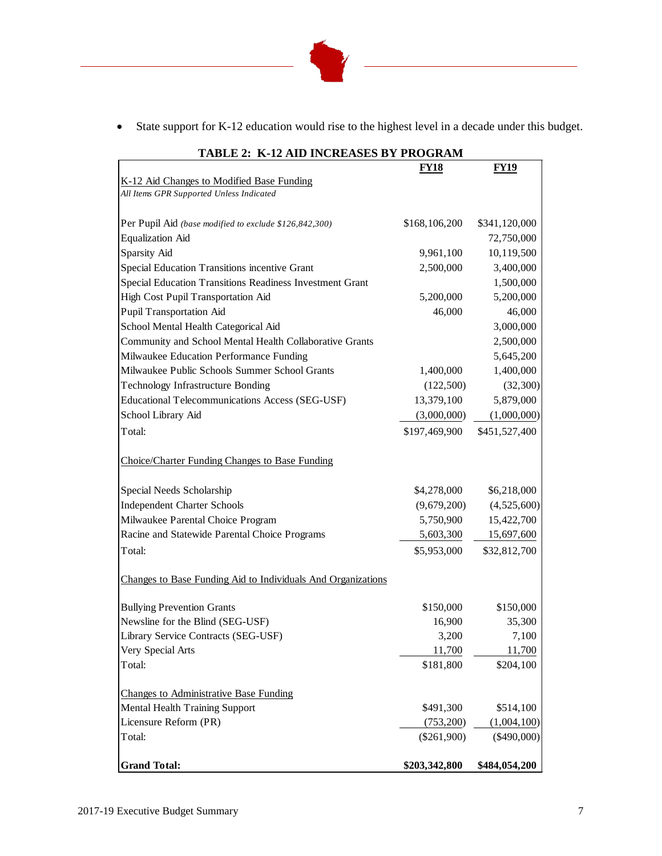

• State support for K-12 education would rise to the highest level in a decade under this budget.

| <b>TABLE 2: K-12 AID INCREASES BY PROGRAM</b>                |               |               |
|--------------------------------------------------------------|---------------|---------------|
|                                                              | <b>FY18</b>   | <b>FY19</b>   |
| K-12 Aid Changes to Modified Base Funding                    |               |               |
| All Items GPR Supported Unless Indicated                     |               |               |
| Per Pupil Aid (base modified to exclude \$126,842,300)       | \$168,106,200 | \$341,120,000 |
| <b>Equalization Aid</b>                                      |               | 72,750,000    |
| Sparsity Aid                                                 | 9,961,100     | 10,119,500    |
| Special Education Transitions incentive Grant                | 2,500,000     | 3,400,000     |
| Special Education Transitions Readiness Investment Grant     |               | 1,500,000     |
| High Cost Pupil Transportation Aid                           | 5,200,000     | 5,200,000     |
| <b>Pupil Transportation Aid</b>                              | 46,000        | 46,000        |
| School Mental Health Categorical Aid                         |               | 3,000,000     |
| Community and School Mental Health Collaborative Grants      |               | 2,500,000     |
| Milwaukee Education Performance Funding                      |               | 5,645,200     |
| Milwaukee Public Schools Summer School Grants                | 1,400,000     | 1,400,000     |
| Technology Infrastructure Bonding                            | (122,500)     | (32,300)      |
| <b>Educational Telecommunications Access (SEG-USF)</b>       | 13,379,100    | 5,879,000     |
| School Library Aid                                           | (3,000,000)   | (1,000,000)   |
| Total:                                                       | \$197,469,900 | \$451,527,400 |
| Choice/Charter Funding Changes to Base Funding               |               |               |
| Special Needs Scholarship                                    | \$4,278,000   | \$6,218,000   |
| <b>Independent Charter Schools</b>                           | (9,679,200)   | (4,525,600)   |
| Milwaukee Parental Choice Program                            | 5,750,900     | 15,422,700    |
| Racine and Statewide Parental Choice Programs                | 5,603,300     | 15,697,600    |
| Total:                                                       | \$5,953,000   | \$32,812,700  |
| Changes to Base Funding Aid to Individuals And Organizations |               |               |
| <b>Bullying Prevention Grants</b>                            | \$150,000     | \$150,000     |
| Newsline for the Blind (SEG-USF)                             | 16,900        | 35,300        |
| Library Service Contracts (SEG-USF)                          | 3,200         | 7,100         |
| Very Special Arts                                            | 11,700        | 11,700        |
| Total:                                                       | \$181,800     | \$204,100     |
| Changes to Administrative Base Funding                       |               |               |
| <b>Mental Health Training Support</b>                        | \$491,300     | \$514,100     |
| Licensure Reform (PR)                                        | (753,200)     | (1,004,100)   |
| Total:                                                       | $(\$261,900)$ | $(\$490,000)$ |
| <b>Grand Total:</b>                                          | \$203,342,800 | \$484,054,200 |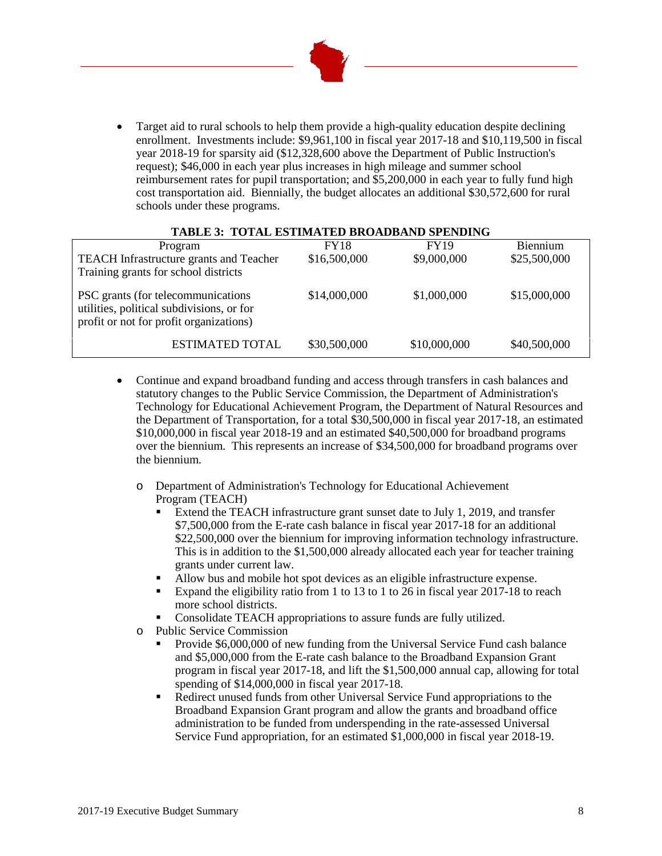

• Target aid to rural schools to help them provide a high-quality education despite declining enrollment. Investments include: \$9,961,100 in fiscal year 2017-18 and \$10,119,500 in fiscal year 2018-19 for sparsity aid (\$12,328,600 above the Department of Public Instruction's request); \$46,000 in each year plus increases in high mileage and summer school reimbursement rates for pupil transportation; and \$5,200,000 in each year to fully fund high cost transportation aid. Biennially, the budget allocates an additional \$30,572,600 for rural schools under these programs.

| <b>TABLE 3: TOTAL ESTIMATED BROADBAND SPENDING</b>                                                                          |              |              |                 |
|-----------------------------------------------------------------------------------------------------------------------------|--------------|--------------|-----------------|
| Program                                                                                                                     | <b>FY18</b>  | <b>FY19</b>  | <b>Biennium</b> |
| TEACH Infrastructure grants and Teacher                                                                                     | \$16,500,000 | \$9,000,000  | \$25,500,000    |
| Training grants for school districts                                                                                        |              |              |                 |
| PSC grants (for telecommunications)<br>utilities, political subdivisions, or for<br>profit or not for profit organizations) | \$14,000,000 | \$1,000,000  | \$15,000,000    |
| <b>ESTIMATED TOTAL</b>                                                                                                      | \$30,500,000 | \$10,000,000 | \$40,500,000    |

- Continue and expand broadband funding and access through transfers in cash balances and statutory changes to the Public Service Commission, the Department of Administration's Technology for Educational Achievement Program, the Department of Natural Resources and the Department of Transportation, for a total \$30,500,000 in fiscal year 2017-18, an estimated \$10,000,000 in fiscal year 2018-19 and an estimated \$40,500,000 for broadband programs over the biennium. This represents an increase of \$34,500,000 for broadband programs over the biennium.
	- o Department of Administration's Technology for Educational Achievement Program (TEACH)
		- Extend the TEACH infrastructure grant sunset date to July 1, 2019, and transfer \$7,500,000 from the E-rate cash balance in fiscal year 2017-18 for an additional \$22,500,000 over the biennium for improving information technology infrastructure. This is in addition to the \$1,500,000 already allocated each year for teacher training grants under current law.
		- Allow bus and mobile hot spot devices as an eligible infrastructure expense.
		- Expand the eligibility ratio from 1 to 13 to 1 to 26 in fiscal year 2017-18 to reach more school districts.
		- Consolidate TEACH appropriations to assure funds are fully utilized.
	- o Public Service Commission
		- Provide \$6,000,000 of new funding from the Universal Service Fund cash balance and \$5,000,000 from the E-rate cash balance to the Broadband Expansion Grant program in fiscal year 2017-18, and lift the \$1,500,000 annual cap, allowing for total spending of \$14,000,000 in fiscal year 2017-18.
		- Redirect unused funds from other Universal Service Fund appropriations to the Broadband Expansion Grant program and allow the grants and broadband office administration to be funded from underspending in the rate-assessed Universal Service Fund appropriation, for an estimated \$1,000,000 in fiscal year 2018-19.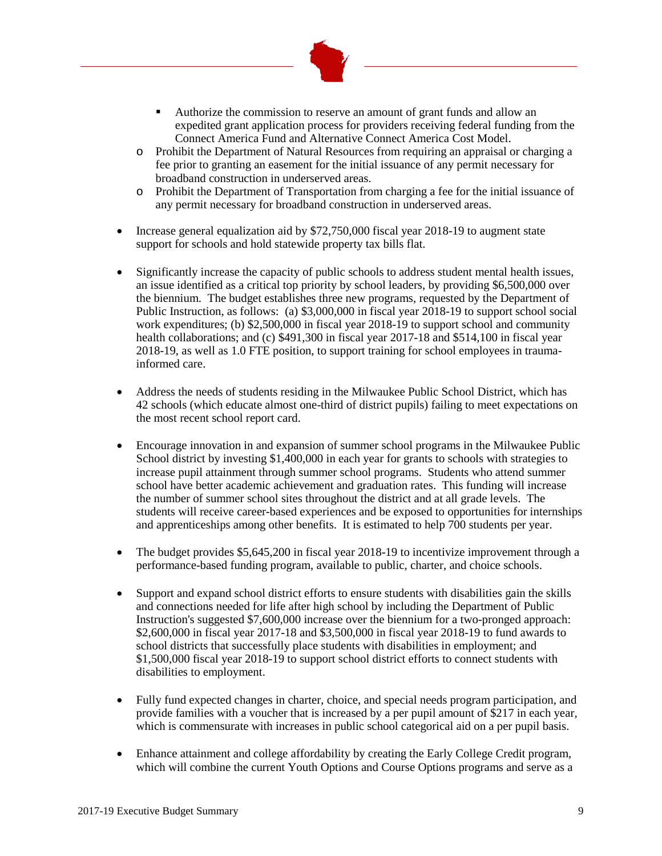

- Authorize the commission to reserve an amount of grant funds and allow an expedited grant application process for providers receiving federal funding from the Connect America Fund and Alternative Connect America Cost Model.
- o Prohibit the Department of Natural Resources from requiring an appraisal or charging a fee prior to granting an easement for the initial issuance of any permit necessary for broadband construction in underserved areas.
- o Prohibit the Department of Transportation from charging a fee for the initial issuance of any permit necessary for broadband construction in underserved areas.
- Increase general equalization aid by \$72,750,000 fiscal year 2018-19 to augment state support for schools and hold statewide property tax bills flat.
- Significantly increase the capacity of public schools to address student mental health issues, an issue identified as a critical top priority by school leaders, by providing \$6,500,000 over the biennium. The budget establishes three new programs, requested by the Department of Public Instruction, as follows: (a) \$3,000,000 in fiscal year 2018-19 to support school social work expenditures; (b) \$2,500,000 in fiscal year 2018-19 to support school and community health collaborations; and (c) \$491,300 in fiscal year 2017-18 and \$514,100 in fiscal year 2018-19, as well as 1.0 FTE position, to support training for school employees in traumainformed care.
- Address the needs of students residing in the Milwaukee Public School District, which has 42 schools (which educate almost one-third of district pupils) failing to meet expectations on the most recent school report card.
- Encourage innovation in and expansion of summer school programs in the Milwaukee Public School district by investing \$1,400,000 in each year for grants to schools with strategies to increase pupil attainment through summer school programs. Students who attend summer school have better academic achievement and graduation rates. This funding will increase the number of summer school sites throughout the district and at all grade levels. The students will receive career-based experiences and be exposed to opportunities for internships and apprenticeships among other benefits. It is estimated to help 700 students per year.
- The budget provides \$5,645,200 in fiscal year 2018-19 to incentivize improvement through a performance-based funding program, available to public, charter, and choice schools.
- Support and expand school district efforts to ensure students with disabilities gain the skills and connections needed for life after high school by including the Department of Public Instruction's suggested \$7,600,000 increase over the biennium for a two-pronged approach: \$2,600,000 in fiscal year 2017-18 and \$3,500,000 in fiscal year 2018-19 to fund awards to school districts that successfully place students with disabilities in employment; and \$1,500,000 fiscal year 2018-19 to support school district efforts to connect students with disabilities to employment.
- Fully fund expected changes in charter, choice, and special needs program participation, and provide families with a voucher that is increased by a per pupil amount of \$217 in each year, which is commensurate with increases in public school categorical aid on a per pupil basis.
- Enhance attainment and college affordability by creating the Early College Credit program, which will combine the current Youth Options and Course Options programs and serve as a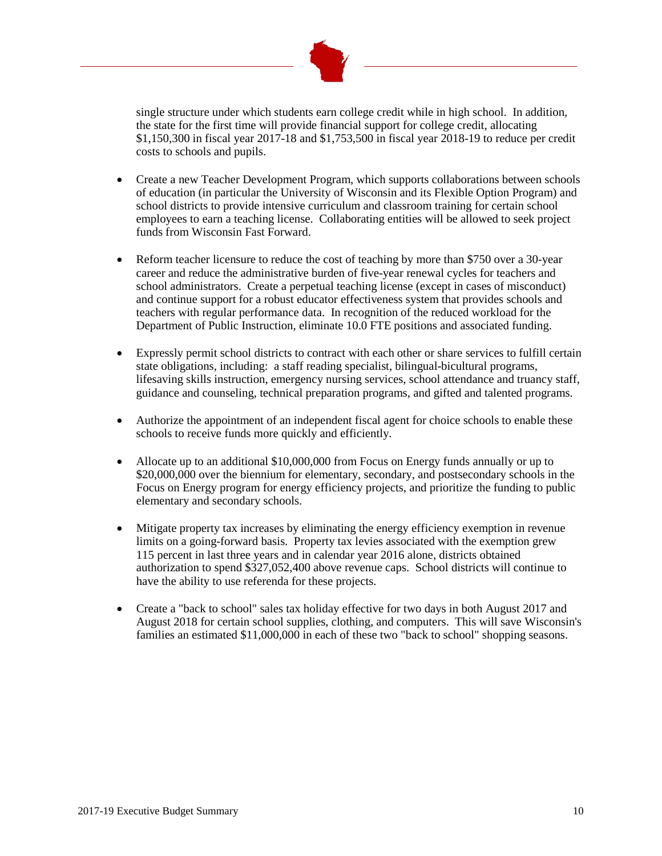

single structure under which students earn college credit while in high school. In addition, the state for the first time will provide financial support for college credit, allocating \$1,150,300 in fiscal year 2017-18 and \$1,753,500 in fiscal year 2018-19 to reduce per credit costs to schools and pupils.

- Create a new Teacher Development Program, which supports collaborations between schools of education (in particular the University of Wisconsin and its Flexible Option Program) and school districts to provide intensive curriculum and classroom training for certain school employees to earn a teaching license. Collaborating entities will be allowed to seek project funds from Wisconsin Fast Forward.
- Reform teacher licensure to reduce the cost of teaching by more than \$750 over a 30-year career and reduce the administrative burden of five-year renewal cycles for teachers and school administrators. Create a perpetual teaching license (except in cases of misconduct) and continue support for a robust educator effectiveness system that provides schools and teachers with regular performance data. In recognition of the reduced workload for the Department of Public Instruction, eliminate 10.0 FTE positions and associated funding.
- Expressly permit school districts to contract with each other or share services to fulfill certain state obligations, including: a staff reading specialist, bilingual-bicultural programs, lifesaving skills instruction, emergency nursing services, school attendance and truancy staff, guidance and counseling, technical preparation programs, and gifted and talented programs.
- Authorize the appointment of an independent fiscal agent for choice schools to enable these schools to receive funds more quickly and efficiently.
- Allocate up to an additional \$10,000,000 from Focus on Energy funds annually or up to \$20,000,000 over the biennium for elementary, secondary, and postsecondary schools in the Focus on Energy program for energy efficiency projects, and prioritize the funding to public elementary and secondary schools.
- Mitigate property tax increases by eliminating the energy efficiency exemption in revenue limits on a going-forward basis. Property tax levies associated with the exemption grew 115 percent in last three years and in calendar year 2016 alone, districts obtained authorization to spend \$327,052,400 above revenue caps. School districts will continue to have the ability to use referenda for these projects.
- Create a "back to school" sales tax holiday effective for two days in both August 2017 and August 2018 for certain school supplies, clothing, and computers. This will save Wisconsin's families an estimated \$11,000,000 in each of these two "back to school" shopping seasons.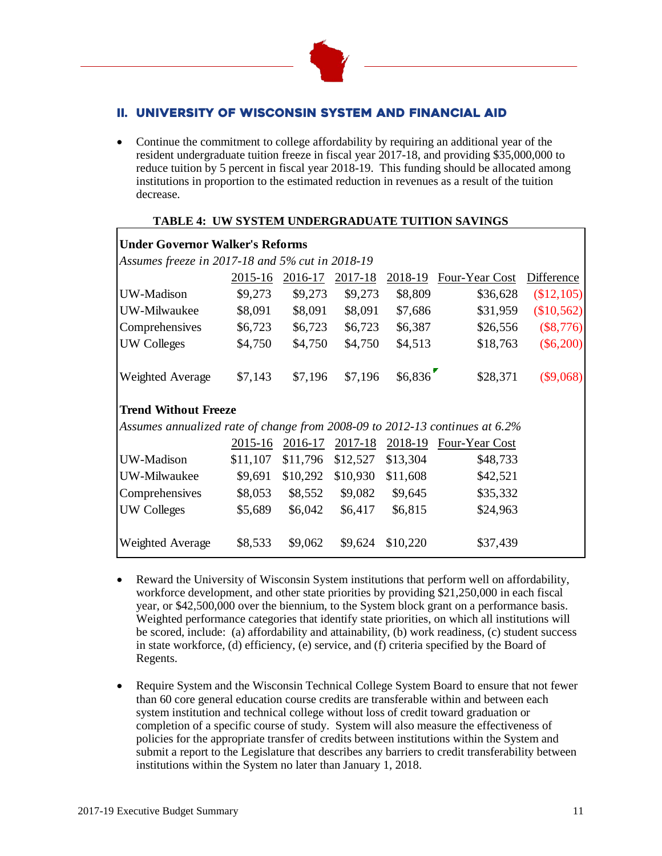

## ii. University of Wisconsin system and financial aid

• Continue the commitment to college affordability by requiring an additional year of the resident undergraduate tuition freeze in fiscal year 2017-18, and providing \$35,000,000 to reduce tuition by 5 percent in fiscal year 2018-19. This funding should be allocated among institutions in proportion to the estimated reduction in revenues as a result of the tuition decrease.

|                                                                             |          |          |                         |          | TABLE 4: UW SYSTEM UNDERGRADUATE TUITION SAVINGS |             |
|-----------------------------------------------------------------------------|----------|----------|-------------------------|----------|--------------------------------------------------|-------------|
| <b>Under Governor Walker's Reforms</b>                                      |          |          |                         |          |                                                  |             |
| Assumes freeze in 2017-18 and 5% cut in 2018-19                             |          |          |                         |          |                                                  |             |
|                                                                             | 2015-16  | 2016-17  | 2017-18                 | 2018-19  | Four-Year Cost                                   | Difference  |
| UW-Madison                                                                  | \$9,273  | \$9,273  | \$9,273                 | \$8,809  | \$36,628                                         | (\$12,105)  |
| UW-Milwaukee                                                                | \$8,091  | \$8,091  | \$8,091                 | \$7,686  | \$31,959                                         | (\$10,562)  |
| Comprehensives                                                              | \$6,723  | \$6,723  | \$6,723                 | \$6,387  | \$26,556                                         | (\$8,776)   |
| <b>UW</b> Colleges                                                          | \$4,750  | \$4,750  | \$4,750                 | \$4,513  | \$18,763                                         | $(\$6,200)$ |
| Weighted Average                                                            | \$7,143  | \$7,196  | \$7,196                 | \$6,836  | \$28,371                                         | $(\$9,068)$ |
| <b>Trend Without Freeze</b>                                                 |          |          |                         |          |                                                  |             |
| Assumes annualized rate of change from 2008-09 to 2012-13 continues at 6.2% |          |          |                         |          |                                                  |             |
|                                                                             | 2015-16  |          | 2016-17 2017-18 2018-19 |          | Four-Year Cost                                   |             |
| UW-Madison                                                                  | \$11,107 | \$11,796 | \$12,527                | \$13,304 | \$48,733                                         |             |
| UW-Milwaukee                                                                | \$9,691  | \$10,292 | \$10,930                | \$11,608 | \$42,521                                         |             |
| Comprehensives                                                              | \$8,053  | \$8,552  | \$9,082                 | \$9,645  | \$35,332                                         |             |
| <b>UW Colleges</b>                                                          | \$5,689  | \$6,042  | \$6,417                 | \$6,815  | \$24,963                                         |             |
| Weighted Average                                                            | \$8,533  | \$9,062  | \$9,624                 | \$10,220 | \$37,439                                         |             |

**TABLE 4: UW SYSTEM UNDERGRADUATE TUITION SAVINGS**

- Reward the University of Wisconsin System institutions that perform well on affordability, workforce development, and other state priorities by providing \$21,250,000 in each fiscal year, or \$42,500,000 over the biennium, to the System block grant on a performance basis. Weighted performance categories that identify state priorities, on which all institutions will be scored, include: (a) affordability and attainability, (b) work readiness, (c) student success in state workforce, (d) efficiency, (e) service, and (f) criteria specified by the Board of Regents.
- Require System and the Wisconsin Technical College System Board to ensure that not fewer than 60 core general education course credits are transferable within and between each system institution and technical college without loss of credit toward graduation or completion of a specific course of study. System will also measure the effectiveness of policies for the appropriate transfer of credits between institutions within the System and submit a report to the Legislature that describes any barriers to credit transferability between institutions within the System no later than January 1, 2018.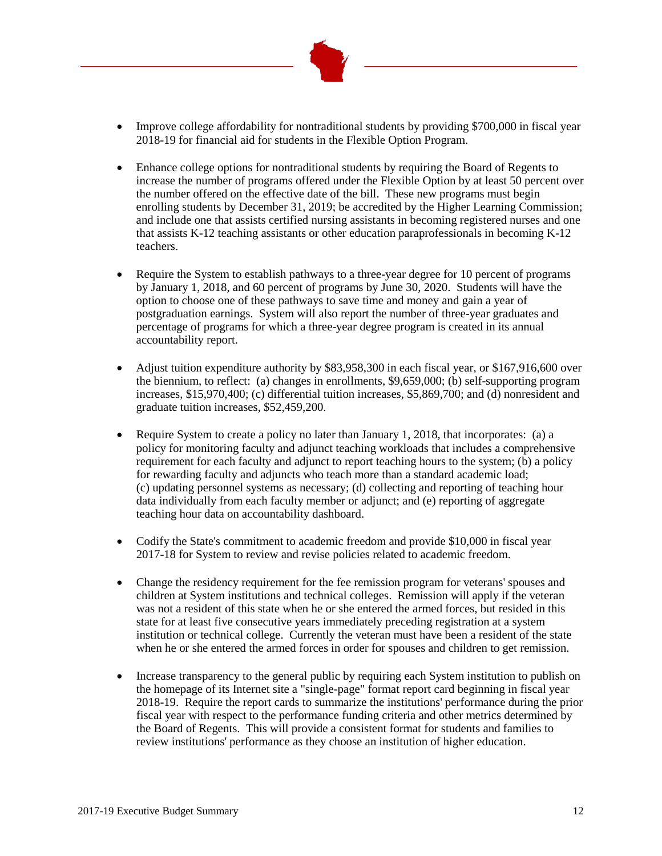

- Improve college affordability for nontraditional students by providing \$700,000 in fiscal year 2018-19 for financial aid for students in the Flexible Option Program.
- Enhance college options for nontraditional students by requiring the Board of Regents to increase the number of programs offered under the Flexible Option by at least 50 percent over the number offered on the effective date of the bill. These new programs must begin enrolling students by December 31, 2019; be accredited by the Higher Learning Commission; and include one that assists certified nursing assistants in becoming registered nurses and one that assists K-12 teaching assistants or other education paraprofessionals in becoming K-12 teachers.
- Require the System to establish pathways to a three-year degree for 10 percent of programs by January 1, 2018, and 60 percent of programs by June 30, 2020. Students will have the option to choose one of these pathways to save time and money and gain a year of postgraduation earnings. System will also report the number of three-year graduates and percentage of programs for which a three-year degree program is created in its annual accountability report.
- Adjust tuition expenditure authority by \$83,958,300 in each fiscal year, or \$167,916,600 over the biennium, to reflect: (a) changes in enrollments, \$9,659,000; (b) self-supporting program increases, \$15,970,400; (c) differential tuition increases, \$5,869,700; and (d) nonresident and graduate tuition increases, \$52,459,200.
- Require System to create a policy no later than January 1, 2018, that incorporates: (a) a policy for monitoring faculty and adjunct teaching workloads that includes a comprehensive requirement for each faculty and adjunct to report teaching hours to the system; (b) a policy for rewarding faculty and adjuncts who teach more than a standard academic load; (c) updating personnel systems as necessary; (d) collecting and reporting of teaching hour data individually from each faculty member or adjunct; and (e) reporting of aggregate teaching hour data on accountability dashboard.
- Codify the State's commitment to academic freedom and provide \$10,000 in fiscal year 2017-18 for System to review and revise policies related to academic freedom.
- Change the residency requirement for the fee remission program for veterans' spouses and children at System institutions and technical colleges. Remission will apply if the veteran was not a resident of this state when he or she entered the armed forces, but resided in this state for at least five consecutive years immediately preceding registration at a system institution or technical college. Currently the veteran must have been a resident of the state when he or she entered the armed forces in order for spouses and children to get remission.
- Increase transparency to the general public by requiring each System institution to publish on the homepage of its Internet site a "single-page" format report card beginning in fiscal year 2018-19. Require the report cards to summarize the institutions' performance during the prior fiscal year with respect to the performance funding criteria and other metrics determined by the Board of Regents. This will provide a consistent format for students and families to review institutions' performance as they choose an institution of higher education.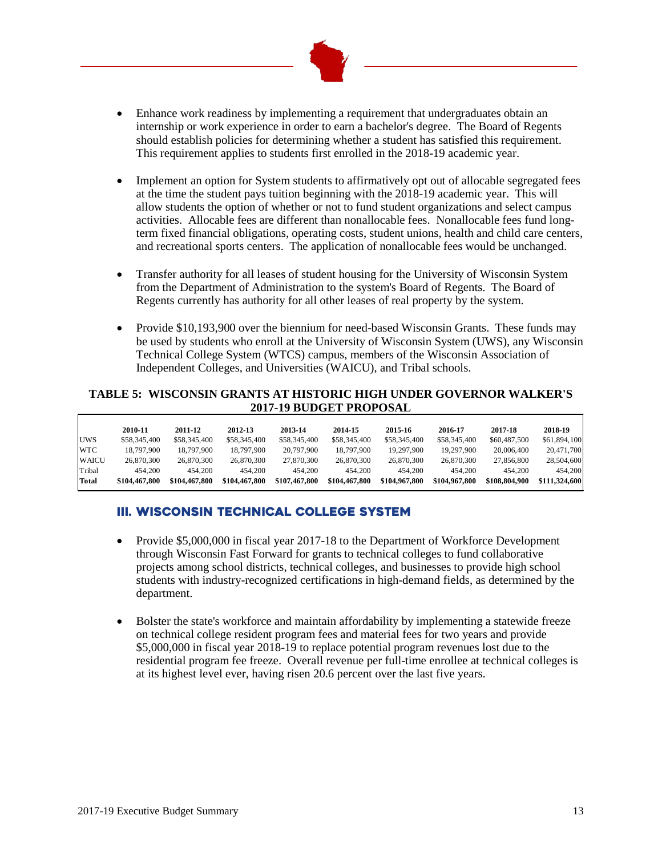

- Enhance work readiness by implementing a requirement that undergraduates obtain an internship or work experience in order to earn a bachelor's degree. The Board of Regents should establish policies for determining whether a student has satisfied this requirement. This requirement applies to students first enrolled in the 2018-19 academic year.
- Implement an option for System students to affirmatively opt out of allocable segregated fees at the time the student pays tuition beginning with the 2018-19 academic year. This will allow students the option of whether or not to fund student organizations and select campus activities. Allocable fees are different than nonallocable fees. Nonallocable fees fund longterm fixed financial obligations, operating costs, student unions, health and child care centers, and recreational sports centers. The application of nonallocable fees would be unchanged.
- Transfer authority for all leases of student housing for the University of Wisconsin System from the Department of Administration to the system's Board of Regents. The Board of Regents currently has authority for all other leases of real property by the system.
- Provide \$10,193,900 over the biennium for need-based Wisconsin Grants. These funds may be used by students who enroll at the University of Wisconsin System (UWS), any Wisconsin Technical College System (WTCS) campus, members of the Wisconsin Association of Independent Colleges, and Universities (WAICU), and Tribal schools.

#### **TABLE 5: WISCONSIN GRANTS AT HISTORIC HIGH UNDER GOVERNOR WALKER'S 2017-19 BUDGET PROPOSAL**

|              | 2010-11       | 2011-12       | 2012-13       | 2013-14       | 2014-15       | 2015-16       | 2016-17       | 2017-18       | 2018-19       |
|--------------|---------------|---------------|---------------|---------------|---------------|---------------|---------------|---------------|---------------|
| <b>UWS</b>   | \$58,345,400  | \$58,345,400  | \$58,345,400  | \$58,345,400  | \$58,345,400  | \$58,345,400  | \$58,345,400  | \$60,487,500  | \$61,894,100  |
| <b>WTC</b>   | 18,797,900    | 18,797,900    | 18,797,900    | 20,797,900    | 18,797,900    | 19,297,900    | 19,297,900    | 20,006,400    | 20,471,700    |
| <b>WAICU</b> | 26,870,300    | 26,870,300    | 26,870,300    | 27,870,300    | 26,870,300    | 26,870,300    | 26,870,300    | 27,856,800    | 28,504,600    |
| Tribal       | 454,200       | 454,200       | 454,200       | 454,200       | 454,200       | 454,200       | 454,200       | 454,200       | 454,200       |
| <b>Total</b> | \$104,467,800 | \$104,467,800 | \$104,467,800 | \$107,467,800 | \$104,467,800 | \$104,967,800 | \$104,967,800 | \$108,804,900 | \$111,324,600 |
|              |               |               |               |               |               |               |               |               |               |

### **III. WISCONSIN TECHNICAL COLLEGE SYSTEM**

- Provide \$5,000,000 in fiscal year 2017-18 to the Department of Workforce Development through Wisconsin Fast Forward for grants to technical colleges to fund collaborative projects among school districts, technical colleges, and businesses to provide high school students with industry-recognized certifications in high-demand fields, as determined by the department.
- Bolster the state's workforce and maintain affordability by implementing a statewide freeze on technical college resident program fees and material fees for two years and provide \$5,000,000 in fiscal year 2018-19 to replace potential program revenues lost due to the residential program fee freeze. Overall revenue per full-time enrollee at technical colleges is at its highest level ever, having risen 20.6 percent over the last five years.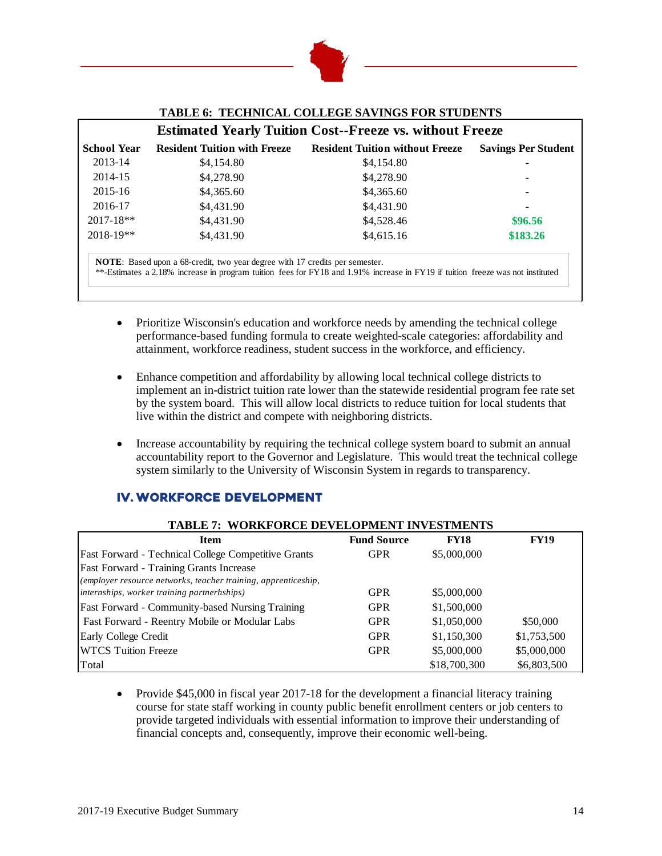

|                    |                                     | <b>Estimated Yearly Tuition Cost--Freeze vs. without Freeze</b> |                            |
|--------------------|-------------------------------------|-----------------------------------------------------------------|----------------------------|
| <b>School Year</b> | <b>Resident Tuition with Freeze</b> | <b>Resident Tuition without Freeze</b>                          | <b>Savings Per Student</b> |
| 2013-14            | \$4,154.80                          | \$4,154.80                                                      |                            |
| 2014-15            | \$4,278.90                          | \$4,278.90                                                      |                            |
| 2015-16            | \$4,365.60                          | \$4,365.60                                                      |                            |
| 2016-17            | \$4,431.90                          | \$4,431.90                                                      |                            |
| $2017 - 18**$      | \$4,431.90                          | \$4,528.46                                                      | \$96.56                    |
| $2018 - 19**$      | \$4,431.90                          | \$4,615.16                                                      | \$183.26                   |

#### **TABLE 6: TECHNICAL COLLEGE SAVINGS FOR STUDENTS**

• Prioritize Wisconsin's education and workforce needs by amending the technical college performance-based funding formula to create weighted-scale categories: affordability and attainment, workforce readiness, student success in the workforce, and efficiency.

- Enhance competition and affordability by allowing local technical college districts to implement an in-district tuition rate lower than the statewide residential program fee rate set by the system board. This will allow local districts to reduce tuition for local students that live within the district and compete with neighboring districts.
- Increase accountability by requiring the technical college system board to submit an annual accountability report to the Governor and Legislature. This would treat the technical college system similarly to the University of Wisconsin System in regards to transparency.

### iv. Workforce development

| <b>TABLE 7: WORKFORCE DEVELOPMENT INVESTMENTS</b>                       |                    |              |             |
|-------------------------------------------------------------------------|--------------------|--------------|-------------|
| <b>Item</b>                                                             | <b>Fund Source</b> | <b>FY18</b>  | <b>FY19</b> |
| <b>Fast Forward - Technical College Competitive Grants</b>              | <b>GPR</b>         | \$5,000,000  |             |
| <b>Fast Forward - Training Grants Increase</b>                          |                    |              |             |
| $\alpha$ (employer resource networks, teacher training, apprenticeship, |                    |              |             |
| internships, worker training partnerhships)                             | <b>GPR</b>         | \$5,000,000  |             |
| <b>Fast Forward - Community-based Nursing Training</b>                  | <b>GPR</b>         | \$1,500,000  |             |
| Fast Forward - Reentry Mobile or Modular Labs                           | <b>GPR</b>         | \$1,050,000  | \$50,000    |
| <b>Early College Credit</b>                                             | <b>GPR</b>         | \$1,150,300  | \$1,753,500 |
| <b>WTCS Tuition Freeze</b>                                              | <b>GPR</b>         | \$5,000,000  | \$5,000,000 |
| Total                                                                   |                    | \$18,700,300 | \$6,803,500 |

• Provide \$45,000 in fiscal year 2017-18 for the development a financial literacy training course for state staff working in county public benefit enrollment centers or job centers to provide targeted individuals with essential information to improve their understanding of financial concepts and, consequently, improve their economic well-being.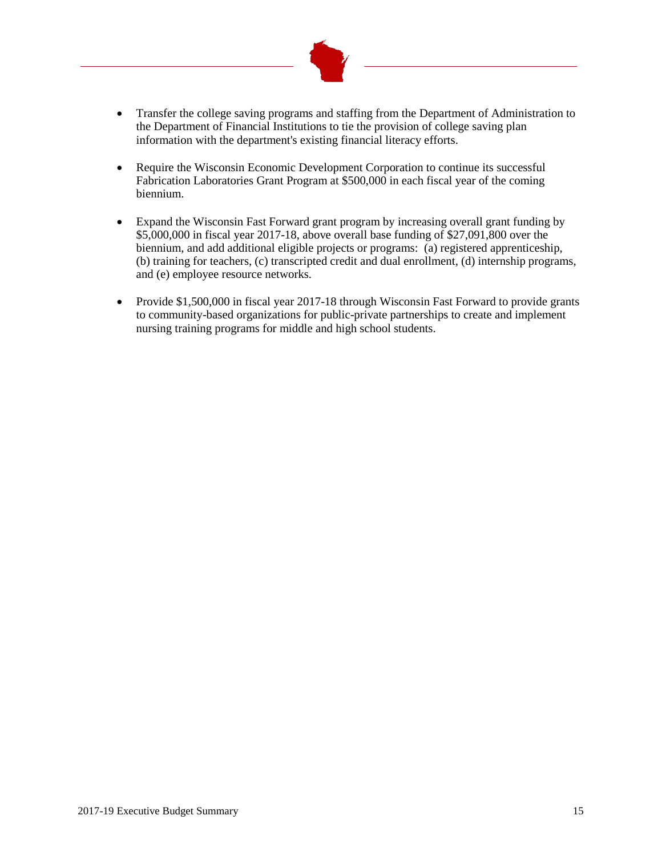

- Transfer the college saving programs and staffing from the Department of Administration to the Department of Financial Institutions to tie the provision of college saving plan information with the department's existing financial literacy efforts.
- Require the Wisconsin Economic Development Corporation to continue its successful Fabrication Laboratories Grant Program at \$500,000 in each fiscal year of the coming biennium.
- Expand the Wisconsin Fast Forward grant program by increasing overall grant funding by \$5,000,000 in fiscal year 2017-18, above overall base funding of \$27,091,800 over the biennium, and add additional eligible projects or programs: (a) registered apprenticeship, (b) training for teachers, (c) transcripted credit and dual enrollment, (d) internship programs, and (e) employee resource networks.
- Provide \$1,500,000 in fiscal year 2017-18 through Wisconsin Fast Forward to provide grants to community-based organizations for public-private partnerships to create and implement nursing training programs for middle and high school students.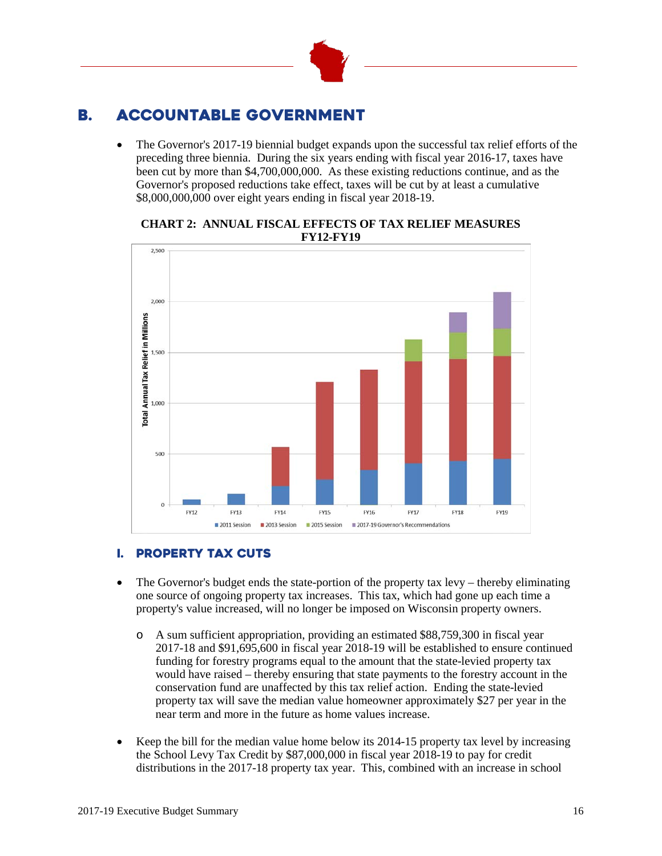

# b. Accountable government

• The Governor's 2017-19 biennial budget expands upon the successful tax relief efforts of the preceding three biennia. During the six years ending with fiscal year 2016-17, taxes have been cut by more than \$4,700,000,000. As these existing reductions continue, and as the Governor's proposed reductions take effect, taxes will be cut by at least a cumulative \$8,000,000,000 over eight years ending in fiscal year 2018-19.



#### **CHART 2: ANNUAL FISCAL EFFECTS OF TAX RELIEF MEASURES FY12-FY19**

### i. Property tax cuts

- The Governor's budget ends the state-portion of the property tax levy thereby eliminating one source of ongoing property tax increases. This tax, which had gone up each time a property's value increased, will no longer be imposed on Wisconsin property owners.
	- o A sum sufficient appropriation, providing an estimated \$88,759,300 in fiscal year 2017-18 and \$91,695,600 in fiscal year 2018-19 will be established to ensure continued funding for forestry programs equal to the amount that the state-levied property tax would have raised – thereby ensuring that state payments to the forestry account in the conservation fund are unaffected by this tax relief action. Ending the state-levied property tax will save the median value homeowner approximately \$27 per year in the near term and more in the future as home values increase.
- Keep the bill for the median value home below its 2014-15 property tax level by increasing the School Levy Tax Credit by \$87,000,000 in fiscal year 2018-19 to pay for credit distributions in the 2017-18 property tax year. This, combined with an increase in school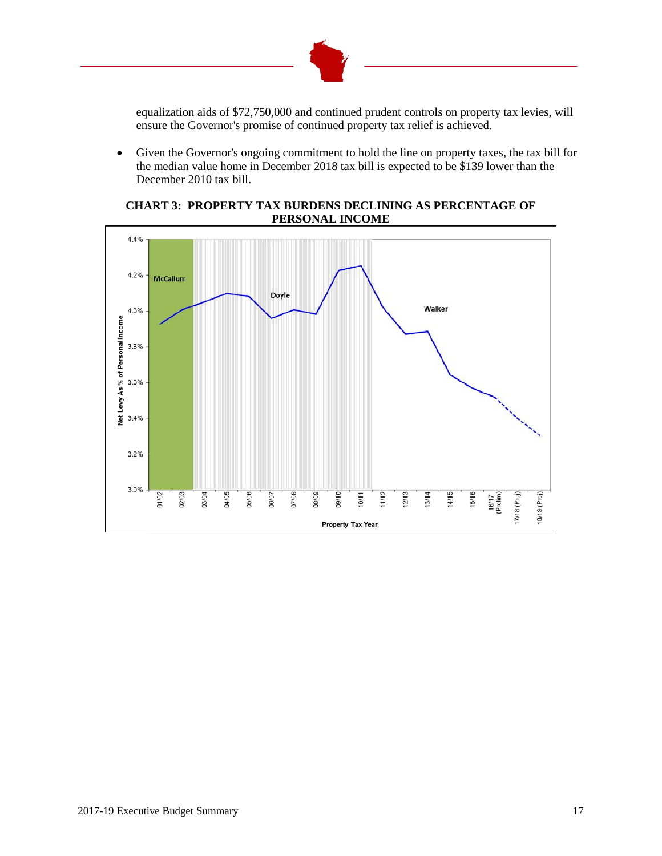

equalization aids of \$72,750,000 and continued prudent controls on property tax levies, will ensure the Governor's promise of continued property tax relief is achieved.

• Given the Governor's ongoing commitment to hold the line on property taxes, the tax bill for the median value home in December 2018 tax bill is expected to be \$139 lower than the December 2010 tax bill.

#### **CHART 3: PROPERTY TAX BURDENS DECLINING AS PERCENTAGE OF PERSONAL INCOME**

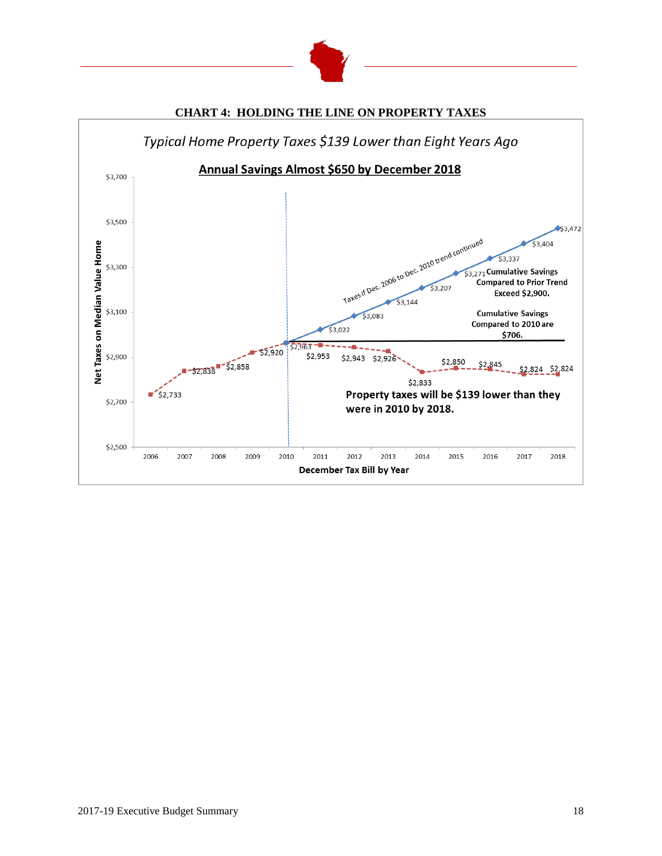



#### **CHART 4: HOLDING THE LINE ON PROPERTY TAXES**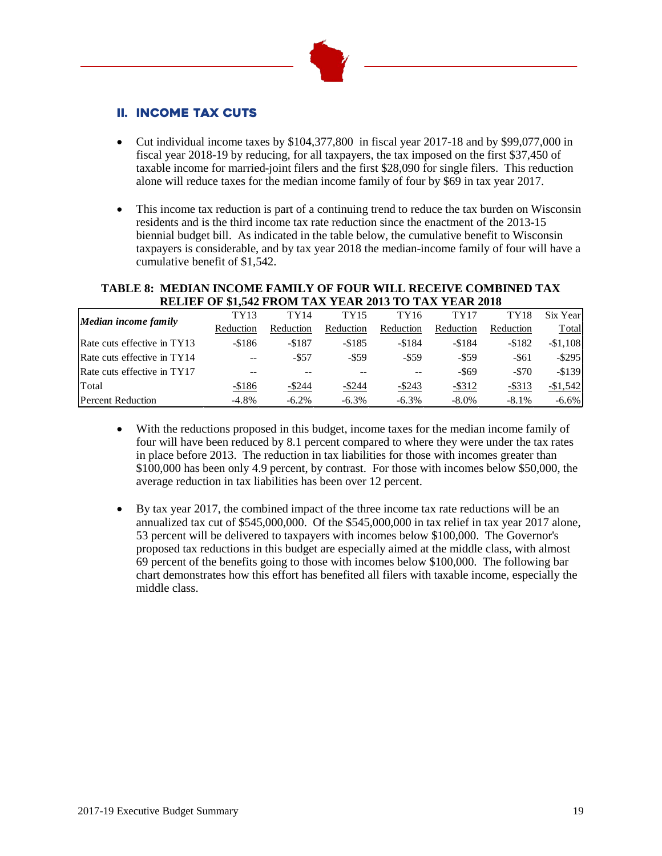

### ii. Income tax cuts

- Cut individual income taxes by \$104,377,800 in fiscal year 2017-18 and by \$99,077,000 in fiscal year 2018-19 by reducing, for all taxpayers, the tax imposed on the first \$37,450 of taxable income for married-joint filers and the first \$28,090 for single filers. This reduction alone will reduce taxes for the median income family of four by \$69 in tax year 2017.
- This income tax reduction is part of a continuing trend to reduce the tax burden on Wisconsin residents and is the third income tax rate reduction since the enactment of the 2013-15 biennial budget bill. As indicated in the table below, the cumulative benefit to Wisconsin taxpayers is considerable, and by tax year 2018 the median-income family of four will have a cumulative benefit of \$1,542.

|                             | RELIEF OF \$1,542 FROM TAX YEAR 2013 TO TAX YEAR 2018 |           |           |           |           |           |            |
|-----------------------------|-------------------------------------------------------|-----------|-----------|-----------|-----------|-----------|------------|
|                             | TY13                                                  | TY 14     | TY15      | TY16      | TY17      | TY18      | Six Year   |
| Median income family        | Reduction                                             | Reduction | Reduction | Reduction | Reduction | Reduction | Total      |
| Rate cuts effective in TY13 | $-$186$                                               | $-$187$   | $-$185$   | $-$184$   | $-$184$   | $-$ \$182 | $-$1,108$  |
| Rate cuts effective in TY14 |                                                       | $-$ \$57  | $-559$    | $-$ \$59  | $-$ \$59  | $-$ \$61  | $-$ \$295  |
| Rate cuts effective in TY17 |                                                       |           |           |           | $-$ \$69  | $-570$    | $-$139$    |
| Total                       | $-$186$                                               | $-$ \$244 | $-$ \$244 | $-$ \$243 | $-$ \$312 | $-$ \$313 | $-\$1,542$ |
| <b>Percent Reduction</b>    | $-4.8%$                                               | $-6.2\%$  | $-6.3\%$  | $-6.3%$   | $-8.0\%$  | $-8.1\%$  | $-6.6\%$   |

#### **TABLE 8: MEDIAN INCOME FAMILY OF FOUR WILL RECEIVE COMBINED TAX RELIEF OF \$1,542 FROM TAX YEAR 2013 TO TAX YEAR 2018**

- With the reductions proposed in this budget, income taxes for the median income family of four will have been reduced by 8.1 percent compared to where they were under the tax rates in place before 2013. The reduction in tax liabilities for those with incomes greater than \$100,000 has been only 4.9 percent, by contrast. For those with incomes below \$50,000, the average reduction in tax liabilities has been over 12 percent.
- By tax year 2017, the combined impact of the three income tax rate reductions will be an annualized tax cut of \$545,000,000. Of the \$545,000,000 in tax relief in tax year 2017 alone, 53 percent will be delivered to taxpayers with incomes below \$100,000. The Governor's proposed tax reductions in this budget are especially aimed at the middle class, with almost 69 percent of the benefits going to those with incomes below \$100,000. The following bar chart demonstrates how this effort has benefited all filers with taxable income, especially the middle class.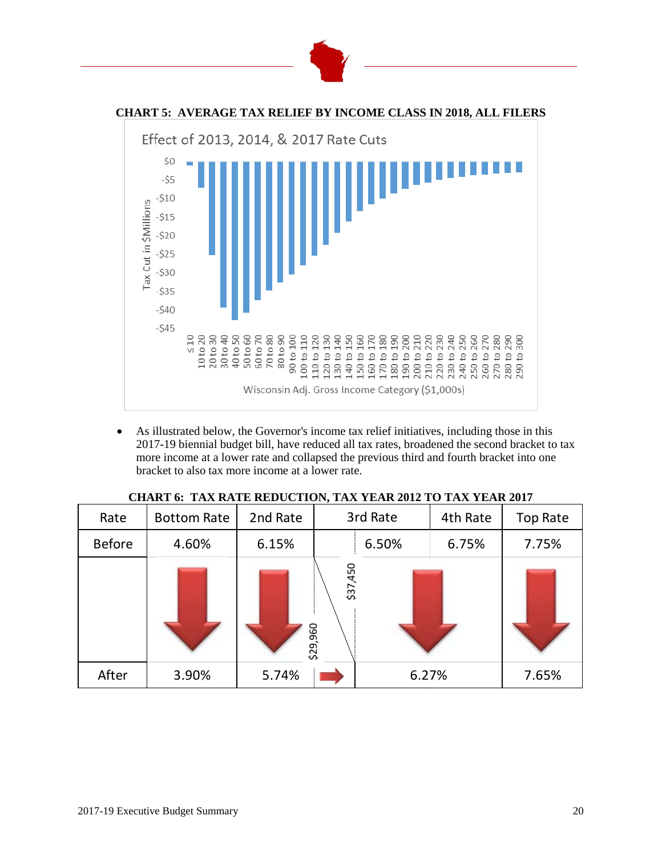

#### **CHART 5: AVERAGE TAX RELIEF BY INCOME CLASS IN 2018, ALL FILERS**



• As illustrated below, the Governor's income tax relief initiatives, including those in this 2017-19 biennial budget bill, have reduced all tax rates, broadened the second bracket to tax more income at a lower rate and collapsed the previous third and fourth bracket into one bracket to also tax more income at a lower rate.

| Rate          | <b>Bottom Rate</b> | 2nd Rate | 3rd Rate | 4th Rate | <b>Top Rate</b> |
|---------------|--------------------|----------|----------|----------|-----------------|
| <b>Before</b> | 4.60%              | 6.15%    | 6.50%    | 6.75%    | 7.75%           |
|               |                    | \$29,960 | \$37,450 |          |                 |
| After         | 3.90%              | 5.74%    | 6.27%    |          | 7.65%           |

**CHART 6: TAX RATE REDUCTION, TAX YEAR 2012 TO TAX YEAR 2017**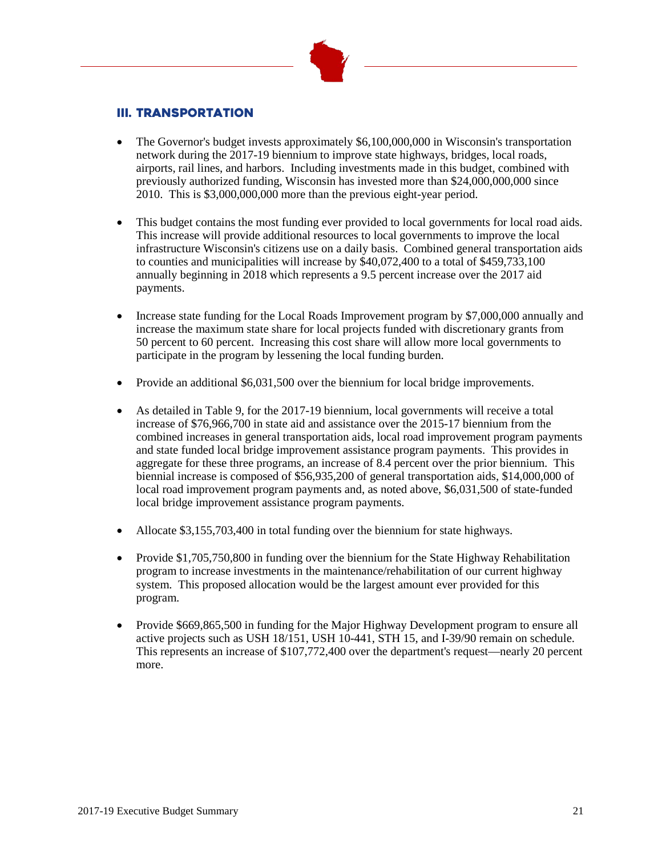

### iii. Transportation

- The Governor's budget invests approximately \$6,100,000,000 in Wisconsin's transportation network during the 2017-19 biennium to improve state highways, bridges, local roads, airports, rail lines, and harbors. Including investments made in this budget, combined with previously authorized funding, Wisconsin has invested more than \$24,000,000,000 since 2010. This is \$3,000,000,000 more than the previous eight-year period.
- This budget contains the most funding ever provided to local governments for local road aids. This increase will provide additional resources to local governments to improve the local infrastructure Wisconsin's citizens use on a daily basis. Combined general transportation aids to counties and municipalities will increase by \$40,072,400 to a total of \$459,733,100 annually beginning in 2018 which represents a 9.5 percent increase over the 2017 aid payments.
- Increase state funding for the Local Roads Improvement program by \$7,000,000 annually and increase the maximum state share for local projects funded with discretionary grants from 50 percent to 60 percent. Increasing this cost share will allow more local governments to participate in the program by lessening the local funding burden.
- Provide an additional \$6,031,500 over the biennium for local bridge improvements.
- As detailed in Table 9, for the 2017-19 biennium, local governments will receive a total increase of \$76,966,700 in state aid and assistance over the 2015-17 biennium from the combined increases in general transportation aids, local road improvement program payments and state funded local bridge improvement assistance program payments. This provides in aggregate for these three programs, an increase of 8.4 percent over the prior biennium. This biennial increase is composed of \$56,935,200 of general transportation aids, \$14,000,000 of local road improvement program payments and, as noted above, \$6,031,500 of state-funded local bridge improvement assistance program payments.
- Allocate \$3,155,703,400 in total funding over the biennium for state highways.
- Provide \$1,705,750,800 in funding over the biennium for the State Highway Rehabilitation program to increase investments in the maintenance/rehabilitation of our current highway system. This proposed allocation would be the largest amount ever provided for this program.
- Provide \$669,865,500 in funding for the Major Highway Development program to ensure all active projects such as USH 18/151, USH 10-441, STH 15, and I-39/90 remain on schedule. This represents an increase of \$107,772,400 over the department's request—nearly 20 percent more.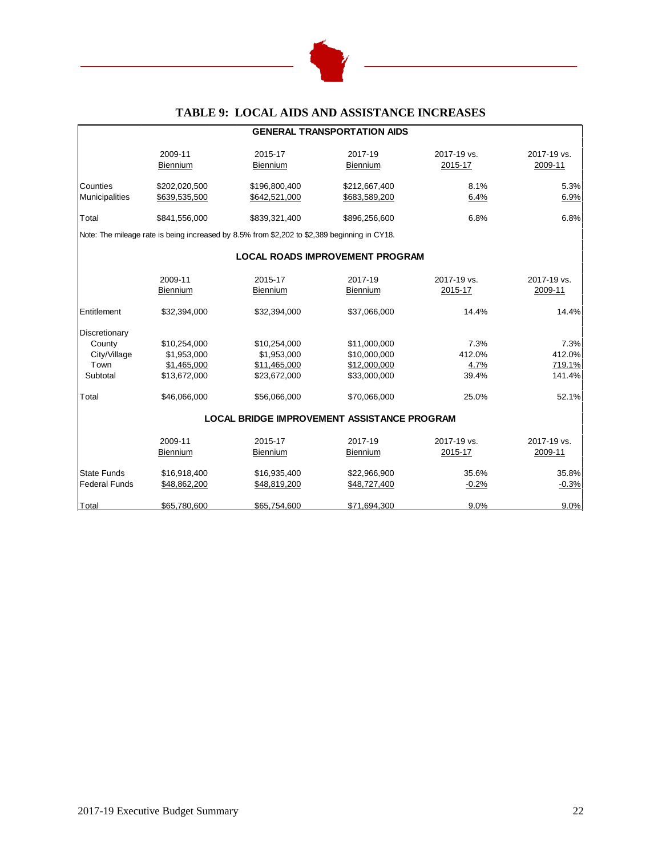

### **TABLE 9: LOCAL AIDS AND ASSISTANCE INCREASES**

| <b>GENERAL TRANSPORTATION AIDS</b>                 |               |                                                                                              |               |             |             |  |  |  |  |  |
|----------------------------------------------------|---------------|----------------------------------------------------------------------------------------------|---------------|-------------|-------------|--|--|--|--|--|
|                                                    | 2009-11       | 2015-17                                                                                      | 2017-19       | 2017-19 vs. | 2017-19 vs. |  |  |  |  |  |
|                                                    | Biennium      | Biennium                                                                                     | Biennium      | 2015-17     | 2009-11     |  |  |  |  |  |
| Counties                                           | \$202,020,500 | \$196,800,400                                                                                | \$212,667,400 | 8.1%        | 5.3%        |  |  |  |  |  |
| Municipalities                                     | \$639,535,500 | \$642,521,000                                                                                | \$683,589,200 | 6.4%        | 6.9%        |  |  |  |  |  |
| Total                                              | \$841,556,000 | \$839,321,400                                                                                | \$896,256,600 | 6.8%        | 6.8%        |  |  |  |  |  |
|                                                    |               | Note: The mileage rate is being increased by 8.5% from \$2,202 to \$2,389 beginning in CY18. |               |             |             |  |  |  |  |  |
| <b>LOCAL ROADS IMPROVEMENT PROGRAM</b>             |               |                                                                                              |               |             |             |  |  |  |  |  |
|                                                    | 2009-11       | 2015-17                                                                                      | 2017-19       | 2017-19 vs. | 2017-19 vs. |  |  |  |  |  |
|                                                    | Biennium      | Biennium                                                                                     | Biennium      | 2015-17     | 2009-11     |  |  |  |  |  |
| Entitlement                                        | \$32,394,000  | \$32,394,000                                                                                 | \$37,066,000  | 14.4%       | 14.4%       |  |  |  |  |  |
| Discretionary                                      |               |                                                                                              |               |             |             |  |  |  |  |  |
| County                                             | \$10,254,000  | \$10,254,000                                                                                 | \$11,000,000  | 7.3%        | 7.3%        |  |  |  |  |  |
| City/Village                                       | \$1,953,000   | \$1,953,000                                                                                  | \$10,000,000  | 412.0%      | 412.0%      |  |  |  |  |  |
| Town                                               | \$1,465,000   | \$11,465,000                                                                                 | \$12,000,000  | 4.7%        | 719.1%      |  |  |  |  |  |
| Subtotal                                           | \$13,672,000  | \$23,672,000                                                                                 | \$33,000,000  | 39.4%       | 141.4%      |  |  |  |  |  |
| Total                                              | \$46,066,000  | \$56,066,000                                                                                 | \$70,066,000  | 25.0%       | 52.1%       |  |  |  |  |  |
| <b>LOCAL BRIDGE IMPROVEMENT ASSISTANCE PROGRAM</b> |               |                                                                                              |               |             |             |  |  |  |  |  |
|                                                    | 2009-11       | 2015-17                                                                                      | 2017-19       | 2017-19 vs. | 2017-19 vs. |  |  |  |  |  |
|                                                    | Biennium      | Biennium                                                                                     | Biennium      | 2015-17     | 2009-11     |  |  |  |  |  |
| <b>State Funds</b>                                 | \$16,918,400  | \$16,935,400                                                                                 | \$22,966,900  | 35.6%       | 35.8%       |  |  |  |  |  |
| <b>Federal Funds</b>                               | \$48,862,200  | \$48,819,200                                                                                 | \$48,727,400  | $-0.2%$     | $-0.3%$     |  |  |  |  |  |
| Total                                              | \$65,780,600  | \$65,754,600                                                                                 | \$71,694,300  | 9.0%        | 9.0%        |  |  |  |  |  |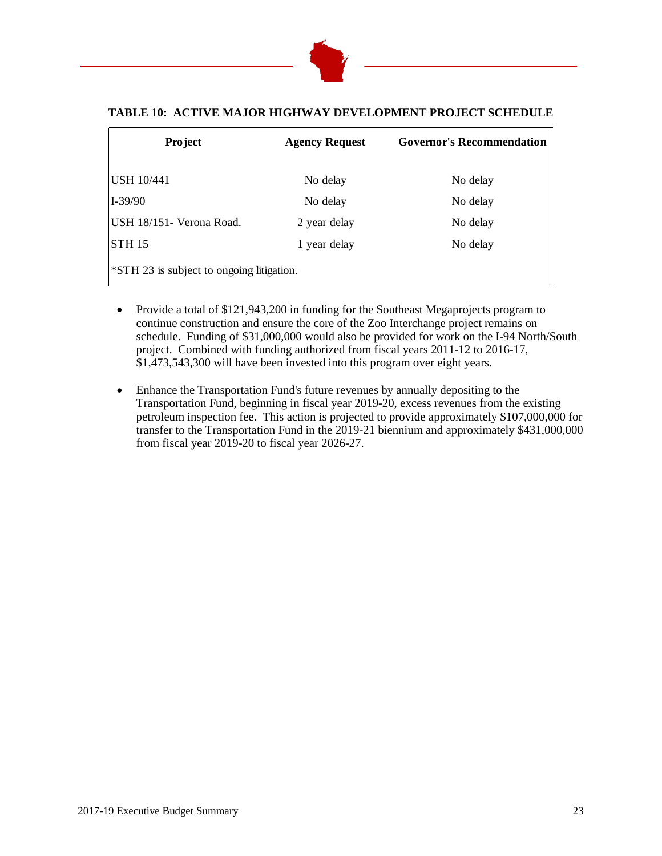

| Project                                   | <b>Agency Request</b> | <b>Governor's Recommendation</b> |  |  |  |  |  |  |  |
|-------------------------------------------|-----------------------|----------------------------------|--|--|--|--|--|--|--|
| <b>USH 10/441</b>                         | No delay              | No delay                         |  |  |  |  |  |  |  |
| $1-39/90$                                 | No delay              | No delay                         |  |  |  |  |  |  |  |
| USH 18/151- Verona Road.                  | 2 year delay          | No delay                         |  |  |  |  |  |  |  |
| <b>STH 15</b>                             | 1 year delay          | No delay                         |  |  |  |  |  |  |  |
| *STH 23 is subject to ongoing litigation. |                       |                                  |  |  |  |  |  |  |  |

#### **TABLE 10: ACTIVE MAJOR HIGHWAY DEVELOPMENT PROJECT SCHEDULE**

- Provide a total of \$121,943,200 in funding for the Southeast Megaprojects program to continue construction and ensure the core of the Zoo Interchange project remains on schedule. Funding of \$31,000,000 would also be provided for work on the I-94 North/South project. Combined with funding authorized from fiscal years 2011-12 to 2016-17, \$1,473,543,300 will have been invested into this program over eight years.
- Enhance the Transportation Fund's future revenues by annually depositing to the Transportation Fund, beginning in fiscal year 2019-20, excess revenues from the existing petroleum inspection fee. This action is projected to provide approximately \$107,000,000 for transfer to the Transportation Fund in the 2019-21 biennium and approximately \$431,000,000 from fiscal year 2019-20 to fiscal year 2026-27.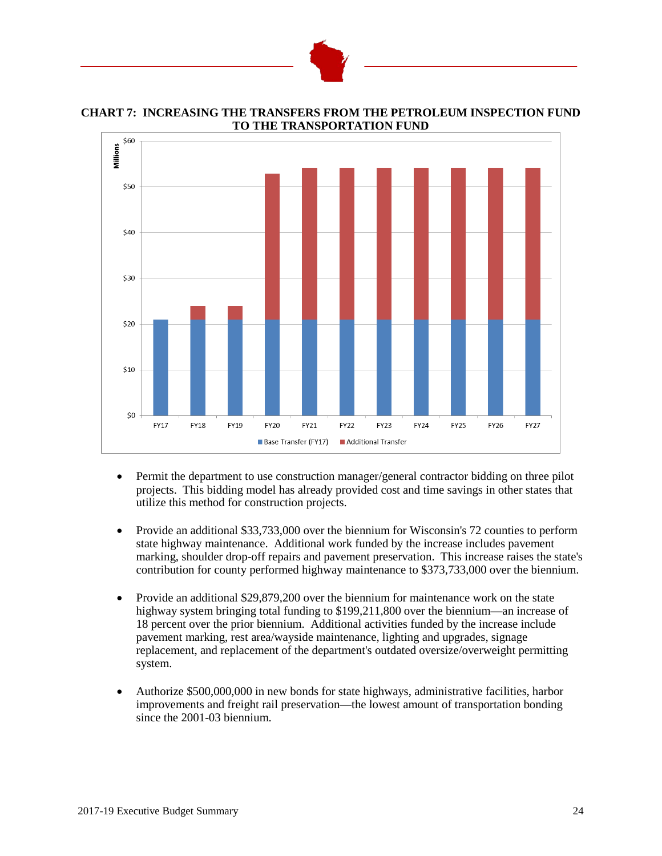

**CHART 7: INCREASING THE TRANSFERS FROM THE PETROLEUM INSPECTION FUND TO THE TRANSPORTATION FUND**



- Permit the department to use construction manager/general contractor bidding on three pilot projects. This bidding model has already provided cost and time savings in other states that utilize this method for construction projects.
- Provide an additional \$33,733,000 over the biennium for Wisconsin's 72 counties to perform state highway maintenance. Additional work funded by the increase includes pavement marking, shoulder drop-off repairs and pavement preservation. This increase raises the state's contribution for county performed highway maintenance to \$373,733,000 over the biennium.
- Provide an additional \$29,879,200 over the biennium for maintenance work on the state highway system bringing total funding to \$199,211,800 over the biennium—an increase of 18 percent over the prior biennium. Additional activities funded by the increase include pavement marking, rest area/wayside maintenance, lighting and upgrades, signage replacement, and replacement of the department's outdated oversize/overweight permitting system.
- Authorize \$500,000,000 in new bonds for state highways, administrative facilities, harbor improvements and freight rail preservation—the lowest amount of transportation bonding since the 2001-03 biennium.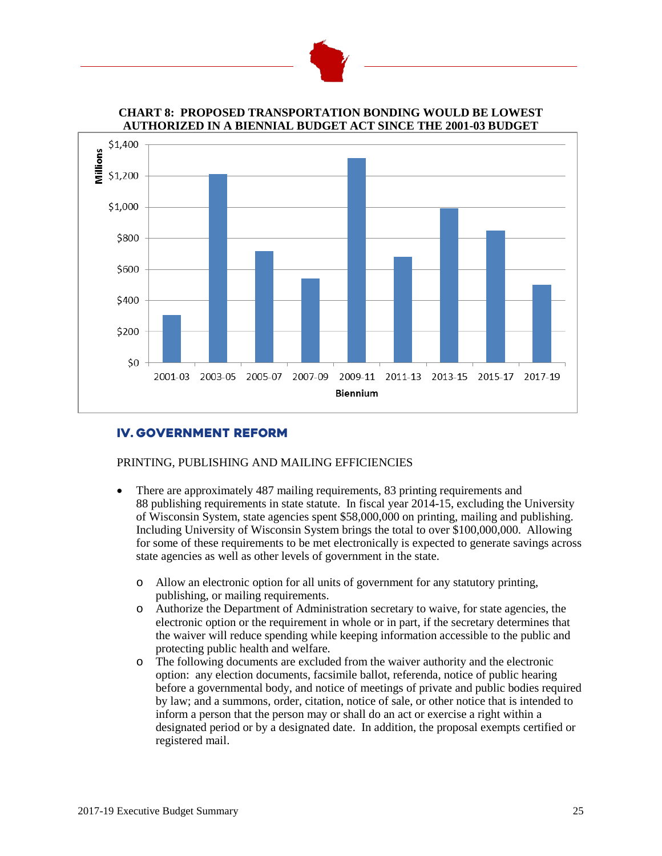

# \$1,400 Millions \$1,200 \$1,000 \$800 \$600 \$400 \$200 \$0 2001-03 2003-05 2005-07 2007-09 2009-11 2011-13 2013-15 2015-17 2017-19 **Biennium**

#### **CHART 8: PROPOSED TRANSPORTATION BONDING WOULD BE LOWEST AUTHORIZED IN A BIENNIAL BUDGET ACT SINCE THE 2001-03 BUDGET**

### iv. GOVERNMENT REFORM

#### PRINTING, PUBLISHING AND MAILING EFFICIENCIES

- There are approximately 487 mailing requirements, 83 printing requirements and 88 publishing requirements in state statute. In fiscal year 2014-15, excluding the University of Wisconsin System, state agencies spent \$58,000,000 on printing, mailing and publishing. Including University of Wisconsin System brings the total to over \$100,000,000. Allowing for some of these requirements to be met electronically is expected to generate savings across state agencies as well as other levels of government in the state.
	- o Allow an electronic option for all units of government for any statutory printing, publishing, or mailing requirements.
	- o Authorize the Department of Administration secretary to waive, for state agencies, the electronic option or the requirement in whole or in part, if the secretary determines that the waiver will reduce spending while keeping information accessible to the public and protecting public health and welfare.
	- o The following documents are excluded from the waiver authority and the electronic option: any election documents, facsimile ballot, referenda, notice of public hearing before a governmental body, and notice of meetings of private and public bodies required by law; and a summons, order, citation, notice of sale, or other notice that is intended to inform a person that the person may or shall do an act or exercise a right within a designated period or by a designated date. In addition, the proposal exempts certified or registered mail.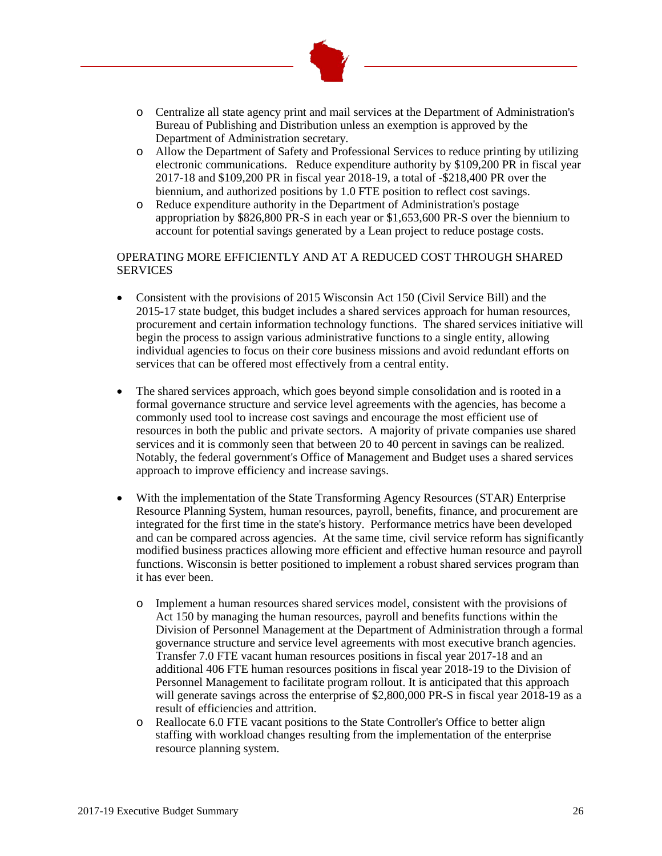

- o Centralize all state agency print and mail services at the Department of Administration's Bureau of Publishing and Distribution unless an exemption is approved by the Department of Administration secretary.
- o Allow the Department of Safety and Professional Services to reduce printing by utilizing electronic communications. Reduce expenditure authority by \$109,200 PR in fiscal year 2017-18 and \$109,200 PR in fiscal year 2018-19, a total of -\$218,400 PR over the biennium, and authorized positions by 1.0 FTE position to reflect cost savings.
- o Reduce expenditure authority in the Department of Administration's postage appropriation by \$826,800 PR-S in each year or \$1,653,600 PR-S over the biennium to account for potential savings generated by a Lean project to reduce postage costs.

#### OPERATING MORE EFFICIENTLY AND AT A REDUCED COST THROUGH SHARED **SERVICES**

- Consistent with the provisions of 2015 Wisconsin Act 150 (Civil Service Bill) and the 2015-17 state budget, this budget includes a shared services approach for human resources, procurement and certain information technology functions. The shared services initiative will begin the process to assign various administrative functions to a single entity, allowing individual agencies to focus on their core business missions and avoid redundant efforts on services that can be offered most effectively from a central entity.
- The shared services approach, which goes beyond simple consolidation and is rooted in a formal governance structure and service level agreements with the agencies, has become a commonly used tool to increase cost savings and encourage the most efficient use of resources in both the public and private sectors. A majority of private companies use shared services and it is commonly seen that between 20 to 40 percent in savings can be realized. Notably, the federal government's Office of Management and Budget uses a shared services approach to improve efficiency and increase savings.
- With the implementation of the State Transforming Agency Resources (STAR) Enterprise Resource Planning System, human resources, payroll, benefits, finance, and procurement are integrated for the first time in the state's history. Performance metrics have been developed and can be compared across agencies. At the same time, civil service reform has significantly modified business practices allowing more efficient and effective human resource and payroll functions. Wisconsin is better positioned to implement a robust shared services program than it has ever been.
	- o Implement a human resources shared services model, consistent with the provisions of Act 150 by managing the human resources, payroll and benefits functions within the Division of Personnel Management at the Department of Administration through a formal governance structure and service level agreements with most executive branch agencies. Transfer 7.0 FTE vacant human resources positions in fiscal year 2017-18 and an additional 406 FTE human resources positions in fiscal year 2018-19 to the Division of Personnel Management to facilitate program rollout. It is anticipated that this approach will generate savings across the enterprise of \$2,800,000 PR-S in fiscal year 2018-19 as a result of efficiencies and attrition.
	- o Reallocate 6.0 FTE vacant positions to the State Controller's Office to better align staffing with workload changes resulting from the implementation of the enterprise resource planning system.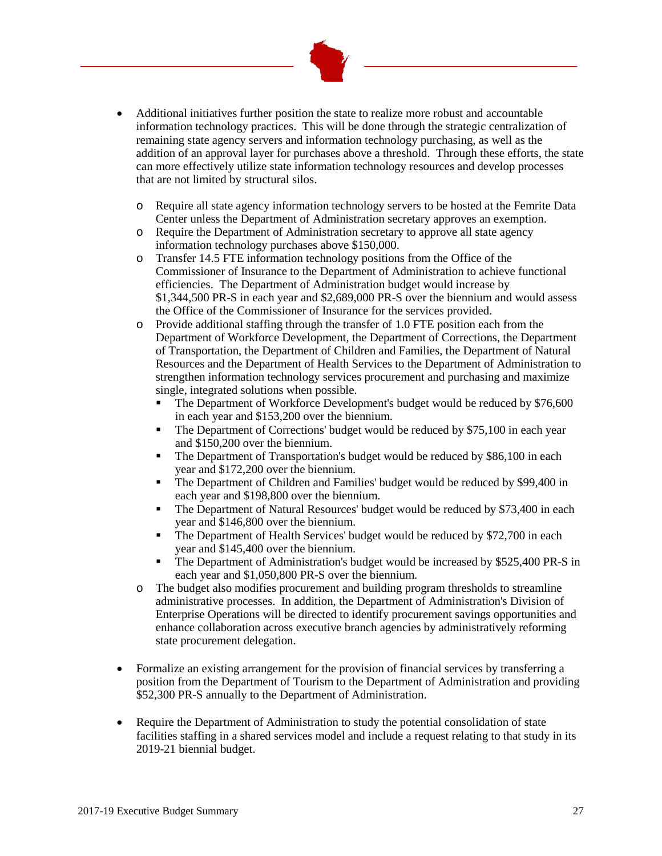

- Additional initiatives further position the state to realize more robust and accountable information technology practices. This will be done through the strategic centralization of remaining state agency servers and information technology purchasing, as well as the addition of an approval layer for purchases above a threshold. Through these efforts, the state can more effectively utilize state information technology resources and develop processes that are not limited by structural silos.
	- o Require all state agency information technology servers to be hosted at the Femrite Data Center unless the Department of Administration secretary approves an exemption.
	- o Require the Department of Administration secretary to approve all state agency information technology purchases above \$150,000.
	- o Transfer 14.5 FTE information technology positions from the Office of the Commissioner of Insurance to the Department of Administration to achieve functional efficiencies. The Department of Administration budget would increase by \$1,344,500 PR-S in each year and \$2,689,000 PR-S over the biennium and would assess the Office of the Commissioner of Insurance for the services provided.
	- o Provide additional staffing through the transfer of 1.0 FTE position each from the Department of Workforce Development, the Department of Corrections, the Department of Transportation, the Department of Children and Families, the Department of Natural Resources and the Department of Health Services to the Department of Administration to strengthen information technology services procurement and purchasing and maximize single, integrated solutions when possible.
		- The Department of Workforce Development's budget would be reduced by \$76,600 in each year and \$153,200 over the biennium.
		- The Department of Corrections' budget would be reduced by \$75,100 in each year and \$150,200 over the biennium.
		- The Department of Transportation's budget would be reduced by \$86,100 in each year and \$172,200 over the biennium.
		- The Department of Children and Families' budget would be reduced by \$99,400 in each year and \$198,800 over the biennium.
		- The Department of Natural Resources' budget would be reduced by \$73,400 in each year and \$146,800 over the biennium.
		- The Department of Health Services' budget would be reduced by \$72,700 in each year and \$145,400 over the biennium.
		- The Department of Administration's budget would be increased by \$525,400 PR-S in each year and \$1,050,800 PR-S over the biennium.
	- o The budget also modifies procurement and building program thresholds to streamline administrative processes. In addition, the Department of Administration's Division of Enterprise Operations will be directed to identify procurement savings opportunities and enhance collaboration across executive branch agencies by administratively reforming state procurement delegation.
- Formalize an existing arrangement for the provision of financial services by transferring a position from the Department of Tourism to the Department of Administration and providing \$52,300 PR-S annually to the Department of Administration.
- Require the Department of Administration to study the potential consolidation of state facilities staffing in a shared services model and include a request relating to that study in its 2019-21 biennial budget.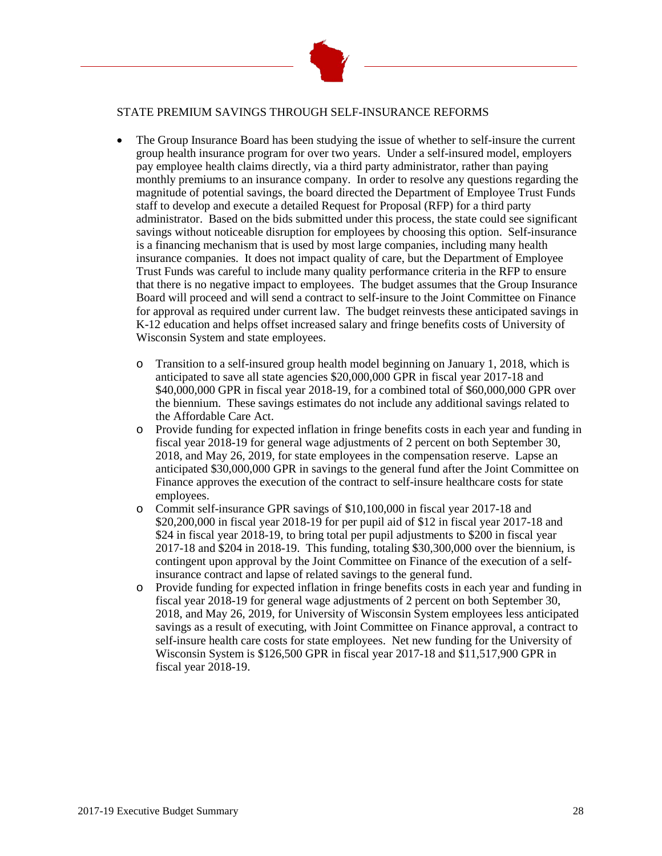

#### STATE PREMIUM SAVINGS THROUGH SELF-INSURANCE REFORMS

- The Group Insurance Board has been studying the issue of whether to self-insure the current group health insurance program for over two years. Under a self-insured model, employers pay employee health claims directly, via a third party administrator, rather than paying monthly premiums to an insurance company. In order to resolve any questions regarding the magnitude of potential savings, the board directed the Department of Employee Trust Funds staff to develop and execute a detailed Request for Proposal (RFP) for a third party administrator. Based on the bids submitted under this process, the state could see significant savings without noticeable disruption for employees by choosing this option. Self-insurance is a financing mechanism that is used by most large companies, including many health insurance companies. It does not impact quality of care, but the Department of Employee Trust Funds was careful to include many quality performance criteria in the RFP to ensure that there is no negative impact to employees. The budget assumes that the Group Insurance Board will proceed and will send a contract to self-insure to the Joint Committee on Finance for approval as required under current law. The budget reinvests these anticipated savings in K-12 education and helps offset increased salary and fringe benefits costs of University of Wisconsin System and state employees.
	- o Transition to a self-insured group health model beginning on January 1, 2018, which is anticipated to save all state agencies \$20,000,000 GPR in fiscal year 2017-18 and \$40,000,000 GPR in fiscal year 2018-19, for a combined total of \$60,000,000 GPR over the biennium. These savings estimates do not include any additional savings related to the Affordable Care Act.
	- o Provide funding for expected inflation in fringe benefits costs in each year and funding in fiscal year 2018-19 for general wage adjustments of 2 percent on both September 30, 2018, and May 26, 2019, for state employees in the compensation reserve. Lapse an anticipated \$30,000,000 GPR in savings to the general fund after the Joint Committee on Finance approves the execution of the contract to self-insure healthcare costs for state employees.
	- o Commit self-insurance GPR savings of \$10,100,000 in fiscal year 2017-18 and \$20,200,000 in fiscal year 2018-19 for per pupil aid of \$12 in fiscal year 2017-18 and \$24 in fiscal year 2018-19, to bring total per pupil adjustments to \$200 in fiscal year 2017-18 and \$204 in 2018-19. This funding, totaling \$30,300,000 over the biennium, is contingent upon approval by the Joint Committee on Finance of the execution of a selfinsurance contract and lapse of related savings to the general fund.
	- o Provide funding for expected inflation in fringe benefits costs in each year and funding in fiscal year 2018-19 for general wage adjustments of 2 percent on both September 30, 2018, and May 26, 2019, for University of Wisconsin System employees less anticipated savings as a result of executing, with Joint Committee on Finance approval, a contract to self-insure health care costs for state employees. Net new funding for the University of Wisconsin System is \$126,500 GPR in fiscal year 2017-18 and \$11,517,900 GPR in fiscal year 2018-19.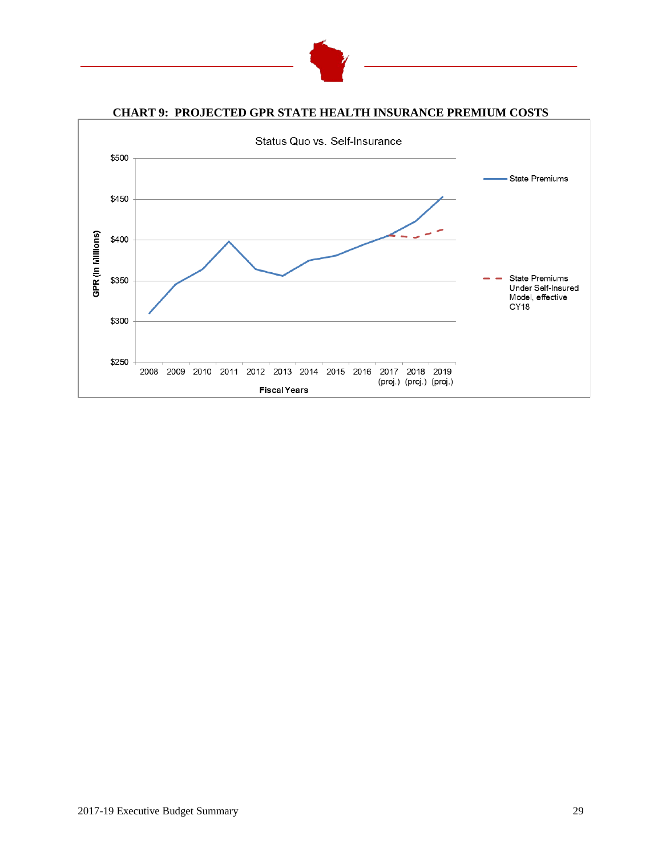

#### **CHART 9: PROJECTED GPR STATE HEALTH INSURANCE PREMIUM COSTS**

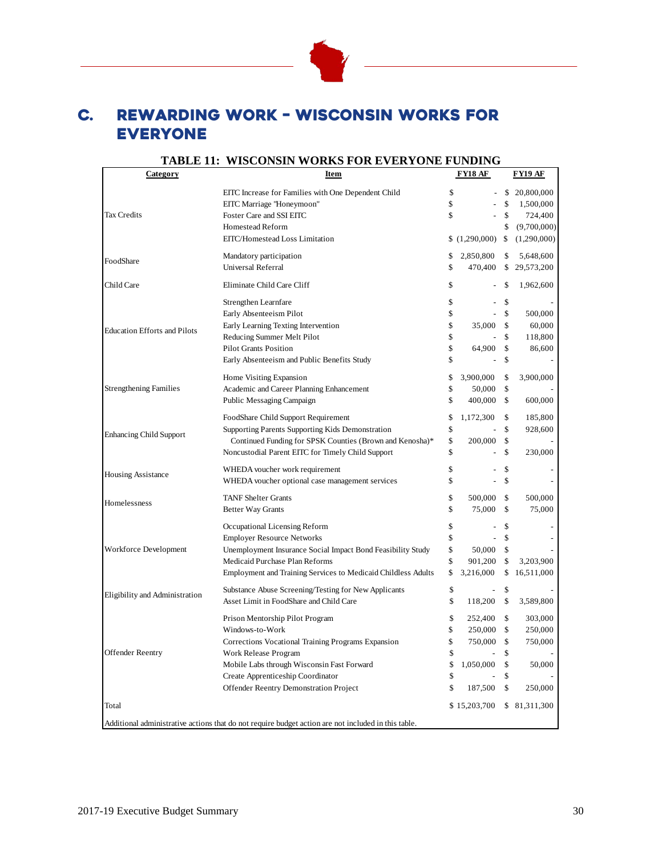

# c. Rewarding work – WISCONSIN WORKS FOR EVERYONE

| TABLE 11: WISCONSIN WORKS FOR EVERYONE FUNDING |                                                                                                                                                                                                                                      |                                  |                                                                                                                           |                                       |                                                                  |  |  |
|------------------------------------------------|--------------------------------------------------------------------------------------------------------------------------------------------------------------------------------------------------------------------------------------|----------------------------------|---------------------------------------------------------------------------------------------------------------------------|---------------------------------------|------------------------------------------------------------------|--|--|
| <b>Category</b>                                | Item                                                                                                                                                                                                                                 |                                  | <b>FY18 AF</b>                                                                                                            |                                       | <b>FY19 AF</b>                                                   |  |  |
| <b>Tax Credits</b>                             | EITC Increase for Families with One Dependent Child<br>EITC Marriage "Honeymoon"<br>Foster Care and SSI EITC<br>Homestead Reform<br>EITC/Homestead Loss Limitation                                                                   | \$<br>\$<br>\$                   | $$(1,290,000)$ \,                                                                                                         | \$<br>$\mathbb{S}$<br>\$              | 20,800,000<br>1,500,000<br>724,400<br>(9,700,000)<br>(1,290,000) |  |  |
| FoodShare                                      | Mandatory participation<br><b>Universal Referral</b>                                                                                                                                                                                 | \$<br>\$                         | 2,850,800<br>470,400                                                                                                      | \$                                    | 5,648,600<br>\$29,573,200                                        |  |  |
| Child Care                                     | Eliminate Child Care Cliff                                                                                                                                                                                                           | \$                               |                                                                                                                           | \$                                    | 1,962,600                                                        |  |  |
| <b>Education Efforts and Pilots</b>            | Strengthen Learnfare<br>Early Absenteeism Pilot<br>Early Learning Texting Intervention<br>Reducing Summer Melt Pilot<br><b>Pilot Grants Position</b><br>Early Absenteeism and Public Benefits Study                                  | \$<br>\$<br>\$<br>\$<br>\$<br>\$ | $\overline{\phantom{a}}$<br>$\overline{\phantom{a}}$<br>35,000<br>$\overline{\phantom{a}}$<br>64,900 \$<br>$\overline{a}$ | \$<br>\$<br><sup>\$</sup><br>\$<br>\$ | 500,000<br>60,000<br>118,800<br>86,600                           |  |  |
| <b>Strengthening Families</b>                  | Home Visiting Expansion<br>Academic and Career Planning Enhancement<br>Public Messaging Campaign                                                                                                                                     | \$<br>\$<br>\$                   | 3,900,000<br>50,000<br>400,000                                                                                            | \$<br>\$<br>\$                        | 3,900,000<br>600,000                                             |  |  |
| <b>Enhancing Child Support</b>                 | FoodShare Child Support Requirement<br>Supporting Parents Supporting Kids Demonstration<br>Continued Funding for SPSK Counties (Brown and Kenosha)*<br>Noncustodial Parent EITC for Timely Child Support                             | \$<br>\$<br>\$<br>\$             | 1,172,300<br>200,000                                                                                                      | \$<br>\$<br>\$<br>\$                  | 185,800<br>928,600<br>230,000                                    |  |  |
| <b>Housing Assistance</b>                      | WHEDA voucher work requirement<br>WHEDA voucher optional case management services                                                                                                                                                    | \$<br>\$                         | $\overline{a}$<br>$\overline{a}$                                                                                          | \$<br>\$                              |                                                                  |  |  |
| Homelessness                                   | <b>TANF Shelter Grants</b><br><b>Better Way Grants</b>                                                                                                                                                                               | \$<br>\$                         | 500,000<br>75,000                                                                                                         | \$<br>\$                              | 500,000<br>75,000                                                |  |  |
| Workforce Development                          | Occupational Licensing Reform<br><b>Employer Resource Networks</b><br>Unemployment Insurance Social Impact Bond Feasibility Study<br>Medicaid Purchase Plan Reforms<br>Employment and Training Services to Medicaid Childless Adults | \$<br>\$<br>\$<br>\$<br>\$       | $\frac{1}{2}$<br>50,000<br>901,200<br>3,216,000                                                                           | \$<br>\$<br>\$<br>\$<br>\$            | 3,203,900<br>16,511,000                                          |  |  |
| Eligibility and Administration                 | Substance Abuse Screening/Testing for New Applicants<br>Asset Limit in FoodShare and Child Care                                                                                                                                      | \$<br>\$                         | 118,200                                                                                                                   | \$<br>\$                              | 3,589,800                                                        |  |  |
| Offender Reentry                               | Prison Mentorship Pilot Program<br>Windows-to-Work<br>Corrections Vocational Training Programs Expansion<br>Work Release Program<br>Mobile Labs through Wisconsin Fast Forward                                                       | \$<br>\$<br>\$<br>\$<br>\$       | 252,400<br>250,000<br>750,000<br>1,050,000                                                                                | \$<br>\$<br>\$<br>\$<br>\$            | 303,000<br>250,000<br>750,000<br>50,000                          |  |  |
| Total                                          | Create Apprenticeship Coordinator<br>Offender Reentry Demonstration Project                                                                                                                                                          | \$<br>\$                         | 187,500<br>\$15,203,700                                                                                                   | \$<br>\$                              | 250,000<br>\$ 81,311,300                                         |  |  |
|                                                | Additional administrative actions that do not require budget action are not included in this table.                                                                                                                                  |                                  |                                                                                                                           |                                       |                                                                  |  |  |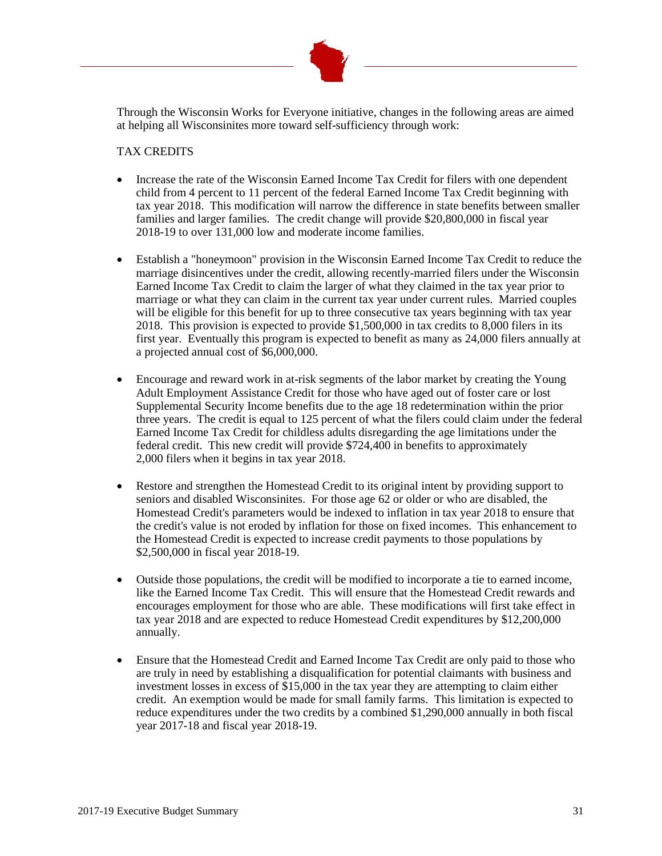

Through the Wisconsin Works for Everyone initiative, changes in the following areas are aimed at helping all Wisconsinites more toward self-sufficiency through work:

#### TAX CREDITS

- Increase the rate of the Wisconsin Earned Income Tax Credit for filers with one dependent child from 4 percent to 11 percent of the federal Earned Income Tax Credit beginning with tax year 2018. This modification will narrow the difference in state benefits between smaller families and larger families. The credit change will provide \$20,800,000 in fiscal year 2018-19 to over 131,000 low and moderate income families.
- Establish a "honeymoon" provision in the Wisconsin Earned Income Tax Credit to reduce the marriage disincentives under the credit, allowing recently-married filers under the Wisconsin Earned Income Tax Credit to claim the larger of what they claimed in the tax year prior to marriage or what they can claim in the current tax year under current rules. Married couples will be eligible for this benefit for up to three consecutive tax years beginning with tax year 2018. This provision is expected to provide \$1,500,000 in tax credits to 8,000 filers in its first year. Eventually this program is expected to benefit as many as 24,000 filers annually at a projected annual cost of \$6,000,000.
- Encourage and reward work in at-risk segments of the labor market by creating the Young Adult Employment Assistance Credit for those who have aged out of foster care or lost Supplemental Security Income benefits due to the age 18 redetermination within the prior three years. The credit is equal to 125 percent of what the filers could claim under the federal Earned Income Tax Credit for childless adults disregarding the age limitations under the federal credit. This new credit will provide \$724,400 in benefits to approximately 2,000 filers when it begins in tax year 2018.
- Restore and strengthen the Homestead Credit to its original intent by providing support to seniors and disabled Wisconsinites. For those age 62 or older or who are disabled, the Homestead Credit's parameters would be indexed to inflation in tax year 2018 to ensure that the credit's value is not eroded by inflation for those on fixed incomes. This enhancement to the Homestead Credit is expected to increase credit payments to those populations by \$2,500,000 in fiscal year 2018-19.
- Outside those populations, the credit will be modified to incorporate a tie to earned income, like the Earned Income Tax Credit. This will ensure that the Homestead Credit rewards and encourages employment for those who are able. These modifications will first take effect in tax year 2018 and are expected to reduce Homestead Credit expenditures by \$12,200,000 annually.
- Ensure that the Homestead Credit and Earned Income Tax Credit are only paid to those who are truly in need by establishing a disqualification for potential claimants with business and investment losses in excess of \$15,000 in the tax year they are attempting to claim either credit. An exemption would be made for small family farms. This limitation is expected to reduce expenditures under the two credits by a combined \$1,290,000 annually in both fiscal year 2017-18 and fiscal year 2018-19.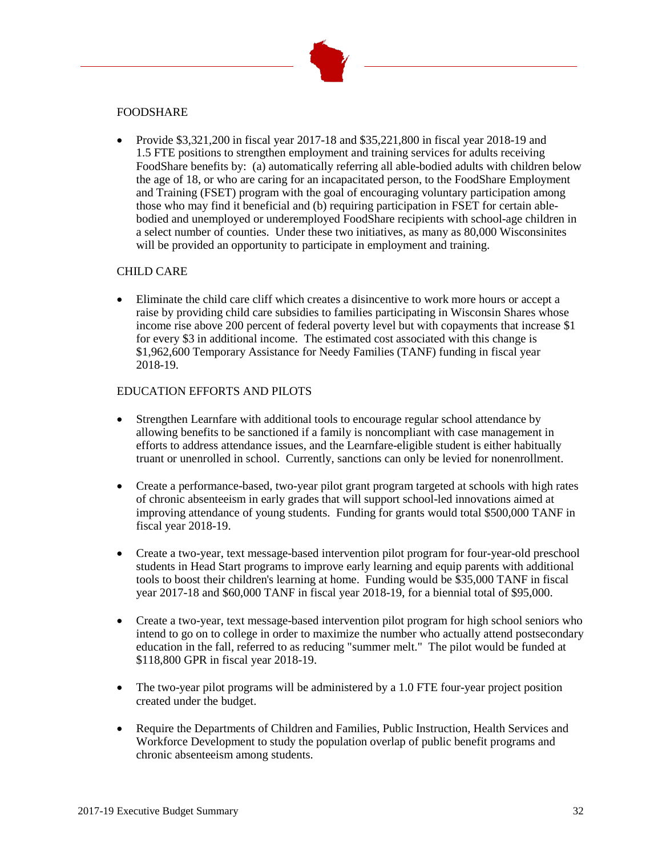

### FOODSHARE

• Provide  $$3,321,200$  in fiscal year 2017-18 and  $$35,221,800$  in fiscal year 2018-19 and 1.5 FTE positions to strengthen employment and training services for adults receiving FoodShare benefits by: (a) automatically referring all able-bodied adults with children below the age of 18, or who are caring for an incapacitated person, to the FoodShare Employment and Training (FSET) program with the goal of encouraging voluntary participation among those who may find it beneficial and (b) requiring participation in FSET for certain ablebodied and unemployed or underemployed FoodShare recipients with school-age children in a select number of counties. Under these two initiatives, as many as 80,000 Wisconsinites will be provided an opportunity to participate in employment and training.

### CHILD CARE

• Eliminate the child care cliff which creates a disincentive to work more hours or accept a raise by providing child care subsidies to families participating in Wisconsin Shares whose income rise above 200 percent of federal poverty level but with copayments that increase \$1 for every \$3 in additional income. The estimated cost associated with this change is \$1,962,600 Temporary Assistance for Needy Families (TANF) funding in fiscal year 2018-19.

### EDUCATION EFFORTS AND PILOTS

- Strengthen Learnfare with additional tools to encourage regular school attendance by allowing benefits to be sanctioned if a family is noncompliant with case management in efforts to address attendance issues, and the Learnfare-eligible student is either habitually truant or unenrolled in school. Currently, sanctions can only be levied for nonenrollment.
- Create a performance-based, two-year pilot grant program targeted at schools with high rates of chronic absenteeism in early grades that will support school-led innovations aimed at improving attendance of young students. Funding for grants would total \$500,000 TANF in fiscal year 2018-19.
- Create a two-year, text message-based intervention pilot program for four-year-old preschool students in Head Start programs to improve early learning and equip parents with additional tools to boost their children's learning at home. Funding would be \$35,000 TANF in fiscal year 2017-18 and \$60,000 TANF in fiscal year 2018-19, for a biennial total of \$95,000.
- Create a two-year, text message-based intervention pilot program for high school seniors who intend to go on to college in order to maximize the number who actually attend postsecondary education in the fall, referred to as reducing "summer melt." The pilot would be funded at \$118,800 GPR in fiscal year 2018-19.
- The two-year pilot programs will be administered by a 1.0 FTE four-year project position created under the budget.
- Require the Departments of Children and Families, Public Instruction, Health Services and Workforce Development to study the population overlap of public benefit programs and chronic absenteeism among students.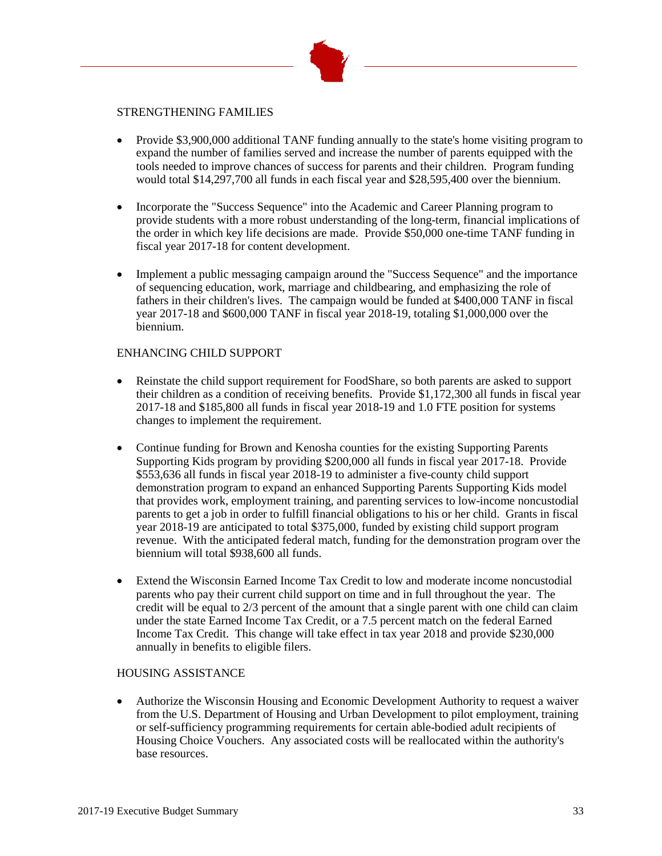

#### STRENGTHENING FAMILIES

- Provide \$3,900,000 additional TANF funding annually to the state's home visiting program to expand the number of families served and increase the number of parents equipped with the tools needed to improve chances of success for parents and their children. Program funding would total \$14,297,700 all funds in each fiscal year and \$28,595,400 over the biennium.
- Incorporate the "Success Sequence" into the Academic and Career Planning program to provide students with a more robust understanding of the long-term, financial implications of the order in which key life decisions are made. Provide \$50,000 one-time TANF funding in fiscal year 2017-18 for content development.
- Implement a public messaging campaign around the "Success Sequence" and the importance of sequencing education, work, marriage and childbearing, and emphasizing the role of fathers in their children's lives. The campaign would be funded at \$400,000 TANF in fiscal year 2017-18 and \$600,000 TANF in fiscal year 2018-19, totaling \$1,000,000 over the biennium.

### ENHANCING CHILD SUPPORT

- Reinstate the child support requirement for FoodShare, so both parents are asked to support their children as a condition of receiving benefits. Provide \$1,172,300 all funds in fiscal year 2017-18 and \$185,800 all funds in fiscal year 2018-19 and 1.0 FTE position for systems changes to implement the requirement.
- Continue funding for Brown and Kenosha counties for the existing Supporting Parents Supporting Kids program by providing \$200,000 all funds in fiscal year 2017-18. Provide \$553,636 all funds in fiscal year 2018-19 to administer a five-county child support demonstration program to expand an enhanced Supporting Parents Supporting Kids model that provides work, employment training, and parenting services to low-income noncustodial parents to get a job in order to fulfill financial obligations to his or her child. Grants in fiscal year 2018-19 are anticipated to total \$375,000, funded by existing child support program revenue. With the anticipated federal match, funding for the demonstration program over the biennium will total \$938,600 all funds.
- Extend the Wisconsin Earned Income Tax Credit to low and moderate income noncustodial parents who pay their current child support on time and in full throughout the year. The credit will be equal to 2/3 percent of the amount that a single parent with one child can claim under the state Earned Income Tax Credit, or a 7.5 percent match on the federal Earned Income Tax Credit. This change will take effect in tax year 2018 and provide \$230,000 annually in benefits to eligible filers.

### HOUSING ASSISTANCE

• Authorize the Wisconsin Housing and Economic Development Authority to request a waiver from the U.S. Department of Housing and Urban Development to pilot employment, training or self-sufficiency programming requirements for certain able-bodied adult recipients of Housing Choice Vouchers. Any associated costs will be reallocated within the authority's base resources.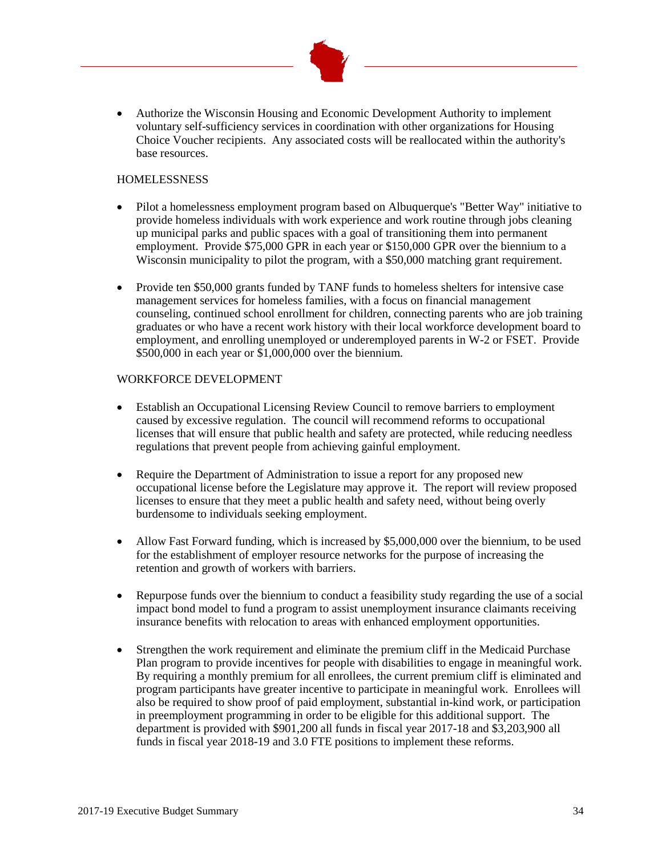

• Authorize the Wisconsin Housing and Economic Development Authority to implement voluntary self-sufficiency services in coordination with other organizations for Housing Choice Voucher recipients. Any associated costs will be reallocated within the authority's base resources.

### **HOMELESSNESS**

- Pilot a homelessness employment program based on Albuquerque's "Better Way" initiative to provide homeless individuals with work experience and work routine through jobs cleaning up municipal parks and public spaces with a goal of transitioning them into permanent employment. Provide \$75,000 GPR in each year or \$150,000 GPR over the biennium to a Wisconsin municipality to pilot the program, with a \$50,000 matching grant requirement.
- Provide ten \$50,000 grants funded by TANF funds to homeless shelters for intensive case management services for homeless families, with a focus on financial management counseling, continued school enrollment for children, connecting parents who are job training graduates or who have a recent work history with their local workforce development board to employment, and enrolling unemployed or underemployed parents in W-2 or FSET. Provide \$500,000 in each year or \$1,000,000 over the biennium.

#### WORKFORCE DEVELOPMENT

- Establish an Occupational Licensing Review Council to remove barriers to employment caused by excessive regulation. The council will recommend reforms to occupational licenses that will ensure that public health and safety are protected, while reducing needless regulations that prevent people from achieving gainful employment.
- Require the Department of Administration to issue a report for any proposed new occupational license before the Legislature may approve it. The report will review proposed licenses to ensure that they meet a public health and safety need, without being overly burdensome to individuals seeking employment.
- Allow Fast Forward funding, which is increased by \$5,000,000 over the biennium, to be used for the establishment of employer resource networks for the purpose of increasing the retention and growth of workers with barriers.
- Repurpose funds over the biennium to conduct a feasibility study regarding the use of a social impact bond model to fund a program to assist unemployment insurance claimants receiving insurance benefits with relocation to areas with enhanced employment opportunities.
- Strengthen the work requirement and eliminate the premium cliff in the Medicaid Purchase Plan program to provide incentives for people with disabilities to engage in meaningful work. By requiring a monthly premium for all enrollees, the current premium cliff is eliminated and program participants have greater incentive to participate in meaningful work. Enrollees will also be required to show proof of paid employment, substantial in-kind work, or participation in preemployment programming in order to be eligible for this additional support. The department is provided with \$901,200 all funds in fiscal year 2017-18 and \$3,203,900 all funds in fiscal year 2018-19 and 3.0 FTE positions to implement these reforms.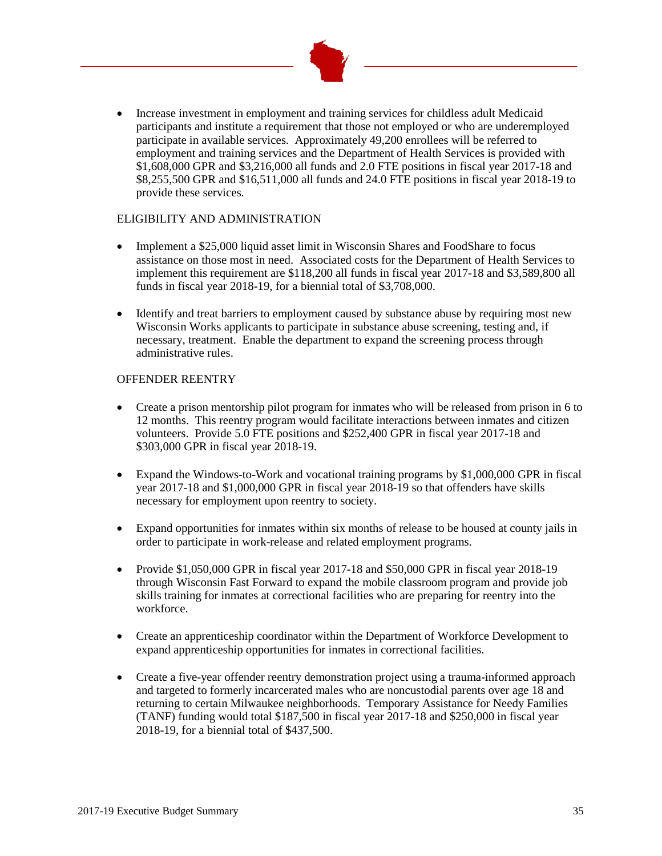

• Increase investment in employment and training services for childless adult Medicaid participants and institute a requirement that those not employed or who are underemployed participate in available services. Approximately 49,200 enrollees will be referred to employment and training services and the Department of Health Services is provided with \$1,608,000 GPR and \$3,216,000 all funds and 2.0 FTE positions in fiscal year 2017-18 and \$8,255,500 GPR and \$16,511,000 all funds and 24.0 FTE positions in fiscal year 2018-19 to provide these services.

#### ELIGIBILITY AND ADMINISTRATION

- Implement a \$25,000 liquid asset limit in Wisconsin Shares and FoodShare to focus assistance on those most in need. Associated costs for the Department of Health Services to implement this requirement are \$118,200 all funds in fiscal year 2017-18 and \$3,589,800 all funds in fiscal year 2018-19, for a biennial total of \$3,708,000.
- Identify and treat barriers to employment caused by substance abuse by requiring most new Wisconsin Works applicants to participate in substance abuse screening, testing and, if necessary, treatment. Enable the department to expand the screening process through administrative rules.

### OFFENDER REENTRY

- Create a prison mentorship pilot program for inmates who will be released from prison in 6 to 12 months. This reentry program would facilitate interactions between inmates and citizen volunteers. Provide 5.0 FTE positions and \$252,400 GPR in fiscal year 2017-18 and \$303,000 GPR in fiscal year 2018-19.
- Expand the Windows-to-Work and vocational training programs by \$1,000,000 GPR in fiscal year 2017-18 and \$1,000,000 GPR in fiscal year 2018-19 so that offenders have skills necessary for employment upon reentry to society.
- Expand opportunities for inmates within six months of release to be housed at county jails in order to participate in work-release and related employment programs.
- Provide \$1,050,000 GPR in fiscal year 2017-18 and \$50,000 GPR in fiscal year 2018-19 through Wisconsin Fast Forward to expand the mobile classroom program and provide job skills training for inmates at correctional facilities who are preparing for reentry into the workforce.
- Create an apprenticeship coordinator within the Department of Workforce Development to expand apprenticeship opportunities for inmates in correctional facilities.
- Create a five-year offender reentry demonstration project using a trauma-informed approach and targeted to formerly incarcerated males who are noncustodial parents over age 18 and returning to certain Milwaukee neighborhoods. Temporary Assistance for Needy Families (TANF) funding would total \$187,500 in fiscal year 2017-18 and \$250,000 in fiscal year 2018-19, for a biennial total of \$437,500.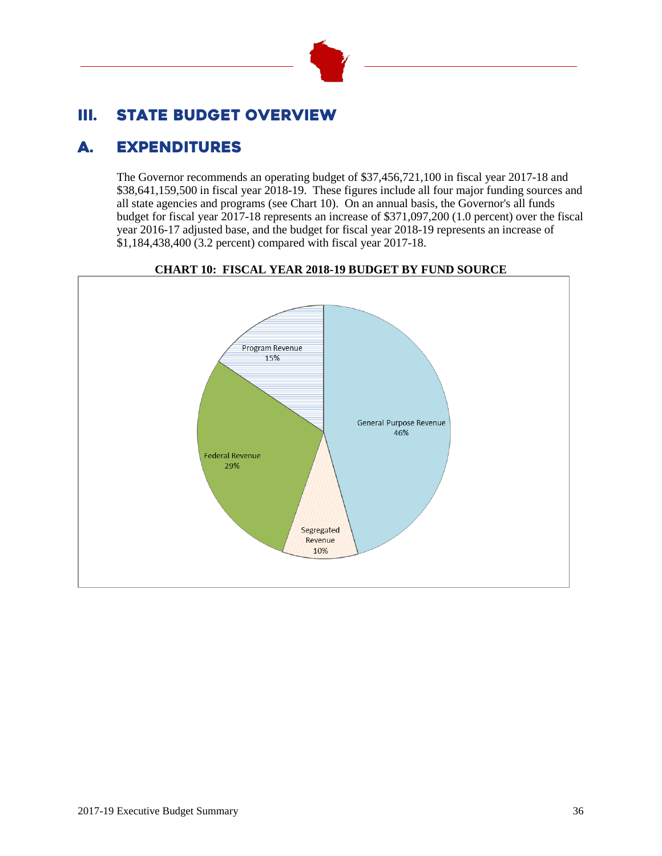

### III. State budget overview

# a. Expenditures

The Governor recommends an operating budget of \$37,456,721,100 in fiscal year 2017-18 and \$38,641,159,500 in fiscal year 2018-19. These figures include all four major funding sources and all state agencies and programs (see Chart 10). On an annual basis, the Governor's all funds budget for fiscal year 2017-18 represents an increase of \$371,097,200 (1.0 percent) over the fiscal year 2016-17 adjusted base, and the budget for fiscal year 2018-19 represents an increase of \$1,184,438,400 (3.2 percent) compared with fiscal year 2017-18.



### **CHART 10: FISCAL YEAR 2018-19 BUDGET BY FUND SOURCE**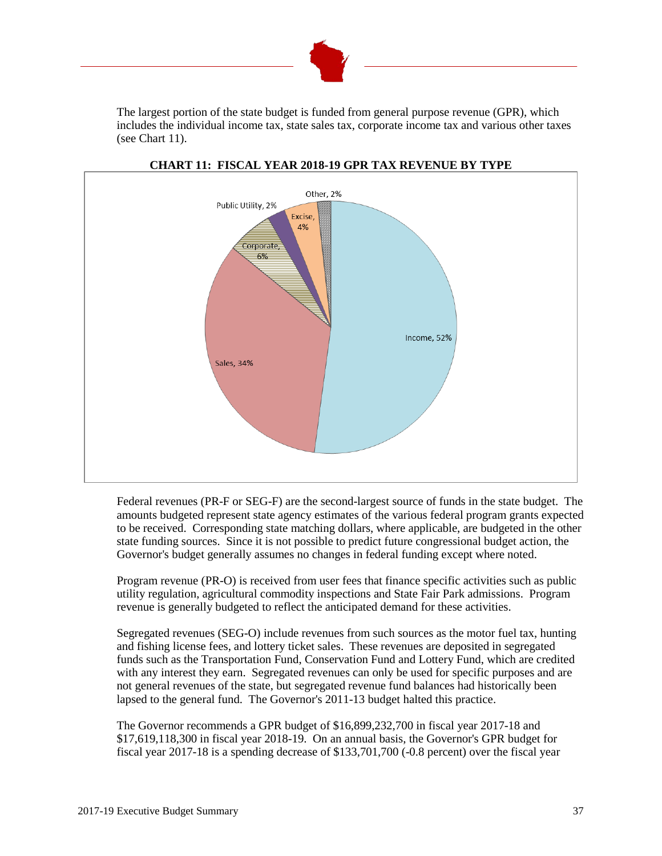

The largest portion of the state budget is funded from general purpose revenue (GPR), which includes the individual income tax, state sales tax, corporate income tax and various other taxes (see Chart 11).





Federal revenues (PR-F or SEG-F) are the second-largest source of funds in the state budget. The amounts budgeted represent state agency estimates of the various federal program grants expected to be received. Corresponding state matching dollars, where applicable, are budgeted in the other state funding sources. Since it is not possible to predict future congressional budget action, the Governor's budget generally assumes no changes in federal funding except where noted.

Program revenue (PR-O) is received from user fees that finance specific activities such as public utility regulation, agricultural commodity inspections and State Fair Park admissions. Program revenue is generally budgeted to reflect the anticipated demand for these activities.

Segregated revenues (SEG-O) include revenues from such sources as the motor fuel tax, hunting and fishing license fees, and lottery ticket sales. These revenues are deposited in segregated funds such as the Transportation Fund, Conservation Fund and Lottery Fund, which are credited with any interest they earn. Segregated revenues can only be used for specific purposes and are not general revenues of the state, but segregated revenue fund balances had historically been lapsed to the general fund. The Governor's 2011-13 budget halted this practice.

The Governor recommends a GPR budget of \$16,899,232,700 in fiscal year 2017-18 and \$17,619,118,300 in fiscal year 2018-19. On an annual basis, the Governor's GPR budget for fiscal year 2017-18 is a spending decrease of \$133,701,700 (-0.8 percent) over the fiscal year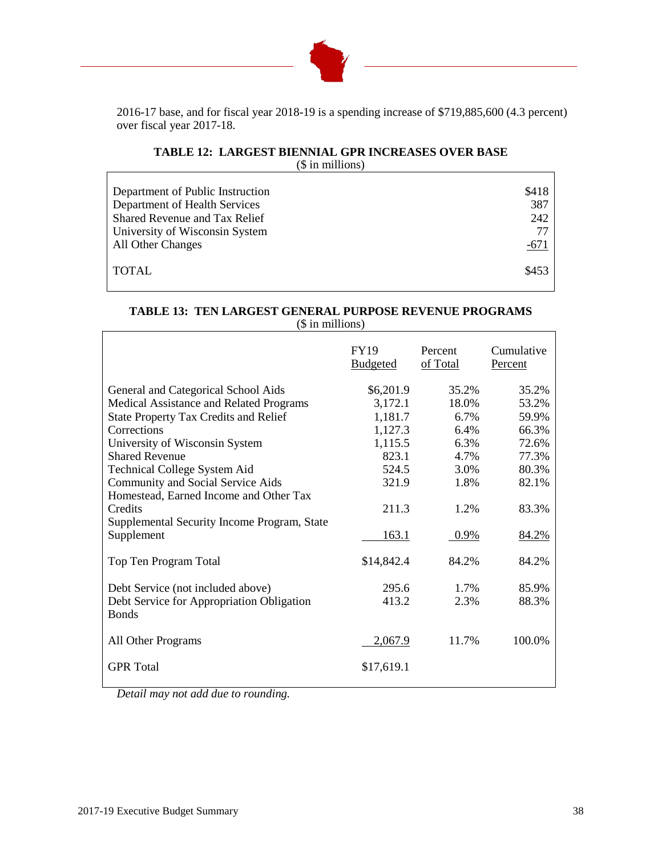

2016-17 base, and for fiscal year 2018-19 is a spending increase of \$719,885,600 (4.3 percent) over fiscal year 2017-18.

#### **TABLE 12: LARGEST BIENNIAL GPR INCREASES OVER BASE** (\$ in millions)

| Department of Public Instruction<br>Department of Health Services<br>Shared Revenue and Tax Relief<br>University of Wisconsin System<br>All Other Changes | \$418<br>387<br>242<br>$-671$ |
|-----------------------------------------------------------------------------------------------------------------------------------------------------------|-------------------------------|
| <b>TOTAL</b>                                                                                                                                              | \$453                         |

### **TABLE 13: TEN LARGEST GENERAL PURPOSE REVENUE PROGRAMS** (\$ in millions)

|                                                           | <b>FY19</b><br><b>Budgeted</b> | Percent<br>of Total | Cumulative<br>Percent |
|-----------------------------------------------------------|--------------------------------|---------------------|-----------------------|
| General and Categorical School Aids                       | \$6,201.9                      | 35.2%               | 35.2%                 |
| Medical Assistance and Related Programs                   | 3,172.1                        | 18.0%               | 53.2%                 |
| <b>State Property Tax Credits and Relief</b>              | 1,181.7                        | $6.7\%$             | 59.9%                 |
| Corrections                                               | 1,127.3                        | $6.4\%$             | 66.3%                 |
| University of Wisconsin System                            | 1,115.5                        | $6.3\%$             | 72.6%                 |
| <b>Shared Revenue</b>                                     | 823.1                          | 4.7%                | 77.3%                 |
| <b>Technical College System Aid</b>                       | 524.5                          | 3.0%                | 80.3%                 |
| Community and Social Service Aids                         | 321.9                          | 1.8%                | 82.1%                 |
| Homestead, Earned Income and Other Tax                    |                                |                     |                       |
| Credits                                                   | 211.3                          | 1.2%                | 83.3%                 |
| Supplemental Security Income Program, State               |                                |                     |                       |
| Supplement                                                | 163.1                          | 0.9%                | <u>84.2%</u>          |
| Top Ten Program Total                                     | \$14,842.4                     | 84.2%               | 84.2%                 |
| Debt Service (not included above)                         | 295.6                          | 1.7%                | 85.9%                 |
| Debt Service for Appropriation Obligation<br><b>Bonds</b> | 413.2                          | 2.3%                | 88.3%                 |
| All Other Programs                                        | 2,067.9                        | 11.7%               | 100.0%                |
| <b>GPR</b> Total                                          | \$17,619.1                     |                     |                       |
|                                                           |                                |                     |                       |

*Detail may not add due to rounding.*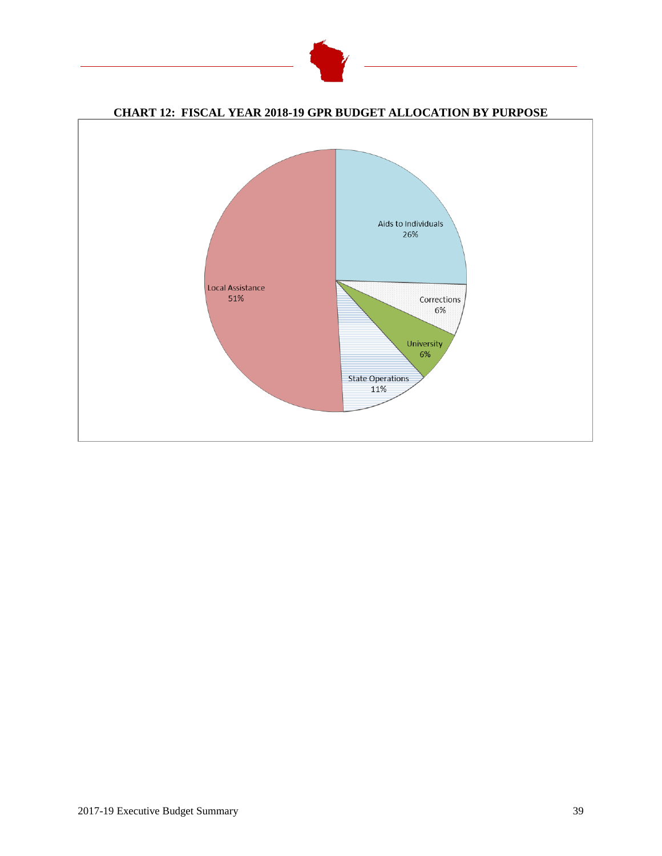

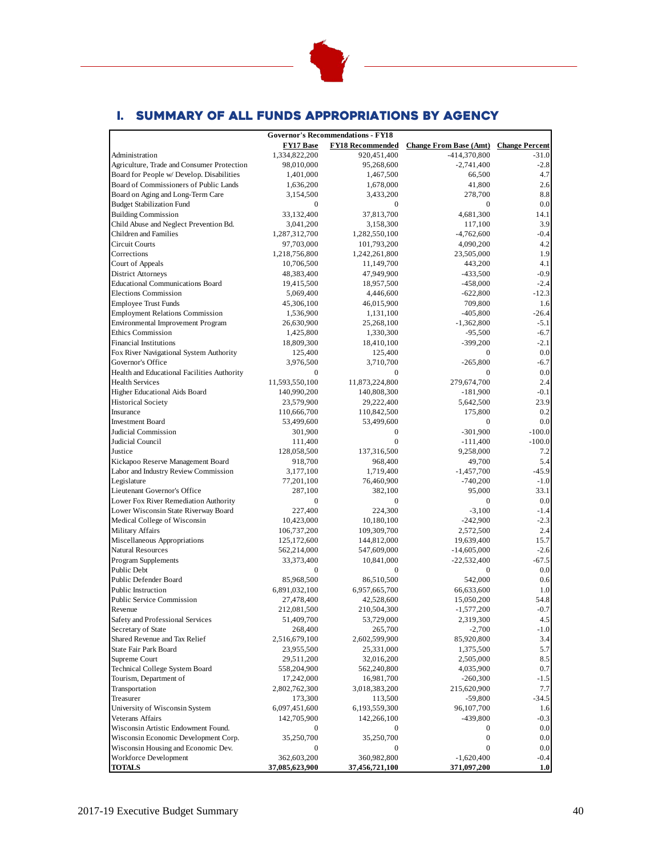

### i. Summary of all funds appropriations by agency

|                                                     |                       | <b>Governor's Recommendations - FY18</b> |                               |                       |
|-----------------------------------------------------|-----------------------|------------------------------------------|-------------------------------|-----------------------|
|                                                     | FY17 Base             | <b>FY18 Recommended</b>                  | <b>Change From Base (Amt)</b> | <b>Change Percent</b> |
| Administration                                      | 1,334,822,200         | 920,451,400                              | -414,370,800                  | $-31.0$               |
| Agriculture, Trade and Consumer Protection          | 98,010,000            | 95,268,600                               | $-2,741,400$                  | $-2.8$                |
| Board for People w/ Develop. Disabilities           | 1,401,000             | 1,467,500                                | 66,500                        | 4.7                   |
| Board of Commissioners of Public Lands              | 1,636,200             | 1,678,000                                | 41,800                        | 2.6                   |
| Board on Aging and Long-Term Care                   | 3,154,500             | 3,433,200                                | 278,700                       | 8.8                   |
| <b>Budget Stabilization Fund</b>                    | $\mathbf{0}$          | $\mathbf{0}$                             | $\mathbf{0}$                  | 0.0                   |
| <b>Building Commission</b>                          | 33,132,400            | 37,813,700                               | 4,681,300                     | 14.1                  |
| Child Abuse and Neglect Prevention Bd.              | 3,041,200             | 3,158,300                                | 117,100                       | 3.9                   |
| Children and Families                               | 1,287,312,700         | 1,282,550,100                            | -4,762,600                    | $-0.4$                |
| <b>Circuit Courts</b>                               | 97,703,000            | 101,793,200                              | 4,090,200                     | 4.2                   |
| Corrections                                         | 1,218,756,800         | 1,242,261,800                            | 23,505,000                    | 1.9                   |
| Court of Appeals                                    | 10,706,500            | 11,149,700                               | 443,200                       | 4.1                   |
| District Attorneys                                  | 48,383,400            | 47,949,900                               | $-433,500$                    | $-0.9$                |
| <b>Educational Communications Board</b>             | 19,415,500            | 18,957,500                               | $-458,000$                    | $-2.4$                |
| <b>Elections Commission</b>                         | 5,069,400             | 4,446,600                                | $-622,800$                    | $-12.3$               |
| <b>Employee Trust Funds</b>                         | 45,306,100            | 46,015,900                               | 709,800                       | 1.6                   |
| <b>Employment Relations Commission</b>              | 1,536,900             | 1,131,100                                | $-405,800$                    | $-26.4$               |
| Environmental Improvement Program                   | 26,630,900            | 25,268,100                               | $-1,362,800$                  | $-5.1$                |
| <b>Ethics Commission</b>                            | 1,425,800             | 1,330,300                                | $-95,500$                     | $-6.7$                |
| <b>Financial Institutions</b>                       | 18,809,300            | 18,410,100                               | $-399,200$                    | $-2.1$                |
| Fox River Navigational System Authority             | 125,400               | 125,400                                  | $\mathbf{0}$                  | 0.0                   |
| Governor's Office                                   | 3,976,500             | 3,710,700                                | $-265,800$                    | $-6.7$                |
| Health and Educational Facilities Authority         | $\mathbf{0}$          | $\mathbf{0}$                             | $\mathbf{0}$                  | 0.0                   |
| <b>Health Services</b>                              | 11,593,550,100        | 11,873,224,800                           | 279,674,700                   | 2.4                   |
| Higher Educational Aids Board                       | 140,990,200           | 140,808,300                              | $-181,900$                    | $-0.1$                |
| <b>Historical Society</b>                           | 23,579,900            | 29,222,400                               | 5,642,500                     | 23.9                  |
| Insurance                                           | 110,666,700           | 110,842,500                              | 175,800                       | 0.2                   |
| <b>Investment Board</b>                             | 53,499,600            | 53,499,600                               | $\mathbf{0}$                  | 0.0                   |
| Judicial Commission                                 | 301,900               | $\mathbf{0}$<br>$\mathbf{0}$             | $-301,900$                    | $-100.0$              |
| Judicial Council<br>Justice                         | 111,400               |                                          | $-111,400$                    | $-100.0$              |
|                                                     | 128,058,500           | 137,316,500                              | 9,258,000                     | 7.2<br>5.4            |
| Kickapoo Reserve Management Board                   | 918,700               | 968,400                                  | 49,700                        | $-45.9$               |
| Labor and Industry Review Commission<br>Legislature | 3,177,100             | 1,719,400                                | $-1,457,700$                  | $-1.0$                |
| Lieutenant Governor's Office                        | 77,201,100<br>287,100 | 76,460,900<br>382,100                    | $-740,200$<br>95,000          | 33.1                  |
| Lower Fox River Remediation Authority               | 0                     | $\mathbf{0}$                             | $\mathbf{0}$                  | 0.0                   |
| Lower Wisconsin State Riverway Board                | 227,400               | 224,300                                  | $-3,100$                      | $-1.4$                |
| Medical College of Wisconsin                        | 10,423,000            | 10,180,100                               | $-242,900$                    | $-2.3$                |
| Military Affairs                                    | 106,737,200           | 109,309,700                              | 2,572,500                     | 2.4                   |
| Miscellaneous Appropriations                        | 125,172,600           | 144,812,000                              | 19,639,400                    | 15.7                  |
| <b>Natural Resources</b>                            | 562,214,000           | 547,609,000                              | $-14,605,000$                 | $-2.6$                |
| <b>Program Supplements</b>                          | 33,373,400            | 10,841,000                               | $-22,532,400$                 | $-67.5$               |
| Public Debt                                         | 0                     | $\mathbf{0}$                             | $\boldsymbol{0}$              | 0.0                   |
| Public Defender Board                               | 85,968,500            | 86,510,500                               | 542,000                       | 0.6                   |
| Public Instruction                                  | 6,891,032,100         | 6,957,665,700                            | 66,633,600                    | 1.0                   |
| <b>Public Service Commission</b>                    | 27,478,400            | 42,528,600                               | 15,050,200                    | 54.8                  |
| Revenue                                             | 212,081,500           | 210,504,300                              | $-1,577,200$                  | $-0.7$                |
| Safety and Professional Services                    | 51,409,700            | 53,729,000                               | 2,319,300                     | $4.5\,$               |
| Secretary of State                                  | 268,400               | 265,700                                  | $-2,700$                      | $-1.0$                |
| Shared Revenue and Tax Relief                       | 2,516,679,100         | 2,602,599,900                            | 85,920,800                    | 3.4                   |
| State Fair Park Board                               | 23,955,500            | 25,331,000                               | 1,375,500                     | 5.7                   |
| Supreme Court                                       | 29,511,200            | 32,016,200                               | 2,505,000                     | 8.5                   |
| Technical College System Board                      | 558,204,900           | 562,240,800                              | 4,035,900                     | 0.7                   |
| Tourism, Department of                              | 17,242,000            | 16,981,700                               | $-260,300$                    | $-1.5$                |
| Transportation                                      | 2,802,762,300         | 3,018,383,200                            | 215,620,900                   | 7.7                   |
| Treasurer                                           | 173,300               | 113,500                                  | $-59,800$                     | $-34.5$               |
| University of Wisconsin System                      | 6,097,451,600         | 6,193,559,300                            | 96,107,700                    | 1.6                   |
| Veterans Affairs                                    | 142,705,900           | 142,266,100                              | -439,800                      | $-0.3$                |
| Wisconsin Artistic Endowment Found.                 | 0                     | $\mathbf{0}$                             | 0                             | 0.0                   |
| Wisconsin Economic Development Corp.                | 35,250,700            | 35,250,700                               | $\boldsymbol{0}$              | 0.0                   |
| Wisconsin Housing and Economic Dev.                 | $\boldsymbol{0}$      | $\mathbf{0}$                             | $\boldsymbol{0}$              | 0.0                   |
| Workforce Development                               | 362,603,200           | 360,982,800                              | $-1,620,400$                  | $-0.4$                |
| <b>TOTALS</b>                                       | 37,085,623,900        | 37,456,721,100                           | 371,097,200                   | 1.0                   |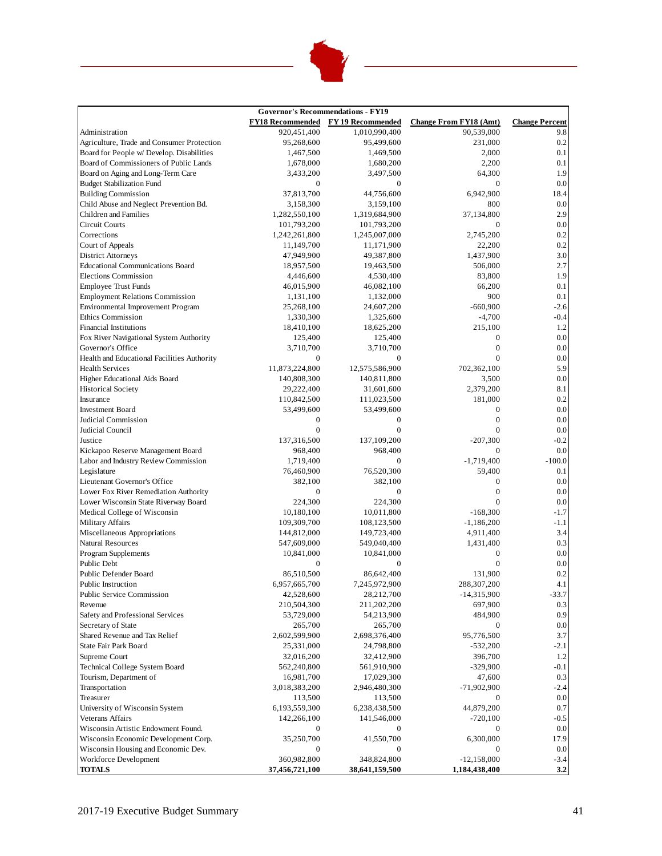

| <b>Governor's Recommendations - FY19</b>    |                  |                                   |                               |                       |  |
|---------------------------------------------|------------------|-----------------------------------|-------------------------------|-----------------------|--|
|                                             |                  | FY18 Recommended FY19 Recommended | <b>Change From FY18 (Amt)</b> | <b>Change Percent</b> |  |
| Administration                              | 920,451,400      | 1,010,990,400                     | 90,539,000                    | 9.8                   |  |
| Agriculture, Trade and Consumer Protection  | 95,268,600       | 95,499,600                        | 231,000                       | 0.2                   |  |
| Board for People w/ Develop. Disabilities   | 1,467,500        | 1,469,500                         | 2,000                         | 0.1                   |  |
| Board of Commissioners of Public Lands      | 1,678,000        | 1,680,200                         | 2,200                         | 0.1                   |  |
| Board on Aging and Long-Term Care           | 3,433,200        | 3,497,500                         | 64,300                        | 1.9                   |  |
| <b>Budget Stabilization Fund</b>            | $\theta$         | $\theta$                          | $\mathbf{0}$                  | 0.0                   |  |
| <b>Building Commission</b>                  | 37,813,700       | 44,756,600                        | 6,942,900                     | 18.4                  |  |
| Child Abuse and Neglect Prevention Bd.      | 3,158,300        | 3,159,100                         | 800                           | 0.0                   |  |
| Children and Families                       | 1,282,550,100    | 1,319,684,900                     | 37,134,800                    | 2.9                   |  |
| Circuit Courts                              | 101,793,200      | 101,793,200                       | $\mathbf{0}$                  | 0.0                   |  |
| Corrections                                 | 1,242,261,800    | 1,245,007,000                     | 2,745,200                     | 0.2                   |  |
| Court of Appeals                            | 11,149,700       | 11,171,900                        | 22,200                        | 0.2                   |  |
| District Attorneys                          | 47,949,900       | 49,387,800                        | 1,437,900                     | 3.0                   |  |
| <b>Educational Communications Board</b>     | 18,957,500       | 19,463,500                        | 506,000                       | 2.7                   |  |
| <b>Elections Commission</b>                 | 4,446,600        | 4,530,400                         | 83,800                        | 1.9                   |  |
| <b>Employee Trust Funds</b>                 | 46,015,900       | 46,082,100                        | 66,200                        | 0.1                   |  |
| <b>Employment Relations Commission</b>      | 1,131,100        | 1,132,000                         | 900                           | 0.1                   |  |
| Environmental Improvement Program           | 25,268,100       | 24,607,200                        | $-660,900$                    | $-2.6$                |  |
| <b>Ethics Commission</b>                    | 1,330,300        | 1,325,600                         | $-4,700$                      | $-0.4$                |  |
| <b>Financial Institutions</b>               | 18,410,100       | 18,625,200                        | 215,100                       | 1.2                   |  |
| Fox River Navigational System Authority     | 125,400          | 125,400                           | $\mathbf{0}$                  | 0.0                   |  |
| Governor's Office                           | 3,710,700        | 3,710,700                         | $\Omega$                      | 0.0                   |  |
| Health and Educational Facilities Authority | $\theta$         | $\theta$                          | $\theta$                      | 0.0                   |  |
| <b>Health Services</b>                      | 11,873,224,800   | 12,575,586,900                    |                               | 5.9                   |  |
|                                             |                  |                                   | 702,362,100                   | 0.0                   |  |
| Higher Educational Aids Board               | 140,808,300      | 140,811,800                       | 3,500                         |                       |  |
| <b>Historical Society</b>                   | 29,222,400       | 31,601,600                        | 2,379,200                     | 8.1                   |  |
| Insurance                                   | 110,842,500      | 111,023,500                       | 181,000                       | 0.2                   |  |
| <b>Investment Board</b>                     | 53,499,600       | 53,499,600                        | $\mathbf{0}$                  | 0.0                   |  |
| Judicial Commission                         | $\boldsymbol{0}$ | $\theta$                          | $\mathbf{0}$                  | 0.0                   |  |
| Judicial Council                            | $\overline{0}$   | $\Omega$                          | $\theta$                      | 0.0                   |  |
| Justice                                     | 137,316,500      | 137,109,200                       | $-207,300$                    | $-0.2$                |  |
| Kickapoo Reserve Management Board           | 968,400          | 968,400                           | $\mathbf{0}$                  | 0.0                   |  |
| Labor and Industry Review Commission        | 1,719,400        | $\boldsymbol{0}$                  | $-1,719,400$                  | $-100.0$              |  |
| Legislature                                 | 76,460,900       | 76,520,300                        | 59,400                        | 0.1                   |  |
| Lieutenant Governor's Office                | 382,100          | 382,100                           | $\Omega$                      | 0.0                   |  |
| Lower Fox River Remediation Authority       | $\boldsymbol{0}$ | $\boldsymbol{0}$                  | $\Omega$                      | 0.0                   |  |
| Lower Wisconsin State Riverway Board        | 224,300          | 224,300                           | $\Omega$                      | 0.0                   |  |
| Medical College of Wisconsin                | 10,180,100       | 10,011,800                        | $-168,300$                    | $-1.7$                |  |
| Military Affairs                            | 109,309,700      | 108,123,500                       | $-1,186,200$                  | $-1.1$                |  |
| Miscellaneous Appropriations                | 144,812,000      | 149,723,400                       | 4,911,400                     | 3.4                   |  |
| <b>Natural Resources</b>                    | 547,609,000      | 549,040,400                       | 1,431,400                     | 0.3                   |  |
| Program Supplements                         | 10,841,000       | 10,841,000                        | $\mathbf{0}$                  | 0.0                   |  |
| Public Debt                                 | $\mathbf{0}$     | $\theta$                          | $\mathbf{0}$                  | 0.0                   |  |
| Public Defender Board                       | 86,510,500       | 86,642,400                        | 131,900                       | 0.2                   |  |
| <b>Public Instruction</b>                   | 6,957,665,700    | 7,245,972,900                     | 288,307,200                   | 4.1                   |  |
| Public Service Commission                   | 42,528,600       | 28,212,700                        | $-14,315,900$                 | $-33.7$               |  |
| Revenue                                     | 210,504,300      | 211,202,200                       | 697,900                       | 0.3                   |  |
| Safety and Professional Services            | 53,729,000       | 54,213,900                        | 484,900                       | 0.9                   |  |
| Secretary of State                          | 265,700          | 265,700                           | $\mathbf 0$                   | 0.0                   |  |
| Shared Revenue and Tax Relief               | 2,602,599,900    | 2,698,376,400                     | 95,776,500                    | 3.7                   |  |
| State Fair Park Board                       | 25,331,000       | 24,798,800                        | $-532,200$                    | $-2.1$                |  |
| Supreme Court                               | 32,016,200       | 32,412,900                        | 396,700                       | 1.2                   |  |
| Technical College System Board              | 562,240,800      | 561,910,900                       | $-329,900$                    | $-0.1$                |  |
| Tourism, Department of                      | 16,981,700       | 17,029,300                        | 47,600                        | 0.3                   |  |
| Transportation                              | 3,018,383,200    | 2,946,480,300                     | $-71,902,900$                 | $-2.4$                |  |
| Treasurer                                   | 113,500          | 113,500                           | $\mathbf{0}$                  | 0.0                   |  |
| University of Wisconsin System              | 6,193,559,300    | 6,238,438,500                     | 44,879,200                    | 0.7                   |  |
| Veterans Affairs                            | 142,266,100      | 141,546,000                       | $-720,100$                    | $-0.5$                |  |
| Wisconsin Artistic Endowment Found.         | $\boldsymbol{0}$ | $\boldsymbol{0}$                  |                               | 0.0                   |  |
| Wisconsin Economic Development Corp.        | 35,250,700       | 41,550,700                        | 6,300,000                     | 17.9                  |  |
| Wisconsin Housing and Economic Dev.         | $\boldsymbol{0}$ | $\boldsymbol{0}$                  | $\mathbf{0}$                  | 0.0                   |  |
| Workforce Development                       | 360,982,800      | 348,824,800                       | $-12,158,000$                 | $-3.4$                |  |
| <b>TOTALS</b>                               | 37,456,721,100   | 38,641,159,500                    | 1,184,438,400                 | 3.2                   |  |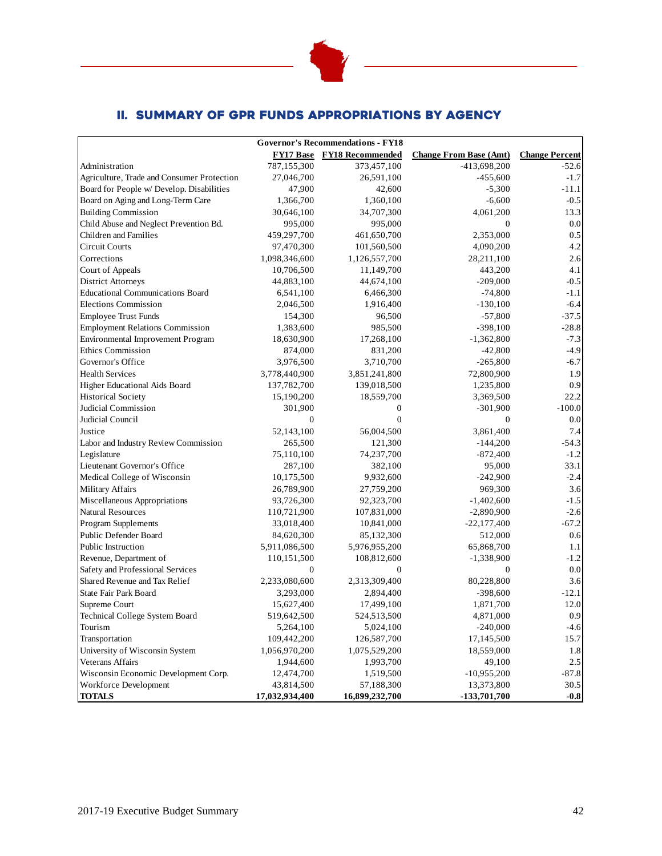

### ii. Summary of GPR funds appropriations by agency

|                                            | <b>FY17 Base</b> | <b>FY18 Recommended</b> | <b>Change From Base (Amt)</b> | <b>Change Percent</b> |
|--------------------------------------------|------------------|-------------------------|-------------------------------|-----------------------|
| Administration                             | 787,155,300      | 373,457,100             | -413,698,200                  | $-52.6$               |
| Agriculture, Trade and Consumer Protection | 27,046,700       | 26,591,100              | $-455,600$                    | $-1.7$                |
| Board for People w/ Develop. Disabilities  | 47,900           | 42,600                  | $-5,300$                      | $-11.1$               |
| Board on Aging and Long-Term Care          | 1,366,700        | 1,360,100               | $-6,600$                      | $-0.5$                |
| <b>Building Commission</b>                 | 30,646,100       | 34,707,300              | 4,061,200                     | 13.3                  |
| Child Abuse and Neglect Prevention Bd.     | 995,000          | 995,000                 | $\mathbf{0}$                  | 0.0                   |
| Children and Families                      | 459,297,700      | 461,650,700             | 2,353,000                     | 0.5                   |
| <b>Circuit Courts</b>                      | 97,470,300       | 101,560,500             | 4,090,200                     | 4.2                   |
| Corrections                                | 1,098,346,600    | 1,126,557,700           | 28,211,100                    | 2.6                   |
| Court of Appeals                           | 10,706,500       | 11,149,700              | 443,200                       | 4.1                   |
| <b>District Attorneys</b>                  | 44,883,100       | 44,674,100              | $-209,000$                    | $-0.5$                |
| <b>Educational Communications Board</b>    | 6,541,100        | 6,466,300               | $-74,800$                     | $-1.1$                |
| <b>Elections Commission</b>                | 2,046,500        | 1,916,400               | $-130,100$                    | $-6.4$                |
| <b>Employee Trust Funds</b>                | 154,300          | 96,500                  | $-57,800$                     | $-37.5$               |
| <b>Employment Relations Commission</b>     | 1,383,600        | 985,500                 | $-398,100$                    | $-28.8$               |
| Environmental Improvement Program          | 18,630,900       | 17,268,100              | $-1,362,800$                  | $-7.3$                |
| <b>Ethics Commission</b>                   | 874,000          | 831,200                 | $-42,800$                     | $-4.9$                |
| Governor's Office                          | 3,976,500        | 3,710,700               | $-265,800$                    | $-6.7$                |
| <b>Health Services</b>                     | 3,778,440,900    | 3,851,241,800           | 72,800,900                    | 1.9                   |
| Higher Educational Aids Board              | 137,782,700      | 139,018,500             | 1,235,800                     | 0.9                   |
| <b>Historical Society</b>                  | 15,190,200       | 18,559,700              | 3,369,500                     | 22.2                  |
| Judicial Commission                        | 301,900          | $\boldsymbol{0}$        | $-301,900$                    | $-100.0$              |
| Judicial Council                           | $\theta$         | $\theta$                | $\Omega$                      | 0.0                   |
| Justice                                    | 52,143,100       | 56,004,500              | 3,861,400                     | 7.4                   |
| Labor and Industry Review Commission       | 265,500          | 121,300                 | $-144,200$                    | $-54.3$               |
| Legislature                                | 75,110,100       | 74,237,700              | $-872,400$                    | $-1.2$                |
| Lieutenant Governor's Office               | 287,100          | 382,100                 | 95,000                        | 33.1                  |
| Medical College of Wisconsin               | 10,175,500       | 9,932,600               | $-242,900$                    | $-2.4$                |
| <b>Military Affairs</b>                    | 26,789,900       | 27,759,200              | 969,300                       | 3.6                   |
| Miscellaneous Appropriations               | 93,726,300       | 92,323,700              | $-1,402,600$                  | $-1.5$                |
| <b>Natural Resources</b>                   | 110,721,900      | 107,831,000             | $-2,890,900$                  | $-2.6$                |
| <b>Program Supplements</b>                 | 33,018,400       | 10,841,000              | $-22,177,400$                 | $-67.2$               |
| Public Defender Board                      | 84,620,300       | 85,132,300              | 512,000                       | 0.6                   |
| Public Instruction                         | 5,911,086,500    | 5,976,955,200           | 65,868,700                    | 1.1                   |
| Revenue, Department of                     | 110,151,500      | 108,812,600             | $-1,338,900$                  | $-1.2$                |
| Safety and Professional Services           | $\theta$         | $\overline{0}$          | $\mathbf{0}$                  | 0.0                   |
| Shared Revenue and Tax Relief              | 2,233,080,600    | 2,313,309,400           | 80,228,800                    | 3.6                   |
| <b>State Fair Park Board</b>               | 3,293,000        | 2,894,400               | $-398,600$                    | $-12.1$               |
| Supreme Court                              | 15,627,400       | 17,499,100              | 1,871,700                     | 12.0                  |
| Technical College System Board             | 519,642,500      | 524,513,500             | 4,871,000                     | 0.9                   |
| Tourism                                    | 5,264,100        | 5,024,100               | $-240,000$                    | $-4.6$                |
| Transportation                             | 109,442,200      | 126,587,700             | 17,145,500                    | 15.7                  |
| University of Wisconsin System             | 1,056,970,200    | 1,075,529,200           | 18,559,000                    | 1.8                   |
| Veterans Affairs                           | 1,944,600        | 1,993,700               | 49,100                        | 2.5                   |
| Wisconsin Economic Development Corp.       | 12,474,700       | 1,519,500               | $-10,955,200$                 | $-87.8$               |
| Workforce Development                      | 43,814,500       | 57,188,300              | 13,373,800                    | 30.5                  |
| <b>TOTALS</b>                              | 17,032,934,400   | 16,899,232,700          | -133,701,700                  | $-0.8$                |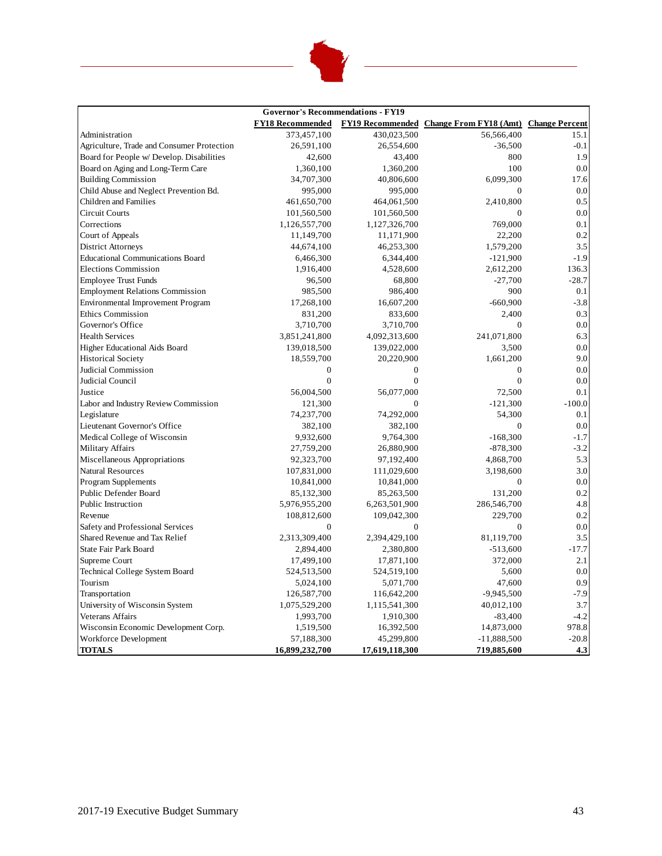

 $\overline{\phantom{a}}$ 

|                                            | <b>Governor's Recommendations - FY19</b> |                |                                                        |          |
|--------------------------------------------|------------------------------------------|----------------|--------------------------------------------------------|----------|
|                                            | <b>FY18 Recommended</b>                  |                | FY19 Recommended Change From FY18 (Amt) Change Percent |          |
| Administration                             | 373,457,100                              | 430,023,500    | 56,566,400                                             | 15.1     |
| Agriculture, Trade and Consumer Protection | 26,591,100                               | 26,554,600     | $-36,500$                                              | $-0.1$   |
| Board for People w/ Develop. Disabilities  | 42,600                                   | 43,400         | 800                                                    | 1.9      |
| Board on Aging and Long-Term Care          | 1,360,100                                | 1,360,200      | 100                                                    | 0.0      |
| <b>Building Commission</b>                 | 34,707,300                               | 40,806,600     | 6,099,300                                              | 17.6     |
| Child Abuse and Neglect Prevention Bd.     | 995,000                                  | 995,000        | $\Omega$                                               | 0.0      |
| Children and Families                      | 461,650,700                              | 464,061,500    | 2,410,800                                              | 0.5      |
| <b>Circuit Courts</b>                      | 101,560,500                              | 101,560,500    | $\mathbf{0}$                                           | 0.0      |
| Corrections                                | 1,126,557,700                            | 1,127,326,700  | 769,000                                                | 0.1      |
| Court of Appeals                           | 11,149,700                               | 11,171,900     | 22,200                                                 | 0.2      |
| <b>District Attorneys</b>                  | 44,674,100                               | 46,253,300     | 1,579,200                                              | 3.5      |
| <b>Educational Communications Board</b>    | 6,466,300                                | 6,344,400      | $-121,900$                                             | $-1.9$   |
| <b>Elections Commission</b>                | 1,916,400                                | 4,528,600      | 2,612,200                                              | 136.3    |
| <b>Employee Trust Funds</b>                | 96,500                                   | 68,800         | $-27,700$                                              | $-28.7$  |
| <b>Employment Relations Commission</b>     | 985,500                                  | 986,400        | 900                                                    | 0.1      |
| Environmental Improvement Program          | 17,268,100                               | 16,607,200     | $-660,900$                                             | $-3.8$   |
| <b>Ethics Commission</b>                   | 831,200                                  | 833,600        | 2,400                                                  | 0.3      |
| Governor's Office                          | 3,710,700                                | 3,710,700      | $\overline{0}$                                         | 0.0      |
| <b>Health Services</b>                     | 3,851,241,800                            | 4,092,313,600  | 241,071,800                                            | 6.3      |
| Higher Educational Aids Board              | 139,018,500                              | 139,022,000    | 3,500                                                  | 0.0      |
| <b>Historical Society</b>                  | 18,559,700                               | 20,220,900     | 1,661,200                                              | 9.0      |
| Judicial Commission                        | $\overline{0}$                           | $\mathbf{0}$   | $\mathbf{0}$                                           | 0.0      |
| Judicial Council                           | $\theta$                                 | $\Omega$       | $\theta$                                               | 0.0      |
| Justice                                    | 56,004,500                               | 56,077,000     | 72,500                                                 | 0.1      |
| Labor and Industry Review Commission       | 121,300                                  | $\theta$       | $-121,300$                                             | $-100.0$ |
| Legislature                                | 74,237,700                               | 74,292,000     | 54,300                                                 | 0.1      |
| Lieutenant Governor's Office               | 382,100                                  | 382,100        | $\mathbf{0}$                                           | 0.0      |
| Medical College of Wisconsin               | 9,932,600                                | 9,764,300      | $-168,300$                                             | $-1.7$   |
| Military Affairs                           | 27,759,200                               | 26,880,900     | $-878,300$                                             | $-3.2$   |
| Miscellaneous Appropriations               | 92,323,700                               | 97,192,400     | 4,868,700                                              | 5.3      |
| <b>Natural Resources</b>                   | 107,831,000                              | 111,029,600    | 3,198,600                                              | 3.0      |
| Program Supplements                        | 10,841,000                               | 10,841,000     | $\theta$                                               | 0.0      |
| Public Defender Board                      | 85,132,300                               | 85,263,500     | 131,200                                                | 0.2      |
| <b>Public Instruction</b>                  | 5,976,955,200                            | 6,263,501,900  | 286,546,700                                            | 4.8      |
| Revenue                                    | 108,812,600                              | 109,042,300    | 229,700                                                | 0.2      |
| Safety and Professional Services           | $\Omega$                                 | $\Omega$       | $\Omega$                                               | 0.0      |
| Shared Revenue and Tax Relief              | 2,313,309,400                            | 2,394,429,100  | 81,119,700                                             | 3.5      |
| <b>State Fair Park Board</b>               | 2,894,400                                | 2,380,800      | $-513,600$                                             | $-17.7$  |
| Supreme Court                              | 17,499,100                               | 17,871,100     | 372,000                                                | 2.1      |
| Technical College System Board             | 524,513,500                              | 524,519,100    | 5,600                                                  | 0.0      |
| Tourism                                    | 5,024,100                                | 5,071,700      | 47,600                                                 | 0.9      |
| Transportation                             | 126,587,700                              | 116,642,200    | $-9,945,500$                                           | $-7.9$   |
| University of Wisconsin System             | 1,075,529,200                            | 1,115,541,300  | 40,012,100                                             | 3.7      |
| <b>Veterans Affairs</b>                    | 1,993,700                                | 1,910,300      | $-83,400$                                              | $-4.2$   |
| Wisconsin Economic Development Corp.       | 1,519,500                                | 16,392,500     | 14,873,000                                             | 978.8    |
| Workforce Development                      | 57,188,300                               | 45,299,800     | $-11,888,500$                                          | $-20.8$  |
| <b>TOTALS</b>                              | 16,899,232,700                           | 17,619,118,300 | 719,885,600                                            | 4.3      |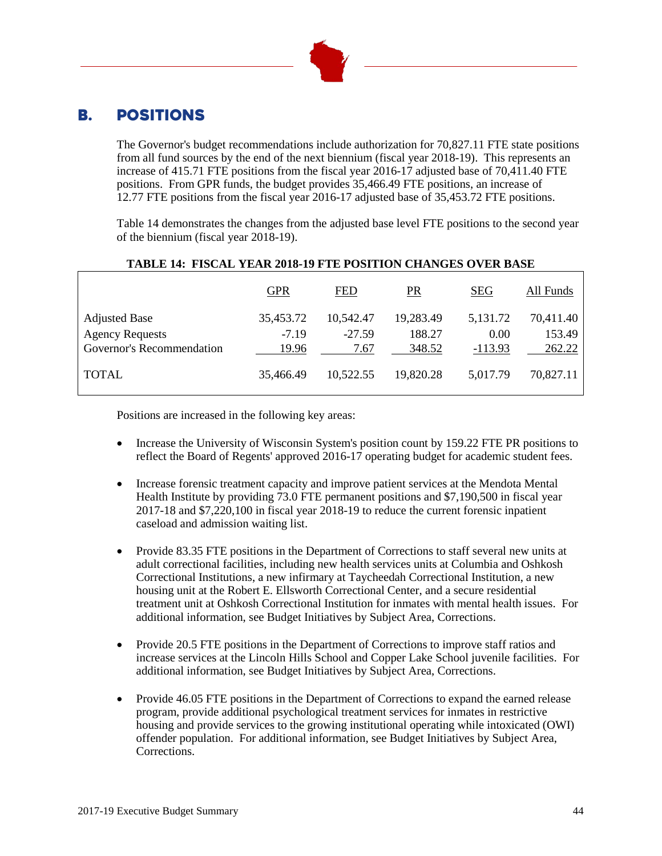

### b. Positions

The Governor's budget recommendations include authorization for 70,827.11 FTE state positions from all fund sources by the end of the next biennium (fiscal year 2018-19). This represents an increase of 415.71 FTE positions from the fiscal year 2016-17 adjusted base of 70,411.40 FTE positions. From GPR funds, the budget provides 35,466.49 FTE positions, an increase of 12.77 FTE positions from the fiscal year 2016-17 adjusted base of 35,453.72 FTE positions.

Table 14 demonstrates the changes from the adjusted base level FTE positions to the second year of the biennium (fiscal year 2018-19).

|                                                | GPR                  | <b>FED</b>            | PR                  | <b>SEG</b>       | All Funds           |
|------------------------------------------------|----------------------|-----------------------|---------------------|------------------|---------------------|
| <b>Adjusted Base</b><br><b>Agency Requests</b> | 35,453.72<br>$-7.19$ | 10,542.47<br>$-27.59$ | 19,283.49<br>188.27 | 5,131.72<br>0.00 | 70,411.40<br>153.49 |
| Governor's Recommendation                      | 19.96                | 7.67                  | 348.52              | $-113.93$        | 262.22              |
| <b>TOTAL</b>                                   | 35,466.49            | 10,522.55             | 19,820.28           | 5,017.79         | 70,827.11           |

### **TABLE 14: FISCAL YEAR 2018-19 FTE POSITION CHANGES OVER BASE**

Positions are increased in the following key areas:

- Increase the University of Wisconsin System's position count by 159.22 FTE PR positions to reflect the Board of Regents' approved 2016-17 operating budget for academic student fees.
- Increase forensic treatment capacity and improve patient services at the Mendota Mental Health Institute by providing 73.0 FTE permanent positions and \$7,190,500 in fiscal year 2017-18 and \$7,220,100 in fiscal year 2018-19 to reduce the current forensic inpatient caseload and admission waiting list.
- Provide 83.35 FTE positions in the Department of Corrections to staff several new units at adult correctional facilities, including new health services units at Columbia and Oshkosh Correctional Institutions, a new infirmary at Taycheedah Correctional Institution, a new housing unit at the Robert E. Ellsworth Correctional Center, and a secure residential treatment unit at Oshkosh Correctional Institution for inmates with mental health issues. For additional information, see Budget Initiatives by Subject Area, Corrections.
- Provide 20.5 FTE positions in the Department of Corrections to improve staff ratios and increase services at the Lincoln Hills School and Copper Lake School juvenile facilities. For additional information, see Budget Initiatives by Subject Area, Corrections.
- Provide 46.05 FTE positions in the Department of Corrections to expand the earned release program, provide additional psychological treatment services for inmates in restrictive housing and provide services to the growing institutional operating while intoxicated (OWI) offender population. For additional information, see Budget Initiatives by Subject Area, Corrections.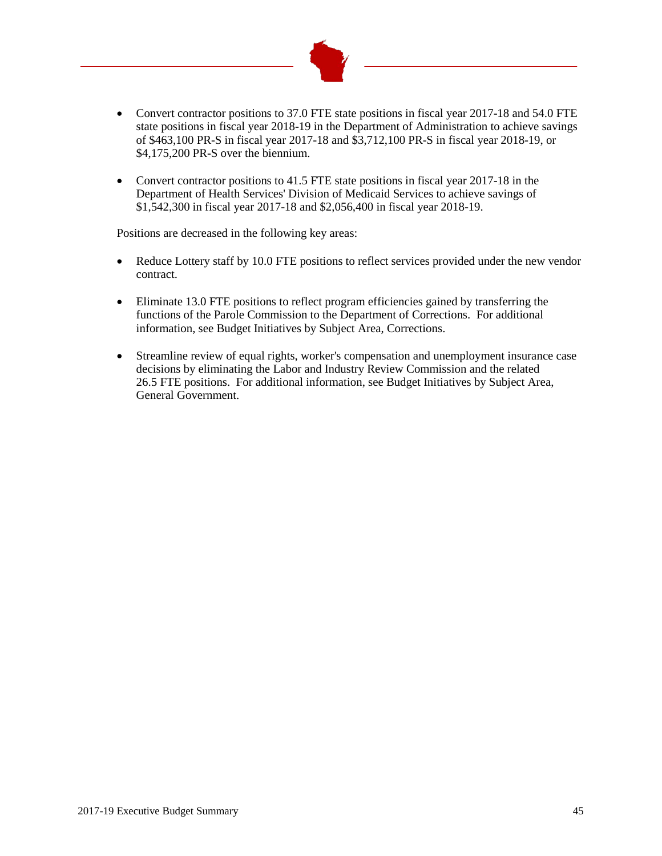

- Convert contractor positions to 37.0 FTE state positions in fiscal year 2017-18 and 54.0 FTE state positions in fiscal year 2018-19 in the Department of Administration to achieve savings of \$463,100 PR-S in fiscal year 2017-18 and \$3,712,100 PR-S in fiscal year 2018-19, or \$4,175,200 PR-S over the biennium.
- Convert contractor positions to 41.5 FTE state positions in fiscal year 2017-18 in the Department of Health Services' Division of Medicaid Services to achieve savings of \$1,542,300 in fiscal year 2017-18 and \$2,056,400 in fiscal year 2018-19.

Positions are decreased in the following key areas:

- Reduce Lottery staff by 10.0 FTE positions to reflect services provided under the new vendor contract.
- Eliminate 13.0 FTE positions to reflect program efficiencies gained by transferring the functions of the Parole Commission to the Department of Corrections. For additional information, see Budget Initiatives by Subject Area, Corrections.
- Streamline review of equal rights, worker's compensation and unemployment insurance case decisions by eliminating the Labor and Industry Review Commission and the related 26.5 FTE positions. For additional information, see Budget Initiatives by Subject Area, General Government.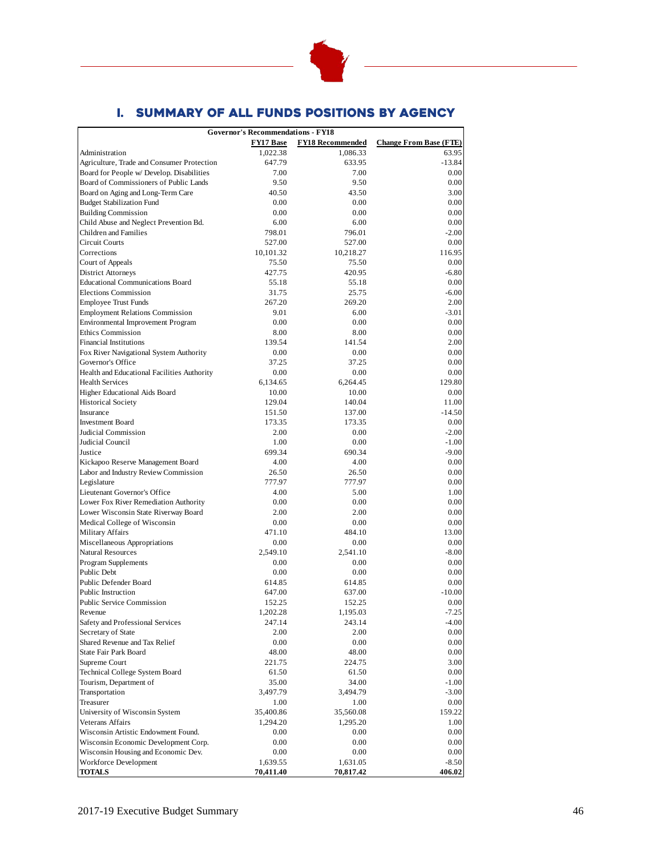

### i. Summary of All Funds Positions by Agency

| <b>Governor's Recommendations - FY18</b>       |                  |                         |                               |  |  |
|------------------------------------------------|------------------|-------------------------|-------------------------------|--|--|
|                                                | <b>FY17 Base</b> | <b>FY18 Recommended</b> | <b>Change From Base (FTE)</b> |  |  |
| Administration                                 | 1,022.38         | 1,086.33                | 63.95                         |  |  |
| Agriculture, Trade and Consumer Protection     | 647.79           | 633.95                  | $-13.84$                      |  |  |
| Board for People w/ Develop. Disabilities      | 7.00             | 7.00                    | 0.00                          |  |  |
| Board of Commissioners of Public Lands         | 9.50             | 9.50                    | 0.00                          |  |  |
| Board on Aging and Long-Term Care              | 40.50            | 43.50                   | 3.00                          |  |  |
| <b>Budget Stabilization Fund</b>               | 0.00             | 0.00                    | 0.00                          |  |  |
| <b>Building Commission</b>                     | 0.00             | 0.00                    | 0.00                          |  |  |
| Child Abuse and Neglect Prevention Bd.         | 6.00             | 6.00                    | 0.00                          |  |  |
| Children and Families                          | 798.01           | 796.01                  | $-2.00$                       |  |  |
| <b>Circuit Courts</b>                          | 527.00           | 527.00                  | 0.00                          |  |  |
| Corrections                                    | 10,101.32        | 10,218.27               | 116.95                        |  |  |
| Court of Appeals                               | 75.50            | 75.50                   | 0.00                          |  |  |
| District Attorneys                             | 427.75           | 420.95                  | $-6.80$                       |  |  |
| <b>Educational Communications Board</b>        | 55.18            | 55.18                   | 0.00                          |  |  |
| <b>Elections Commission</b>                    | 31.75            | 25.75                   | $-6.00$                       |  |  |
| <b>Employee Trust Funds</b>                    | 267.20           | 269.20                  | 2.00                          |  |  |
| <b>Employment Relations Commission</b>         | 9.01             | 6.00                    | $-3.01$                       |  |  |
| Environmental Improvement Program              | 0.00             | 0.00                    | 0.00                          |  |  |
| <b>Ethics Commission</b>                       | 8.00             | 8.00                    | 0.00                          |  |  |
| <b>Financial Institutions</b>                  | 139.54           | 141.54                  | 2.00                          |  |  |
| Fox River Navigational System Authority        | 0.00             | 0.00                    | 0.00                          |  |  |
| Governor's Office                              | 37.25            | 37.25                   | 0.00                          |  |  |
| Health and Educational Facilities Authority    | 0.00             | 0.00                    | 0.00                          |  |  |
| <b>Health Services</b>                         | 6,134.65         | 6,264.45                | 129.80                        |  |  |
| Higher Educational Aids Board                  | 10.00            | 10.00                   | 0.00                          |  |  |
| <b>Historical Society</b>                      | 129.04           | 140.04                  | 11.00                         |  |  |
| Insurance                                      | 151.50           | 137.00                  | $-14.50$                      |  |  |
| <b>Investment Board</b><br>Judicial Commission | 173.35           | 173.35<br>0.00          | 0.00                          |  |  |
| Judicial Council                               | 2.00             |                         | $-2.00$                       |  |  |
|                                                | 1.00<br>699.34   | 0.00                    | $-1.00$                       |  |  |
| Justice<br>Kickapoo Reserve Management Board   | 4.00             | 690.34<br>4.00          | $-9.00$<br>0.00               |  |  |
| Labor and Industry Review Commission           | 26.50            | 26.50                   | 0.00                          |  |  |
| Legislature                                    | 777.97           | 777.97                  | 0.00                          |  |  |
| Lieutenant Governor's Office                   | 4.00             | 5.00                    | 1.00                          |  |  |
| Lower Fox River Remediation Authority          | 0.00             | 0.00                    | 0.00                          |  |  |
| Lower Wisconsin State Riverway Board           | 2.00             | 2.00                    | 0.00                          |  |  |
| Medical College of Wisconsin                   | 0.00             | 0.00                    | 0.00                          |  |  |
| Military Affairs                               | 471.10           | 484.10                  | 13.00                         |  |  |
| Miscellaneous Appropriations                   | 0.00             | 0.00                    | 0.00                          |  |  |
| <b>Natural Resources</b>                       | 2,549.10         | 2,541.10                | $-8.00$                       |  |  |
| Program Supplements                            | 0.00             | 0.00                    | 0.00                          |  |  |
| Public Debt                                    | 0.00             | 0.00                    | 0.00                          |  |  |
| Public Defender Board                          | 614.85           | 614.85                  | 0.00                          |  |  |
| Public Instruction                             | 647.00           | 637.00                  | $-10.00$                      |  |  |
| <b>Public Service Commission</b>               | 152.25           | 152.25                  | 0.00                          |  |  |
| Revenue                                        | 1,202.28         | 1,195.03                | -7.25                         |  |  |
| Safety and Professional Services               | 247.14           | 243.14                  | $-4.00$                       |  |  |
| Secretary of State                             | 2.00             | 2.00                    | 0.00                          |  |  |
| Shared Revenue and Tax Relief                  | 0.00             | 0.00                    | 0.00                          |  |  |
| State Fair Park Board                          | 48.00            | 48.00                   | 0.00                          |  |  |
| Supreme Court                                  | 221.75           | 224.75                  | 3.00                          |  |  |
| Technical College System Board                 | 61.50            | 61.50                   | 0.00                          |  |  |
| Tourism, Department of                         | 35.00            | 34.00                   | $-1.00$                       |  |  |
| Transportation                                 | 3,497.79         | 3,494.79                | $-3.00$                       |  |  |
| Treasurer                                      | 1.00             | 1.00                    | 0.00                          |  |  |
| University of Wisconsin System                 | 35,400.86        | 35,560.08               | 159.22                        |  |  |
| Veterans Affairs                               | 1,294.20         | 1,295.20                | 1.00                          |  |  |
| Wisconsin Artistic Endowment Found.            | 0.00             | 0.00                    | 0.00                          |  |  |
| Wisconsin Economic Development Corp.           | 0.00             | $0.00\,$                | 0.00                          |  |  |
| Wisconsin Housing and Economic Dev.            | 0.00             | 0.00                    | 0.00                          |  |  |
| Workforce Development                          | 1,639.55         | 1,631.05                | $-8.50$                       |  |  |
| <b>TOTALS</b>                                  | 70,411.40        | 70,817.42               | 406.02                        |  |  |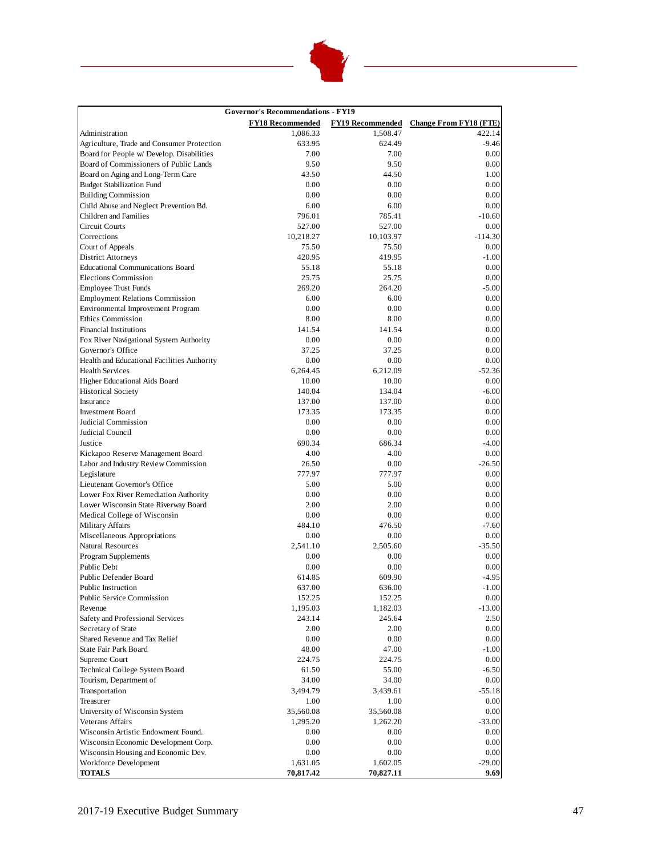

| <b>Governor's Recommendations - FY19</b>    |                         |                         |                               |  |  |
|---------------------------------------------|-------------------------|-------------------------|-------------------------------|--|--|
|                                             | <b>FY18 Recommended</b> | <b>FY19 Recommended</b> | <b>Change From FY18 (FTE)</b> |  |  |
| Administration                              | 1,086.33                | 1,508.47                | 422.14                        |  |  |
| Agriculture, Trade and Consumer Protection  | 633.95                  | 624.49                  | $-9.46$                       |  |  |
| Board for People w/ Develop. Disabilities   | 7.00                    | 7.00                    | 0.00                          |  |  |
| Board of Commissioners of Public Lands      | 9.50                    | 9.50                    | 0.00                          |  |  |
| Board on Aging and Long-Term Care           | 43.50                   | 44.50                   | 1.00                          |  |  |
| <b>Budget Stabilization Fund</b>            | 0.00                    | 0.00                    | 0.00                          |  |  |
| <b>Building Commission</b>                  | 0.00                    | 0.00                    | 0.00                          |  |  |
| Child Abuse and Neglect Prevention Bd.      | 6.00                    | 6.00                    | 0.00                          |  |  |
| Children and Families                       | 796.01                  | 785.41                  | $-10.60$                      |  |  |
| <b>Circuit Courts</b>                       | 527.00                  | 527.00                  | 0.00                          |  |  |
| Corrections                                 | 10,218.27               | 10,103.97               | $-114.30$                     |  |  |
| Court of Appeals                            | 75.50                   | 75.50                   | 0.00                          |  |  |
| District Attorneys                          | 420.95                  | 419.95                  | $-1.00$                       |  |  |
| <b>Educational Communications Board</b>     | 55.18                   | 55.18                   | 0.00                          |  |  |
| <b>Elections Commission</b>                 | 25.75                   | 25.75                   | 0.00                          |  |  |
| <b>Employee Trust Funds</b>                 | 269.20                  | 264.20                  | $-5.00$                       |  |  |
| <b>Employment Relations Commission</b>      | 6.00                    | 6.00                    | 0.00                          |  |  |
| Environmental Improvement Program           | 0.00                    | 0.00                    | 0.00                          |  |  |
| <b>Ethics Commission</b>                    | 8.00                    | 8.00                    | 0.00                          |  |  |
| <b>Financial Institutions</b>               | 141.54                  | 141.54                  | 0.00                          |  |  |
| Fox River Navigational System Authority     | 0.00                    | 0.00                    | 0.00                          |  |  |
| Governor's Office                           | 37.25                   | 37.25                   | 0.00                          |  |  |
| Health and Educational Facilities Authority | 0.00                    | 0.00                    | 0.00                          |  |  |
| <b>Health Services</b>                      | 6,264.45                | 6,212.09                | $-52.36$                      |  |  |
| Higher Educational Aids Board               | 10.00                   | 10.00                   | 0.00<br>$-6.00$               |  |  |
| <b>Historical Society</b><br>Insurance      | 140.04                  | 134.04                  |                               |  |  |
| <b>Investment Board</b>                     | 137.00<br>173.35        | 137.00<br>173.35        | 0.00<br>0.00                  |  |  |
| Judicial Commission                         | 0.00                    | 0.00                    | 0.00                          |  |  |
| Judicial Council                            | 0.00                    | 0.00                    | 0.00                          |  |  |
| Justice                                     | 690.34                  | 686.34                  | $-4.00$                       |  |  |
| Kickapoo Reserve Management Board           | 4.00                    | 4.00                    | 0.00                          |  |  |
| Labor and Industry Review Commission        | 26.50                   | 0.00                    | $-26.50$                      |  |  |
| Legislature                                 | 777.97                  | 777.97                  | 0.00                          |  |  |
| Lieutenant Governor's Office                | 5.00                    | 5.00                    | 0.00                          |  |  |
| Lower Fox River Remediation Authority       | 0.00                    | 0.00                    | 0.00                          |  |  |
| Lower Wisconsin State Riverway Board        | 2.00                    | 2.00                    | 0.00                          |  |  |
| Medical College of Wisconsin                | 0.00                    | 0.00                    | 0.00                          |  |  |
| Military Affairs                            | 484.10                  | 476.50                  | $-7.60$                       |  |  |
| Miscellaneous Appropriations                | 0.00                    | 0.00                    | 0.00                          |  |  |
| Natural Resources                           | 2,541.10                | 2,505.60                | $-35.50$                      |  |  |
| <b>Program Supplements</b>                  | 0.00                    | 0.00                    | 0.00                          |  |  |
| Public Debt                                 | 0.00                    | 0.00                    | 0.00                          |  |  |
| Public Defender Board                       | 614.85                  | 609.90                  | $-4.95$                       |  |  |
| Public Instruction                          | 637.00                  | 636.00                  | $-1.00$                       |  |  |
| Public Service Commission                   | 152.25                  | 152.25                  | 0.00                          |  |  |
| Revenue                                     | 1,195.03                | 1,182.03                | $-13.00$                      |  |  |
| Safety and Professional Services            | 243.14                  | 245.64                  | 2.50                          |  |  |
| Secretary of State                          | 2.00                    | 2.00                    | 0.00                          |  |  |
| Shared Revenue and Tax Relief               | 0.00                    | 0.00                    | 0.00                          |  |  |
| State Fair Park Board                       | 48.00                   | 47.00                   | $-1.00$                       |  |  |
| Supreme Court                               | 224.75                  | 224.75                  | 0.00                          |  |  |
| Technical College System Board              | 61.50                   | 55.00                   | $-6.50$                       |  |  |
| Tourism, Department of                      | 34.00                   | 34.00                   | 0.00                          |  |  |
| Transportation                              | 3,494.79                | 3,439.61                | $-55.18$                      |  |  |
| Treasurer                                   | 1.00                    | 1.00                    | 0.00                          |  |  |
| University of Wisconsin System              | 35,560.08               | 35,560.08               | 0.00                          |  |  |
| Veterans Affairs                            | 1,295.20                | 1,262.20                | $-33.00$                      |  |  |
| Wisconsin Artistic Endowment Found.         | 0.00                    | 0.00                    | 0.00                          |  |  |
| Wisconsin Economic Development Corp.        | 0.00                    | 0.00                    | 0.00                          |  |  |
| Wisconsin Housing and Economic Dev.         | 0.00                    | 0.00                    | 0.00                          |  |  |
| Workforce Development                       | 1,631.05                | 1,602.05                | $-29.00$                      |  |  |
| <b>TOTALS</b>                               | 70,817.42               | 70,827.11               | 9.69                          |  |  |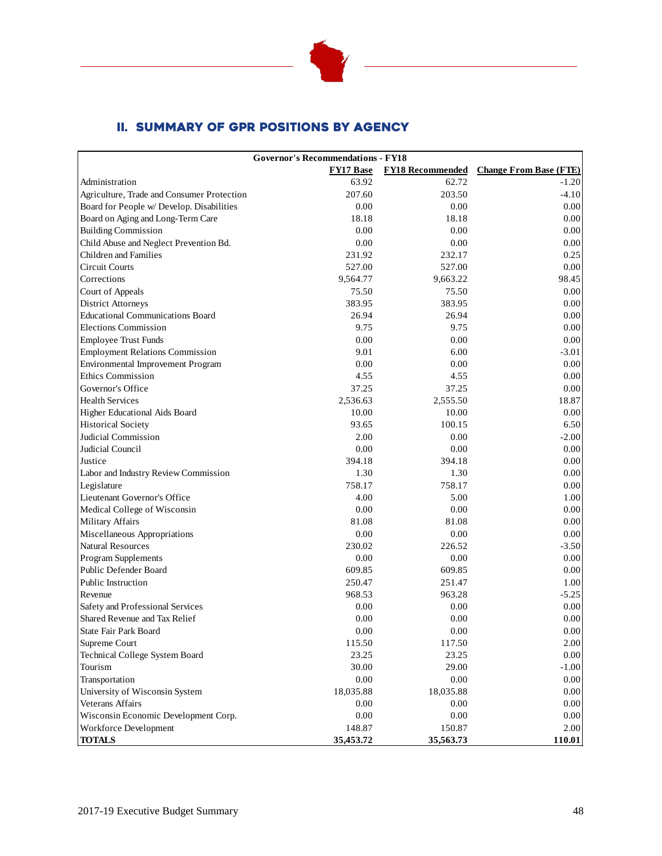

### **II. SUMMARY OF GPR POSITIONS BY AGENCY**

|                                            | <b>Governor's Recommendations - FY18</b> |                         |                               |
|--------------------------------------------|------------------------------------------|-------------------------|-------------------------------|
|                                            | <b>FY17 Base</b>                         | <b>FY18 Recommended</b> | <b>Change From Base (FTE)</b> |
| Administration                             | 63.92                                    | 62.72                   | $-1.20$                       |
| Agriculture, Trade and Consumer Protection | 207.60                                   | 203.50                  | $-4.10$                       |
| Board for People w/ Develop. Disabilities  | 0.00                                     | 0.00                    | 0.00                          |
| Board on Aging and Long-Term Care          | 18.18                                    | 18.18                   | 0.00                          |
| <b>Building Commission</b>                 | 0.00                                     | 0.00                    | 0.00                          |
| Child Abuse and Neglect Prevention Bd.     | 0.00                                     | 0.00                    | 0.00                          |
| Children and Families                      | 231.92                                   | 232.17                  | 0.25                          |
| <b>Circuit Courts</b>                      | 527.00                                   | 527.00                  | 0.00                          |
| Corrections                                | 9,564.77                                 | 9,663.22                | 98.45                         |
| Court of Appeals                           | 75.50                                    | 75.50                   | 0.00                          |
| District Attorneys                         | 383.95                                   | 383.95                  | 0.00                          |
| <b>Educational Communications Board</b>    | 26.94                                    | 26.94                   | 0.00                          |
| <b>Elections Commission</b>                | 9.75                                     | 9.75                    | 0.00                          |
| <b>Employee Trust Funds</b>                | 0.00                                     | 0.00                    | 0.00                          |
| <b>Employment Relations Commission</b>     | 9.01                                     | 6.00                    | $-3.01$                       |
| Environmental Improvement Program          | 0.00                                     | 0.00                    | 0.00                          |
| <b>Ethics Commission</b>                   | 4.55                                     | 4.55                    | 0.00                          |
| Governor's Office                          | 37.25                                    | 37.25                   | 0.00                          |
| <b>Health Services</b>                     | 2,536.63                                 | 2,555.50                | 18.87                         |
| Higher Educational Aids Board              | 10.00                                    | 10.00                   | 0.00                          |
| <b>Historical Society</b>                  | 93.65                                    | 100.15                  | 6.50                          |
| Judicial Commission                        | 2.00                                     | 0.00                    | $-2.00$                       |
| Judicial Council                           | 0.00                                     | 0.00                    | 0.00                          |
| Justice                                    | 394.18                                   | 394.18                  | 0.00                          |
| Labor and Industry Review Commission       | 1.30                                     | 1.30                    | 0.00                          |
| Legislature                                | 758.17                                   | 758.17                  | 0.00                          |
| Lieutenant Governor's Office               | 4.00                                     | 5.00                    | 1.00                          |
| Medical College of Wisconsin               | 0.00                                     | 0.00                    | 0.00                          |
| Military Affairs                           | 81.08                                    | 81.08                   | 0.00                          |
| Miscellaneous Appropriations               | 0.00                                     | 0.00                    | 0.00                          |
| <b>Natural Resources</b>                   | 230.02                                   | 226.52                  | $-3.50$                       |
| Program Supplements                        | 0.00                                     | 0.00                    | 0.00                          |
| Public Defender Board                      | 609.85                                   | 609.85                  | 0.00                          |
| <b>Public Instruction</b>                  | 250.47                                   | 251.47                  | 1.00                          |
| Revenue                                    | 968.53                                   | 963.28                  | $-5.25$                       |
| Safety and Professional Services           | 0.00                                     | 0.00                    | 0.00                          |
| Shared Revenue and Tax Relief              | 0.00                                     | 0.00                    | 0.00                          |
| <b>State Fair Park Board</b>               | 0.00                                     | 0.00                    | 0.00                          |
| Supreme Court                              | 115.50                                   | 117.50                  | 2.00                          |
| Technical College System Board             | 23.25                                    | 23.25                   | 0.00                          |
| Tourism                                    | 30.00                                    | 29.00                   | $-1.00$                       |
| Transportation                             | 0.00                                     | 0.00                    | 0.00                          |
| University of Wisconsin System             | 18,035.88                                | 18,035.88               | 0.00                          |
| Veterans Affairs                           | 0.00                                     | 0.00                    | 0.00                          |
| Wisconsin Economic Development Corp.       | 0.00                                     | 0.00                    | 0.00                          |
| Workforce Development                      | 148.87                                   | 150.87                  | 2.00                          |
| <b>TOTALS</b>                              | 35,453.72                                | 35,563.73               | 110.01                        |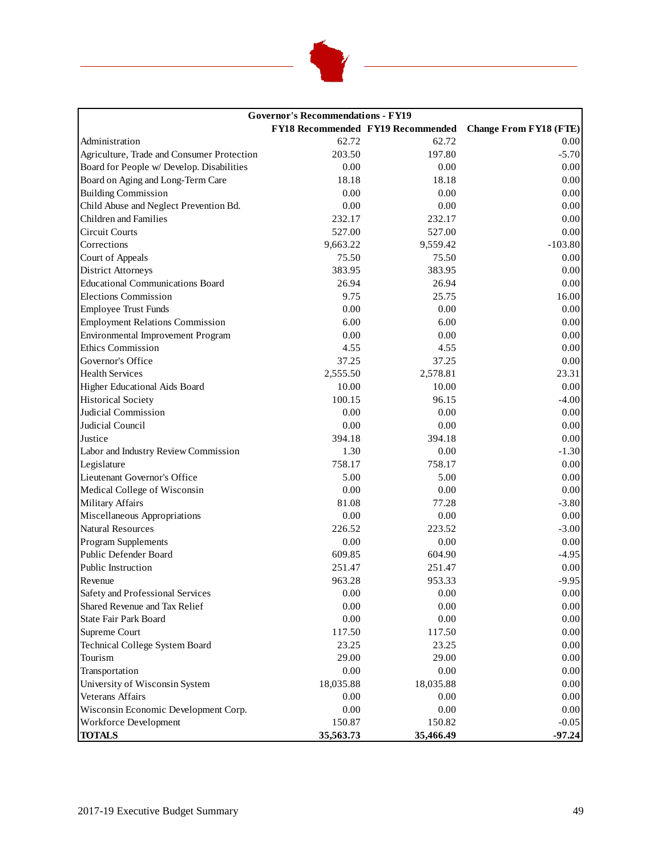

|                                            | <b>Governor's Recommendations - FY19</b> |                                   |                               |  |  |  |  |
|--------------------------------------------|------------------------------------------|-----------------------------------|-------------------------------|--|--|--|--|
|                                            |                                          | FY18 Recommended FY19 Recommended | <b>Change From FY18 (FTE)</b> |  |  |  |  |
| Administration                             | 62.72                                    | 62.72                             | 0.00                          |  |  |  |  |
| Agriculture, Trade and Consumer Protection | 203.50                                   | 197.80                            | $-5.70$                       |  |  |  |  |
| Board for People w/ Develop. Disabilities  | 0.00                                     | 0.00                              | 0.00                          |  |  |  |  |
| Board on Aging and Long-Term Care          | 18.18                                    | 18.18                             | 0.00                          |  |  |  |  |
| <b>Building Commission</b>                 | 0.00                                     | 0.00                              | 0.00                          |  |  |  |  |
| Child Abuse and Neglect Prevention Bd.     | 0.00                                     | 0.00                              | 0.00                          |  |  |  |  |
| <b>Children</b> and Families               | 232.17                                   | 232.17                            | 0.00                          |  |  |  |  |
| <b>Circuit Courts</b>                      | 527.00                                   | 527.00                            | 0.00                          |  |  |  |  |
| Corrections                                | 9,663.22                                 | 9,559.42                          | $-103.80$                     |  |  |  |  |
| Court of Appeals                           | 75.50                                    | 75.50                             | 0.00                          |  |  |  |  |
| <b>District Attorneys</b>                  | 383.95                                   | 383.95                            | 0.00                          |  |  |  |  |
| <b>Educational Communications Board</b>    | 26.94                                    | 26.94                             | 0.00                          |  |  |  |  |
| <b>Elections Commission</b>                | 9.75                                     | 25.75                             | 16.00                         |  |  |  |  |
| <b>Employee Trust Funds</b>                | 0.00                                     | 0.00                              | 0.00                          |  |  |  |  |
| <b>Employment Relations Commission</b>     | 6.00                                     | 6.00                              | 0.00                          |  |  |  |  |
| <b>Environmental Improvement Program</b>   | 0.00                                     | 0.00                              | 0.00                          |  |  |  |  |
| <b>Ethics Commission</b>                   | 4.55                                     | 4.55                              | 0.00                          |  |  |  |  |
| Governor's Office                          | 37.25                                    | 37.25                             | 0.00                          |  |  |  |  |
| <b>Health Services</b>                     | 2,555.50                                 | 2,578.81                          | 23.31                         |  |  |  |  |
| <b>Higher Educational Aids Board</b>       | 10.00                                    | 10.00                             | 0.00                          |  |  |  |  |
| <b>Historical Society</b>                  | 100.15                                   | 96.15                             | $-4.00$                       |  |  |  |  |
| <b>Judicial Commission</b>                 | 0.00                                     | 0.00                              | $0.00\,$                      |  |  |  |  |
| Judicial Council                           | 0.00                                     | 0.00                              | 0.00                          |  |  |  |  |
| Justice                                    | 394.18                                   | 394.18                            | 0.00                          |  |  |  |  |
| Labor and Industry Review Commission       | 1.30                                     | 0.00                              | $-1.30$                       |  |  |  |  |
| Legislature                                | 758.17                                   | 758.17                            | 0.00                          |  |  |  |  |
| Lieutenant Governor's Office               | 5.00                                     | 5.00                              | $0.00\,$                      |  |  |  |  |
| Medical College of Wisconsin               | 0.00                                     | 0.00                              | 0.00                          |  |  |  |  |
| Military Affairs                           | 81.08                                    | 77.28                             | $-3.80$                       |  |  |  |  |
| Miscellaneous Appropriations               | 0.00                                     | 0.00                              | 0.00                          |  |  |  |  |
| <b>Natural Resources</b>                   | 226.52                                   | 223.52                            | $-3.00$                       |  |  |  |  |
| Program Supplements                        | 0.00                                     | 0.00                              | 0.00                          |  |  |  |  |
| Public Defender Board                      | 609.85                                   | 604.90                            | $-4.95$                       |  |  |  |  |
| Public Instruction                         | 251.47                                   | 251.47                            | $0.00\,$                      |  |  |  |  |
| Revenue                                    | 963.28                                   | 953.33                            | $-9.95$                       |  |  |  |  |
| Safety and Professional Services           | 0.00                                     | $0.00\,$                          | $0.00\,$                      |  |  |  |  |
| Shared Revenue and Tax Relief              | 0.00                                     | 0.00                              | 0.00                          |  |  |  |  |
| <b>State Fair Park Board</b>               | 0.00                                     | 0.00                              | 0.00                          |  |  |  |  |
| Supreme Court                              | 117.50                                   | 117.50                            | $0.00\,$                      |  |  |  |  |
| Technical College System Board             | 23.25                                    | 23.25                             | $0.00\,$                      |  |  |  |  |
| Tourism                                    | 29.00                                    | 29.00                             | $0.00\,$                      |  |  |  |  |
| Transportation                             | $0.00\,$                                 | 0.00                              | $0.00\,$                      |  |  |  |  |
| University of Wisconsin System             | 18,035.88                                | 18,035.88                         | $0.00\,$                      |  |  |  |  |
| Veterans Affairs                           | 0.00                                     | 0.00                              | $0.00\,$                      |  |  |  |  |
| Wisconsin Economic Development Corp.       | $0.00\,$                                 | $0.00\,$                          | $0.00\,$                      |  |  |  |  |
| <b>Workforce Development</b>               | 150.87                                   | 150.82                            | $-0.05$                       |  |  |  |  |
| <b>TOTALS</b>                              | 35,563.73                                | 35,466.49                         | $-97.24$                      |  |  |  |  |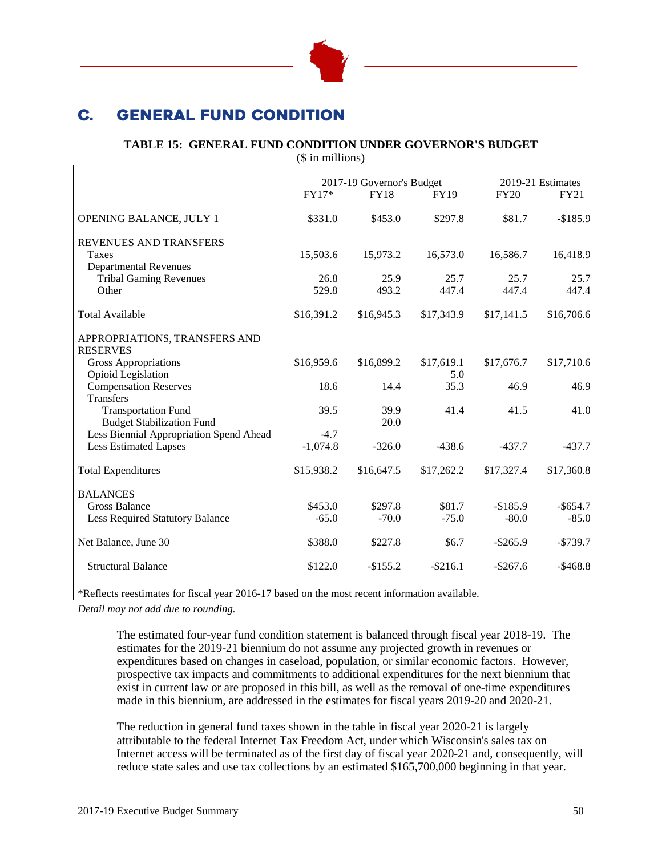

### c. General Fund condition

### **TABLE 15: GENERAL FUND CONDITION UNDER GOVERNOR'S BUDGET**

(\$ in millions)

|                                                                                               | $FY17*$    | 2017-19 Governor's Budget<br><b>FY18</b> | <b>FY19</b> | <b>FY20</b> | 2019-21 Estimates<br>FY21 |  |
|-----------------------------------------------------------------------------------------------|------------|------------------------------------------|-------------|-------------|---------------------------|--|
| OPENING BALANCE, JULY 1                                                                       | \$331.0    | \$453.0                                  | \$297.8     | \$81.7      | $-$ \$185.9               |  |
| REVENUES AND TRANSFERS                                                                        |            |                                          |             |             |                           |  |
| <b>Taxes</b>                                                                                  | 15,503.6   | 15,973.2                                 | 16,573.0    | 16,586.7    | 16,418.9                  |  |
| <b>Departmental Revenues</b>                                                                  |            |                                          |             |             |                           |  |
| <b>Tribal Gaming Revenues</b>                                                                 | 26.8       | 25.9                                     | 25.7        | 25.7        | 25.7                      |  |
| Other                                                                                         | 529.8      | 493.2                                    | 447.4       | 447.4       | 447.4                     |  |
| <b>Total Available</b>                                                                        | \$16,391.2 | \$16,945.3                               | \$17,343.9  | \$17,141.5  | \$16,706.6                |  |
| APPROPRIATIONS, TRANSFERS AND                                                                 |            |                                          |             |             |                           |  |
| <b>RESERVES</b>                                                                               |            |                                          |             |             |                           |  |
| <b>Gross Appropriations</b>                                                                   | \$16,959.6 | \$16,899.2                               | \$17,619.1  | \$17,676.7  | \$17,710.6                |  |
| Opioid Legislation                                                                            |            |                                          | 5.0         |             |                           |  |
| <b>Compensation Reserves</b>                                                                  | 18.6       | 14.4                                     | 35.3        | 46.9        | 46.9                      |  |
| <b>Transfers</b>                                                                              |            |                                          |             |             |                           |  |
| <b>Transportation Fund</b>                                                                    | 39.5       | 39.9                                     | 41.4        | 41.5        | 41.0                      |  |
| <b>Budget Stabilization Fund</b>                                                              |            | 20.0                                     |             |             |                           |  |
| Less Biennial Appropriation Spend Ahead                                                       | $-4.7$     |                                          |             |             |                           |  |
| <b>Less Estimated Lapses</b>                                                                  | $-1,074.8$ | $-326.0$                                 | $-438.6$    | $-437.7$    | $-437.7$                  |  |
| <b>Total Expenditures</b>                                                                     | \$15,938.2 | \$16,647.5                               | \$17,262.2  | \$17,327.4  | \$17,360.8                |  |
| <b>BALANCES</b>                                                                               |            |                                          |             |             |                           |  |
| <b>Gross Balance</b>                                                                          | \$453.0    | \$297.8                                  | \$81.7      | $-$185.9$   | $-$ \$654.7               |  |
| <b>Less Required Statutory Balance</b>                                                        | $-65.0$    | $-70.0$                                  | $-75.0$     | $-80.0$     | $-85.0$                   |  |
| Net Balance, June 30                                                                          | \$388.0    | \$227.8                                  | \$6.7       | $-$ \$265.9 | $-$739.7$                 |  |
| <b>Structural Balance</b>                                                                     | \$122.0    | $-$ \$155.2                              | $-$216.1$   | $-$ \$267.6 | $-$ \$468.8               |  |
| *Reflects reestimates for fiscal year 2016-17 based on the most recent information available. |            |                                          |             |             |                           |  |

*Detail may not add due to rounding.*

The estimated four-year fund condition statement is balanced through fiscal year 2018-19. The estimates for the 2019-21 biennium do not assume any projected growth in revenues or expenditures based on changes in caseload, population, or similar economic factors. However, prospective tax impacts and commitments to additional expenditures for the next biennium that exist in current law or are proposed in this bill, as well as the removal of one-time expenditures made in this biennium, are addressed in the estimates for fiscal years 2019-20 and 2020-21.

The reduction in general fund taxes shown in the table in fiscal year 2020-21 is largely attributable to the federal Internet Tax Freedom Act, under which Wisconsin's sales tax on Internet access will be terminated as of the first day of fiscal year 2020-21 and, consequently, will reduce state sales and use tax collections by an estimated \$165,700,000 beginning in that year.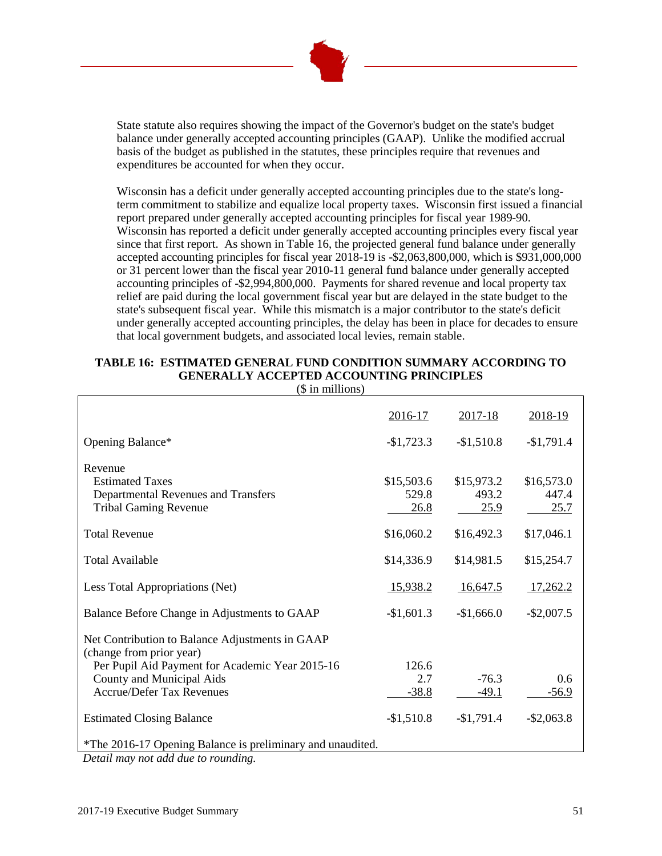

State statute also requires showing the impact of the Governor's budget on the state's budget balance under generally accepted accounting principles (GAAP). Unlike the modified accrual basis of the budget as published in the statutes, these principles require that revenues and expenditures be accounted for when they occur.

Wisconsin has a deficit under generally accepted accounting principles due to the state's longterm commitment to stabilize and equalize local property taxes. Wisconsin first issued a financial report prepared under generally accepted accounting principles for fiscal year 1989-90. Wisconsin has reported a deficit under generally accepted accounting principles every fiscal year since that first report. As shown in Table 16, the projected general fund balance under generally accepted accounting principles for fiscal year 2018-19 is -\$2,063,800,000, which is \$931,000,000 or 31 percent lower than the fiscal year 2010-11 general fund balance under generally accepted accounting principles of -\$2,994,800,000. Payments for shared revenue and local property tax relief are paid during the local government fiscal year but are delayed in the state budget to the state's subsequent fiscal year. While this mismatch is a major contributor to the state's deficit under generally accepted accounting principles, the delay has been in place for decades to ensure that local government budgets, and associated local levies, remain stable.

#### **TABLE 16: ESTIMATED GENERAL FUND CONDITION SUMMARY ACCORDING TO GENERALLY ACCEPTED ACCOUNTING PRINCIPLES** (\$ in millions)

|                                                                             | 2016-17     | $2017 - 18$  | 2018-19       |  |  |
|-----------------------------------------------------------------------------|-------------|--------------|---------------|--|--|
| Opening Balance*                                                            | $-$1,723.3$ | $-$1,510.8$  | $-$1,791.4$   |  |  |
| Revenue                                                                     |             |              |               |  |  |
| <b>Estimated Taxes</b>                                                      | \$15,503.6  | \$15,973.2   | \$16,573.0    |  |  |
| Departmental Revenues and Transfers                                         | 529.8       | 493.2        | 447.4         |  |  |
| <b>Tribal Gaming Revenue</b>                                                | 26.8        | 25.9         | 25.7          |  |  |
| <b>Total Revenue</b>                                                        | \$16,060.2  | \$16,492.3   | \$17,046.1    |  |  |
| <b>Total Available</b>                                                      | \$14,336.9  | \$14,981.5   | \$15,254.7    |  |  |
| Less Total Appropriations (Net)                                             | 15,938.2    | 16,647.5     | 17,262.2      |  |  |
| Balance Before Change in Adjustments to GAAP                                | $-$1,601.3$ | $-\$1,666.0$ | $-$ \$2,007.5 |  |  |
| Net Contribution to Balance Adjustments in GAAP                             |             |              |               |  |  |
| (change from prior year)<br>Per Pupil Aid Payment for Academic Year 2015-16 | 126.6       |              |               |  |  |
| County and Municipal Aids                                                   | 2.7         | $-76.3$      | 0.6           |  |  |
| <b>Accrue/Defer Tax Revenues</b>                                            | $-38.8$     | $-49.1$      | $-56.9$       |  |  |
|                                                                             |             |              |               |  |  |
| <b>Estimated Closing Balance</b>                                            | $-$1,510.8$ | $-$1,791.4$  | $-$ \$2,063.8 |  |  |
| *The 2016-17 Opening Balance is preliminary and unaudited.                  |             |              |               |  |  |
| Detail may not add due to rounding                                          |             |              |               |  |  |

*Detail may not add due to rounding.*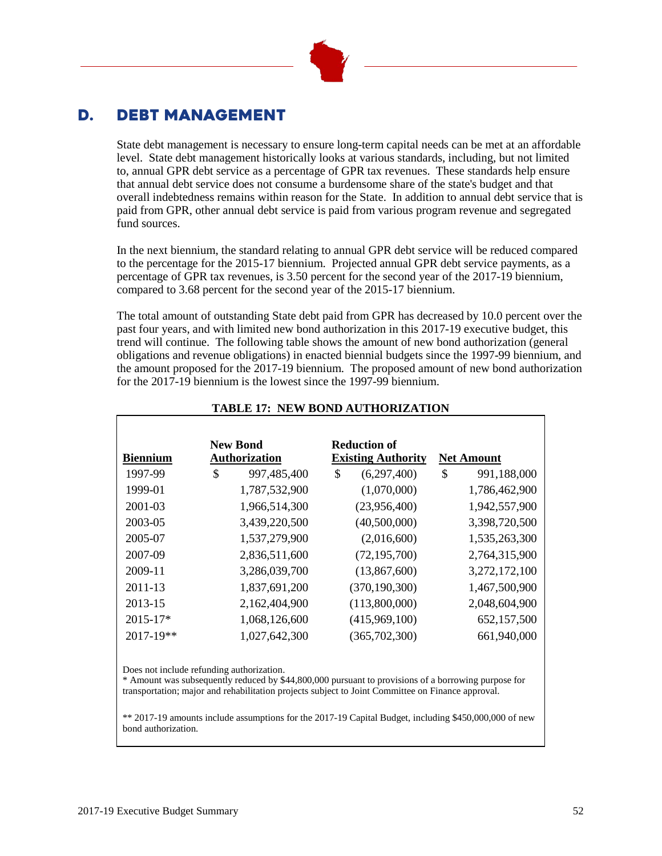

### d. Debt Management

State debt management is necessary to ensure long-term capital needs can be met at an affordable level. State debt management historically looks at various standards, including, but not limited to, annual GPR debt service as a percentage of GPR tax revenues. These standards help ensure that annual debt service does not consume a burdensome share of the state's budget and that overall indebtedness remains within reason for the State. In addition to annual debt service that is paid from GPR, other annual debt service is paid from various program revenue and segregated fund sources.

In the next biennium, the standard relating to annual GPR debt service will be reduced compared to the percentage for the 2015-17 biennium. Projected annual GPR debt service payments, as a percentage of GPR tax revenues, is 3.50 percent for the second year of the 2017-19 biennium, compared to 3.68 percent for the second year of the 2015-17 biennium.

The total amount of outstanding State debt paid from GPR has decreased by 10.0 percent over the past four years, and with limited new bond authorization in this 2017-19 executive budget, this trend will continue. The following table shows the amount of new bond authorization (general obligations and revenue obligations) in enacted biennial budgets since the 1997-99 biennium, and the amount proposed for the 2017-19 biennium. The proposed amount of new bond authorization for the 2017-19 biennium is the lowest since the 1997-99 biennium.

| <b>Biennium</b> | New Bond<br><b>Authorization</b> | <b>Reduction of</b><br><b>Existing Authority</b> | <b>Net Amount</b> |
|-----------------|----------------------------------|--------------------------------------------------|-------------------|
| 1997-99         | \$<br>997,485,400                | \$<br>(6,297,400)                                | \$<br>991,188,000 |
| 1999-01         | 1,787,532,900                    | (1,070,000)                                      | 1,786,462,900     |
| $2001 - 03$     | 1,966,514,300                    | (23,956,400)                                     | 1,942,557,900     |
| 2003-05         | 3,439,220,500                    | (40,500,000)                                     | 3,398,720,500     |
| 2005-07         | 1,537,279,900                    | (2,016,600)                                      | 1,535,263,300     |
| 2007-09         | 2,836,511,600                    | (72, 195, 700)                                   | 2,764,315,900     |
| 2009-11         | 3,286,039,700                    | (13,867,600)                                     | 3,272,172,100     |
| 2011-13         | 1,837,691,200                    | (370, 190, 300)                                  | 1,467,500,900     |
| 2013-15         | 2,162,404,900                    | (113,800,000)                                    | 2,048,604,900     |
| $2015 - 17*$    | 1,068,126,600                    | (415,969,100)                                    | 652,157,500       |
| 2017-19**       | 1,027,642,300                    | (365,702,300)                                    | 661,940,000       |

### **TABLE 17: NEW BOND AUTHORIZATION**

Does not include refunding authorization.

\* Amount was subsequently reduced by \$44,800,000 pursuant to provisions of a borrowing purpose for transportation; major and rehabilitation projects subject to Joint Committee on Finance approval.

\*\* 2017-19 amounts include assumptions for the 2017-19 Capital Budget, including \$450,000,000 of new bond authorization.

Г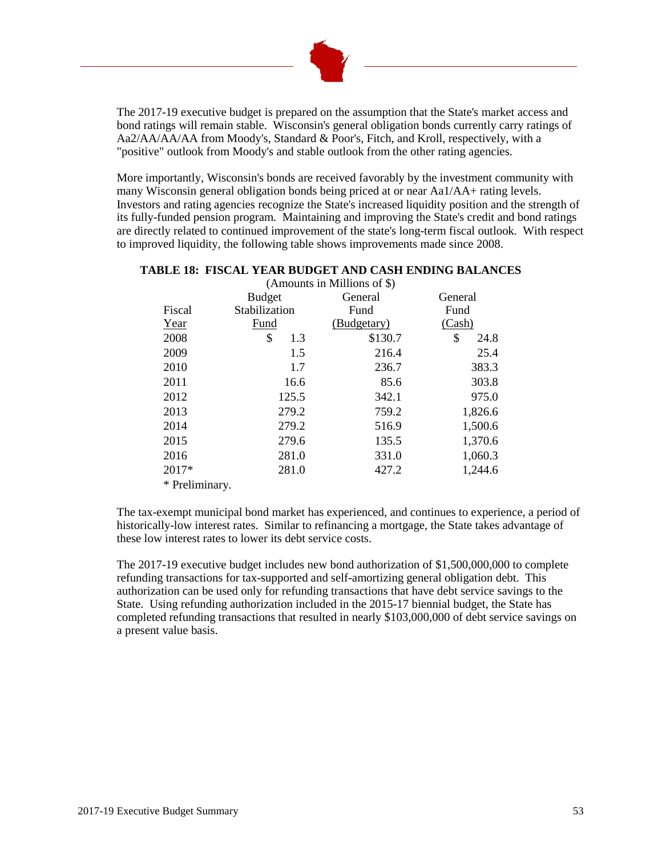

The 2017-19 executive budget is prepared on the assumption that the State's market access and bond ratings will remain stable. Wisconsin's general obligation bonds currently carry ratings of Aa2/AA/AA/AA from Moody's, Standard & Poor's, Fitch, and Kroll, respectively, with a "positive" outlook from Moody's and stable outlook from the other rating agencies.

More importantly, Wisconsin's bonds are received favorably by the investment community with many Wisconsin general obligation bonds being priced at or near Aa1/AA+ rating levels. Investors and rating agencies recognize the State's increased liquidity position and the strength of its fully-funded pension program. Maintaining and improving the State's credit and bond ratings are directly related to continued improvement of the state's long-term fiscal outlook. With respect to improved liquidity, the following table shows improvements made since 2008.

| (Amounts in Millions of 5) |               |             |            |  |
|----------------------------|---------------|-------------|------------|--|
|                            | <b>Budget</b> | General     | General    |  |
| Fiscal                     | Stabilization | Fund        | Fund       |  |
| Year                       | Fund          | (Budgetary) | (Cash)     |  |
| 2008                       | \$<br>1.3     | \$130.7     | \$<br>24.8 |  |
| 2009                       | 1.5           | 216.4       | 25.4       |  |
| 2010                       | 1.7           | 236.7       | 383.3      |  |
| 2011                       | 16.6          | 85.6        | 303.8      |  |
| 2012                       | 125.5         | 342.1       | 975.0      |  |
| 2013                       | 279.2         | 759.2       | 1,826.6    |  |
| 2014                       | 279.2         | 516.9       | 1,500.6    |  |
| 2015                       | 279.6         | 135.5       | 1,370.6    |  |
| 2016                       | 281.0         | 331.0       | 1,060.3    |  |
| 2017*                      | 281.0         | 427.2       | 1,244.6    |  |
| * Preliminary.             |               |             |            |  |

#### **TABLE 18: FISCAL YEAR BUDGET AND CASH ENDING BALANCES** (Amounts in Millions of  $\Phi$ )

The tax-exempt municipal bond market has experienced, and continues to experience, a period of historically-low interest rates. Similar to refinancing a mortgage, the State takes advantage of these low interest rates to lower its debt service costs.

The 2017-19 executive budget includes new bond authorization of \$1,500,000,000 to complete refunding transactions for tax-supported and self-amortizing general obligation debt. This authorization can be used only for refunding transactions that have debt service savings to the State. Using refunding authorization included in the 2015-17 biennial budget, the State has completed refunding transactions that resulted in nearly \$103,000,000 of debt service savings on a present value basis.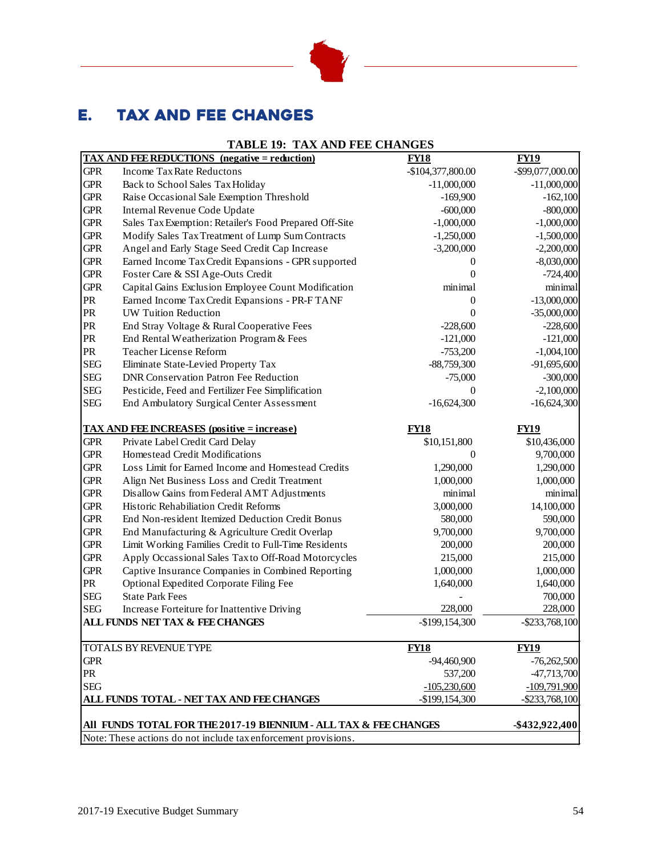

### e. Tax and Fee Changes

| <b>TABLE 19: TAX AND FEE CHANGES</b> |                                                                  |                   |                   |  |
|--------------------------------------|------------------------------------------------------------------|-------------------|-------------------|--|
|                                      | <b>TAX AND FEE REDUCTIONS</b> (negative = reduction)             | <b>FY18</b>       | <b>FY19</b>       |  |
| <b>GPR</b>                           | Income Tax Rate Reductons                                        | -\$104,377,800.00 | -\$99,077,000.00  |  |
| <b>GPR</b>                           | Back to School Sales Tax Holiday                                 | $-11,000,000$     | $-11,000,000$     |  |
| <b>GPR</b>                           | Raise Occasional Sale Exemption Threshold                        | $-169,900$        | $-162,100$        |  |
| <b>GPR</b>                           | Internal Revenue Code Update                                     | $-600,000$        | $-800,000$        |  |
| <b>GPR</b>                           | Sales Tax Exemption: Retailer's Food Prepared Off-Site           | $-1,000,000$      | $-1,000,000$      |  |
| <b>GPR</b>                           | Modify Sales Tax Treatment of Lump Sum Contracts                 | $-1,250,000$      | $-1,500,000$      |  |
| <b>GPR</b>                           | Angel and Early Stage Seed Credit Cap Increase                   | $-3,200,000$      | $-2,200,000$      |  |
| <b>GPR</b>                           | Earned Income Tax Credit Expansions - GPR supported              | 0                 | $-8,030,000$      |  |
| <b>GPR</b>                           | Foster Care & SSI Age-Outs Credit                                | 0                 | $-724,400$        |  |
| <b>GPR</b>                           | Capital Gains Exclusion Employee Count Modification              | minimal           | minimal           |  |
| PR                                   | Earned Income Tax Credit Expansions - PR-F TANF                  | $\theta$          | $-13,000,000$     |  |
| PR                                   | <b>UW Tuition Reduction</b>                                      | $\theta$          | $-35,000,000$     |  |
| PR                                   | End Stray Voltage & Rural Cooperative Fees                       | $-228,600$        | $-228,600$        |  |
| PR                                   | End Rental Weatherization Program & Fees                         | $-121,000$        | $-121,000$        |  |
| PR                                   | Teacher License Reform                                           | $-753,200$        | $-1,004,100$      |  |
| <b>SEG</b>                           | Eliminate State-Levied Property Tax                              | $-88,759,300$     | $-91,695,600$     |  |
| <b>SEG</b>                           | <b>DNR Conservation Patron Fee Reduction</b>                     | $-75,000$         | $-300,000$        |  |
| <b>SEG</b>                           | Pesticide, Feed and Fertilizer Fee Simplification                | $\Omega$          | $-2,100,000$      |  |
| <b>SEG</b>                           | End Ambulatory Surgical Center Assessment                        | $-16,624,300$     | $-16,624,300$     |  |
|                                      | <b>TAX AND FEE INCREASES (positive = increase)</b>               | <b>FY18</b>       | <b>FY19</b>       |  |
| <b>GPR</b>                           | Private Label Credit Card Delay                                  | \$10,151,800      | \$10,436,000      |  |
| <b>GPR</b>                           | Homestead Credit Modifications                                   | 0                 | 9,700,000         |  |
| <b>GPR</b>                           | Loss Limit for Earned Income and Homestead Credits               | 1,290,000         | 1,290,000         |  |
| <b>GPR</b>                           | Align Net Business Loss and Credit Treatment                     | 1,000,000         | 1,000,000         |  |
| <b>GPR</b>                           | Disallow Gains from Federal AMT Adjustments                      | minimal           | minimal           |  |
| <b>GPR</b>                           | Historic Rehabiliation Credit Reforms                            | 3,000,000         | 14,100,000        |  |
| <b>GPR</b>                           | End Non-resident Itemized Deduction Credit Bonus                 | 580,000           | 590,000           |  |
| <b>GPR</b>                           | End Manufacturing & Agriculture Credit Overlap                   | 9,700,000         | 9,700,000         |  |
| <b>GPR</b>                           | Limit Working Families Credit to Full-Time Residents             | 200,000           | 200,000           |  |
| <b>GPR</b>                           | Apply Occassional Sales Tax to Off-Road Motorcycles              | 215,000           | 215,000           |  |
| <b>GPR</b>                           | Captive Insurance Companies in Combined Reporting                | 1,000,000         | 1,000,000         |  |
| PR                                   | Optional Expedited Corporate Filing Fee                          | 1,640,000         | 1,640,000         |  |
| SEG                                  | <b>State Park Fees</b>                                           |                   | 700,000           |  |
| <b>SEG</b>                           | Increase Forteiture for Inattentive Driving                      | 228,000           | 228,000           |  |
|                                      | ALL FUNDS NET TAX & FEE CHANGES                                  | -\$199,154,300    | $-$ \$233,768,100 |  |
|                                      | TOTALS BY REVENUE TYPE                                           | <b>FY18</b>       | <b>FY19</b>       |  |
| <b>GPR</b>                           |                                                                  | $-94,460,900$     | $-76,262,500$     |  |
| PR                                   |                                                                  | 537,200           | $-47,713,700$     |  |
| <b>SEG</b>                           |                                                                  | $-105,230,600$    | $-109,791,900$    |  |
|                                      | ALL FUNDS TOTAL - NET TAX AND FEE CHANGES                        | -\$199,154,300    | -\$233,768,100    |  |
|                                      | All FUNDS TOTAL FOR THE 2017-19 BIENNIUM - ALL TAX & FEE CHANGES |                   | -\$432,922,400    |  |
|                                      | Note: These actions do not include tax enforcement provisions.   |                   |                   |  |

Note: These actions do not include tax enforcement provisions.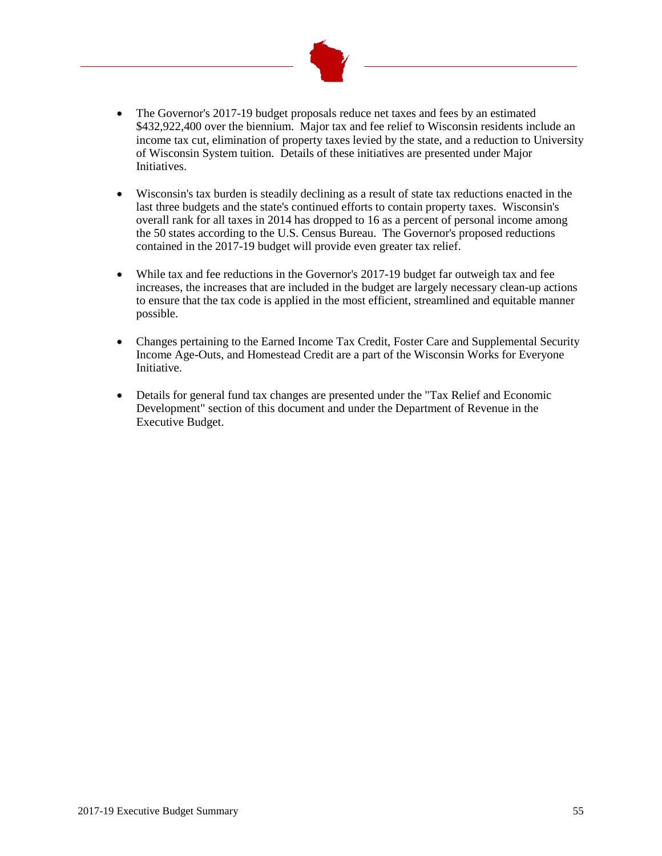

- The Governor's 2017-19 budget proposals reduce net taxes and fees by an estimated \$432,922,400 over the biennium. Major tax and fee relief to Wisconsin residents include an income tax cut, elimination of property taxes levied by the state, and a reduction to University of Wisconsin System tuition. Details of these initiatives are presented under Major Initiatives.
- Wisconsin's tax burden is steadily declining as a result of state tax reductions enacted in the last three budgets and the state's continued efforts to contain property taxes. Wisconsin's overall rank for all taxes in 2014 has dropped to 16 as a percent of personal income among the 50 states according to the U.S. Census Bureau. The Governor's proposed reductions contained in the 2017-19 budget will provide even greater tax relief.
- While tax and fee reductions in the Governor's 2017-19 budget far outweigh tax and fee increases, the increases that are included in the budget are largely necessary clean-up actions to ensure that the tax code is applied in the most efficient, streamlined and equitable manner possible.
- Changes pertaining to the Earned Income Tax Credit, Foster Care and Supplemental Security Income Age-Outs, and Homestead Credit are a part of the Wisconsin Works for Everyone Initiative.
- Details for general fund tax changes are presented under the "Tax Relief and Economic Development" section of this document and under the Department of Revenue in the Executive Budget.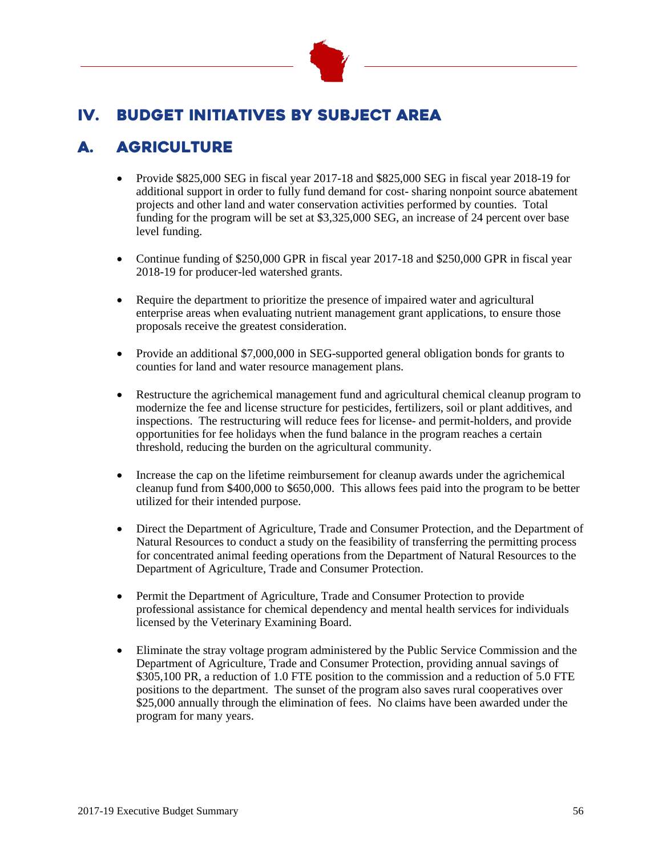

# IV. Budget Initiatives by Subject Area

# a. Agriculture

- Provide \$825,000 SEG in fiscal year 2017-18 and \$825,000 SEG in fiscal year 2018-19 for additional support in order to fully fund demand for cost- sharing nonpoint source abatement projects and other land and water conservation activities performed by counties. Total funding for the program will be set at \$3,325,000 SEG, an increase of 24 percent over base level funding.
- Continue funding of \$250,000 GPR in fiscal year 2017-18 and \$250,000 GPR in fiscal year 2018-19 for producer-led watershed grants.
- Require the department to prioritize the presence of impaired water and agricultural enterprise areas when evaluating nutrient management grant applications, to ensure those proposals receive the greatest consideration.
- Provide an additional \$7,000,000 in SEG-supported general obligation bonds for grants to counties for land and water resource management plans.
- Restructure the agrichemical management fund and agricultural chemical cleanup program to modernize the fee and license structure for pesticides, fertilizers, soil or plant additives, and inspections. The restructuring will reduce fees for license- and permit-holders, and provide opportunities for fee holidays when the fund balance in the program reaches a certain threshold, reducing the burden on the agricultural community.
- Increase the cap on the lifetime reimbursement for cleanup awards under the agrichemical cleanup fund from \$400,000 to \$650,000. This allows fees paid into the program to be better utilized for their intended purpose.
- Direct the Department of Agriculture, Trade and Consumer Protection, and the Department of Natural Resources to conduct a study on the feasibility of transferring the permitting process for concentrated animal feeding operations from the Department of Natural Resources to the Department of Agriculture, Trade and Consumer Protection.
- Permit the Department of Agriculture, Trade and Consumer Protection to provide professional assistance for chemical dependency and mental health services for individuals licensed by the Veterinary Examining Board.
- Eliminate the stray voltage program administered by the Public Service Commission and the Department of Agriculture, Trade and Consumer Protection, providing annual savings of \$305,100 PR, a reduction of 1.0 FTE position to the commission and a reduction of 5.0 FTE positions to the department. The sunset of the program also saves rural cooperatives over \$25,000 annually through the elimination of fees. No claims have been awarded under the program for many years.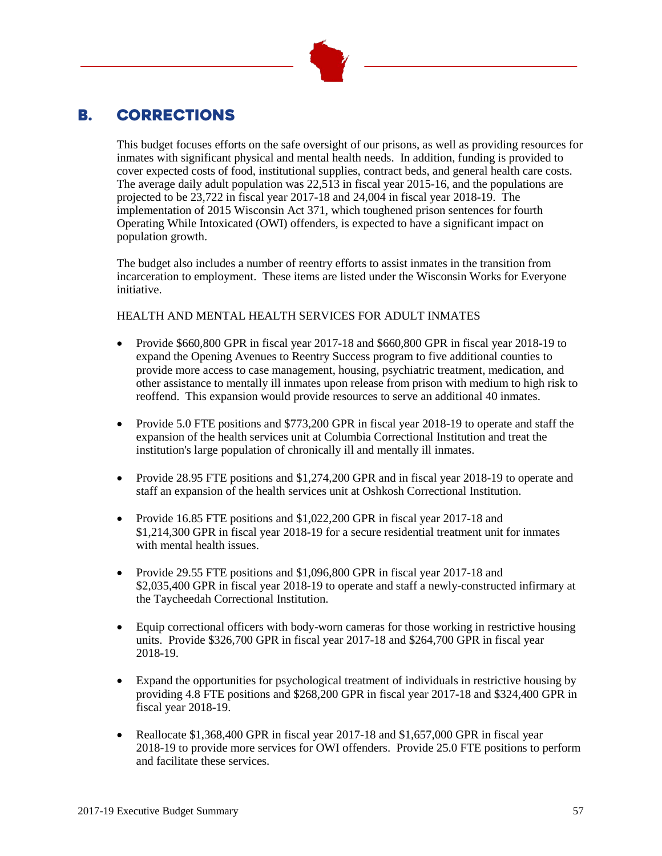

### **B. CORRECTIONS**

This budget focuses efforts on the safe oversight of our prisons, as well as providing resources for inmates with significant physical and mental health needs. In addition, funding is provided to cover expected costs of food, institutional supplies, contract beds, and general health care costs. The average daily adult population was 22,513 in fiscal year 2015-16, and the populations are projected to be 23,722 in fiscal year 2017-18 and 24,004 in fiscal year 2018-19. The implementation of 2015 Wisconsin Act 371, which toughened prison sentences for fourth Operating While Intoxicated (OWI) offenders, is expected to have a significant impact on population growth.

The budget also includes a number of reentry efforts to assist inmates in the transition from incarceration to employment. These items are listed under the Wisconsin Works for Everyone initiative.

### HEALTH AND MENTAL HEALTH SERVICES FOR ADULT INMATES

- Provide \$660,800 GPR in fiscal year 2017-18 and \$660,800 GPR in fiscal year 2018-19 to expand the Opening Avenues to Reentry Success program to five additional counties to provide more access to case management, housing, psychiatric treatment, medication, and other assistance to mentally ill inmates upon release from prison with medium to high risk to reoffend. This expansion would provide resources to serve an additional 40 inmates.
- Provide 5.0 FTE positions and \$773,200 GPR in fiscal year 2018-19 to operate and staff the expansion of the health services unit at Columbia Correctional Institution and treat the institution's large population of chronically ill and mentally ill inmates.
- Provide 28.95 FTE positions and \$1,274,200 GPR and in fiscal year 2018-19 to operate and staff an expansion of the health services unit at Oshkosh Correctional Institution.
- Provide 16.85 FTE positions and \$1,022,200 GPR in fiscal year 2017-18 and \$1,214,300 GPR in fiscal year 2018-19 for a secure residential treatment unit for inmates with mental health issues.
- Provide 29.55 FTE positions and \$1,096,800 GPR in fiscal year 2017-18 and \$2,035,400 GPR in fiscal year 2018-19 to operate and staff a newly-constructed infirmary at the Taycheedah Correctional Institution.
- Equip correctional officers with body-worn cameras for those working in restrictive housing units. Provide \$326,700 GPR in fiscal year 2017-18 and \$264,700 GPR in fiscal year 2018-19.
- Expand the opportunities for psychological treatment of individuals in restrictive housing by providing 4.8 FTE positions and \$268,200 GPR in fiscal year 2017-18 and \$324,400 GPR in fiscal year 2018-19.
- Reallocate \$1,368,400 GPR in fiscal year 2017-18 and \$1,657,000 GPR in fiscal year 2018-19 to provide more services for OWI offenders. Provide 25.0 FTE positions to perform and facilitate these services.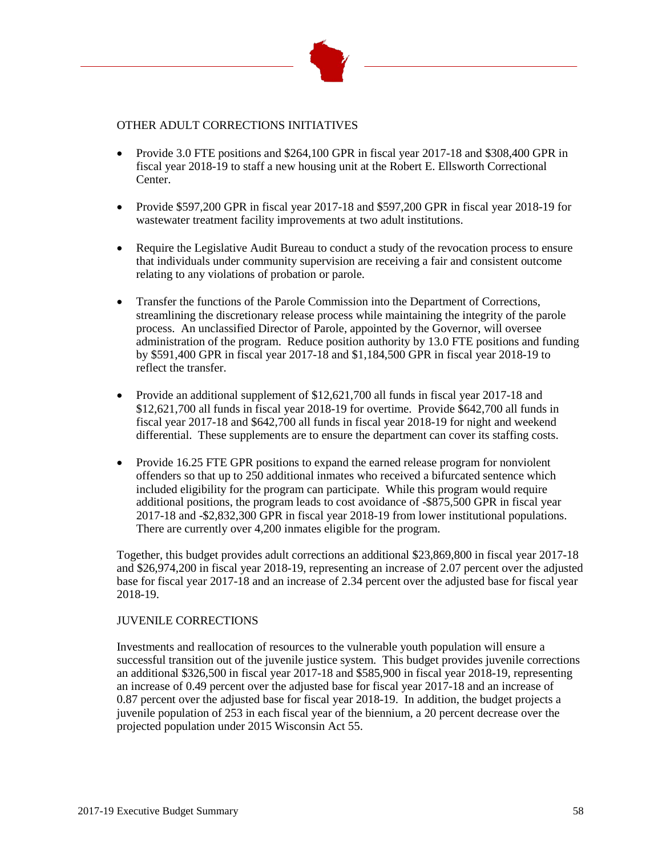

### OTHER ADULT CORRECTIONS INITIATIVES

- Provide 3.0 FTE positions and \$264,100 GPR in fiscal year 2017-18 and \$308,400 GPR in fiscal year 2018-19 to staff a new housing unit at the Robert E. Ellsworth Correctional Center.
- Provide \$597,200 GPR in fiscal year 2017-18 and \$597,200 GPR in fiscal year 2018-19 for wastewater treatment facility improvements at two adult institutions.
- Require the Legislative Audit Bureau to conduct a study of the revocation process to ensure that individuals under community supervision are receiving a fair and consistent outcome relating to any violations of probation or parole.
- Transfer the functions of the Parole Commission into the Department of Corrections, streamlining the discretionary release process while maintaining the integrity of the parole process. An unclassified Director of Parole, appointed by the Governor, will oversee administration of the program. Reduce position authority by 13.0 FTE positions and funding by \$591,400 GPR in fiscal year 2017-18 and \$1,184,500 GPR in fiscal year 2018-19 to reflect the transfer.
- Provide an additional supplement of \$12,621,700 all funds in fiscal year 2017-18 and \$12,621,700 all funds in fiscal year 2018-19 for overtime. Provide \$642,700 all funds in fiscal year 2017-18 and \$642,700 all funds in fiscal year 2018-19 for night and weekend differential. These supplements are to ensure the department can cover its staffing costs.
- Provide 16.25 FTE GPR positions to expand the earned release program for nonviolent offenders so that up to 250 additional inmates who received a bifurcated sentence which included eligibility for the program can participate. While this program would require additional positions, the program leads to cost avoidance of -\$875,500 GPR in fiscal year 2017-18 and -\$2,832,300 GPR in fiscal year 2018-19 from lower institutional populations. There are currently over 4,200 inmates eligible for the program.

Together, this budget provides adult corrections an additional \$23,869,800 in fiscal year 2017-18 and \$26,974,200 in fiscal year 2018-19, representing an increase of 2.07 percent over the adjusted base for fiscal year 2017-18 and an increase of 2.34 percent over the adjusted base for fiscal year 2018-19.

### JUVENILE CORRECTIONS

Investments and reallocation of resources to the vulnerable youth population will ensure a successful transition out of the juvenile justice system. This budget provides juvenile corrections an additional \$326,500 in fiscal year 2017-18 and \$585,900 in fiscal year 2018-19, representing an increase of 0.49 percent over the adjusted base for fiscal year 2017-18 and an increase of 0.87 percent over the adjusted base for fiscal year 2018-19. In addition, the budget projects a juvenile population of 253 in each fiscal year of the biennium, a 20 percent decrease over the projected population under 2015 Wisconsin Act 55.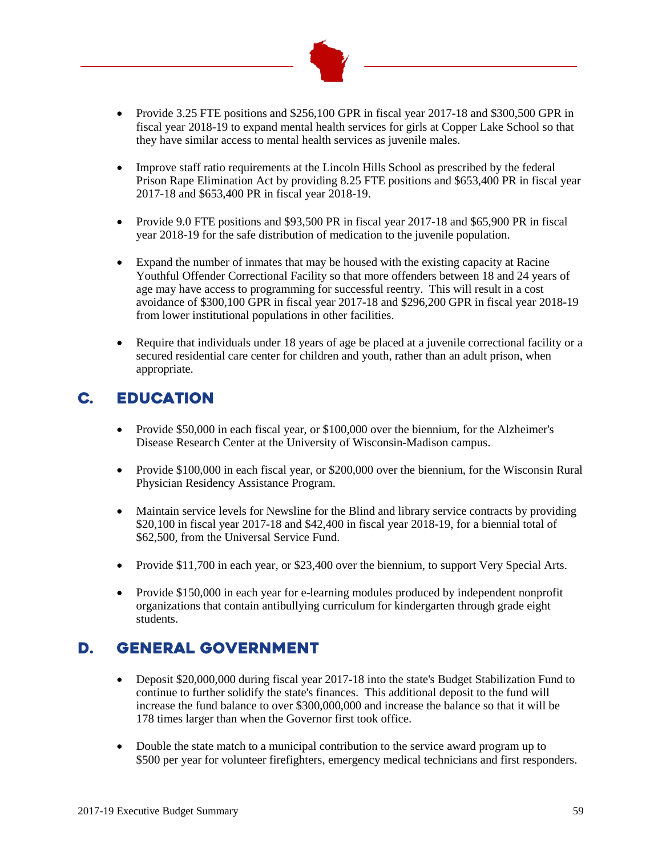

- Provide 3.25 FTE positions and \$256,100 GPR in fiscal year 2017-18 and \$300,500 GPR in fiscal year 2018-19 to expand mental health services for girls at Copper Lake School so that they have similar access to mental health services as juvenile males.
- Improve staff ratio requirements at the Lincoln Hills School as prescribed by the federal Prison Rape Elimination Act by providing 8.25 FTE positions and \$653,400 PR in fiscal year 2017-18 and \$653,400 PR in fiscal year 2018-19.
- Provide 9.0 FTE positions and \$93,500 PR in fiscal year 2017-18 and \$65,900 PR in fiscal year 2018-19 for the safe distribution of medication to the juvenile population.
- Expand the number of inmates that may be housed with the existing capacity at Racine Youthful Offender Correctional Facility so that more offenders between 18 and 24 years of age may have access to programming for successful reentry. This will result in a cost avoidance of \$300,100 GPR in fiscal year 2017-18 and \$296,200 GPR in fiscal year 2018-19 from lower institutional populations in other facilities.
- Require that individuals under 18 years of age be placed at a juvenile correctional facility or a secured residential care center for children and youth, rather than an adult prison, when appropriate.

# c. Education

- Provide \$50,000 in each fiscal year, or \$100,000 over the biennium, for the Alzheimer's Disease Research Center at the University of Wisconsin-Madison campus.
- Provide \$100,000 in each fiscal year, or \$200,000 over the biennium, for the Wisconsin Rural Physician Residency Assistance Program.
- Maintain service levels for Newsline for the Blind and library service contracts by providing \$20,100 in fiscal year 2017-18 and \$42,400 in fiscal year 2018-19, for a biennial total of \$62,500, from the Universal Service Fund.
- Provide \$11,700 in each year, or \$23,400 over the biennium, to support Very Special Arts.
- Provide \$150,000 in each year for e-learning modules produced by independent nonprofit organizations that contain antibullying curriculum for kindergarten through grade eight students.

### d. General Government

- Deposit \$20,000,000 during fiscal year 2017-18 into the state's Budget Stabilization Fund to continue to further solidify the state's finances. This additional deposit to the fund will increase the fund balance to over \$300,000,000 and increase the balance so that it will be 178 times larger than when the Governor first took office.
- Double the state match to a municipal contribution to the service award program up to \$500 per year for volunteer firefighters, emergency medical technicians and first responders.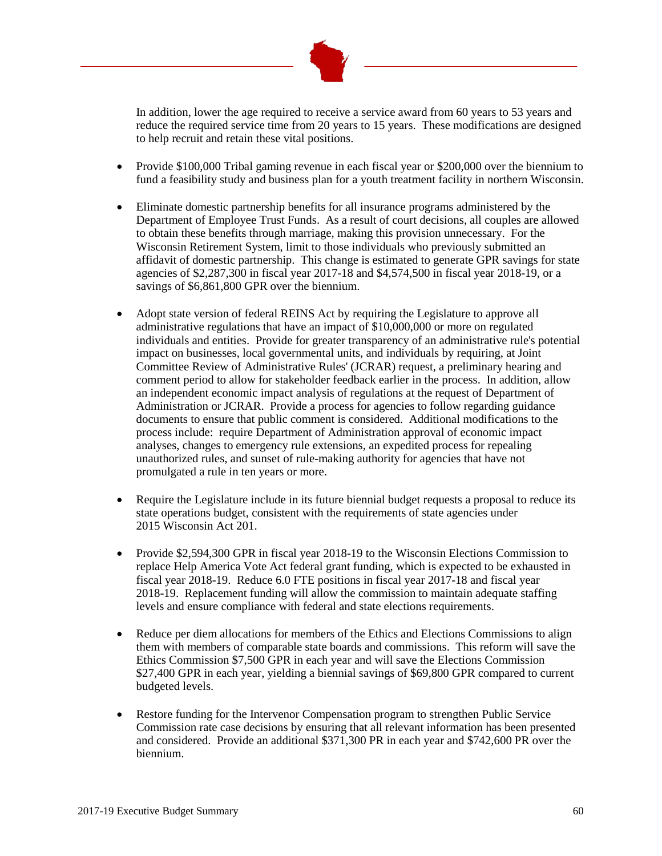

In addition, lower the age required to receive a service award from 60 years to 53 years and reduce the required service time from 20 years to 15 years. These modifications are designed to help recruit and retain these vital positions.

- Provide \$100,000 Tribal gaming revenue in each fiscal year or \$200,000 over the biennium to fund a feasibility study and business plan for a youth treatment facility in northern Wisconsin.
- Eliminate domestic partnership benefits for all insurance programs administered by the Department of Employee Trust Funds. As a result of court decisions, all couples are allowed to obtain these benefits through marriage, making this provision unnecessary. For the Wisconsin Retirement System, limit to those individuals who previously submitted an affidavit of domestic partnership. This change is estimated to generate GPR savings for state agencies of \$2,287,300 in fiscal year 2017-18 and \$4,574,500 in fiscal year 2018-19, or a savings of \$6,861,800 GPR over the biennium.
- Adopt state version of federal REINS Act by requiring the Legislature to approve all administrative regulations that have an impact of \$10,000,000 or more on regulated individuals and entities. Provide for greater transparency of an administrative rule's potential impact on businesses, local governmental units, and individuals by requiring, at Joint Committee Review of Administrative Rules' (JCRAR) request, a preliminary hearing and comment period to allow for stakeholder feedback earlier in the process. In addition, allow an independent economic impact analysis of regulations at the request of Department of Administration or JCRAR. Provide a process for agencies to follow regarding guidance documents to ensure that public comment is considered. Additional modifications to the process include: require Department of Administration approval of economic impact analyses, changes to emergency rule extensions, an expedited process for repealing unauthorized rules, and sunset of rule-making authority for agencies that have not promulgated a rule in ten years or more.
- Require the Legislature include in its future biennial budget requests a proposal to reduce its state operations budget, consistent with the requirements of state agencies under 2015 Wisconsin Act 201.
- Provide \$2,594,300 GPR in fiscal year 2018-19 to the Wisconsin Elections Commission to replace Help America Vote Act federal grant funding, which is expected to be exhausted in fiscal year 2018-19. Reduce 6.0 FTE positions in fiscal year 2017-18 and fiscal year 2018-19. Replacement funding will allow the commission to maintain adequate staffing levels and ensure compliance with federal and state elections requirements.
- Reduce per diem allocations for members of the Ethics and Elections Commissions to align them with members of comparable state boards and commissions. This reform will save the Ethics Commission \$7,500 GPR in each year and will save the Elections Commission \$27,400 GPR in each year, yielding a biennial savings of \$69,800 GPR compared to current budgeted levels.
- Restore funding for the Intervenor Compensation program to strengthen Public Service Commission rate case decisions by ensuring that all relevant information has been presented and considered. Provide an additional \$371,300 PR in each year and \$742,600 PR over the biennium.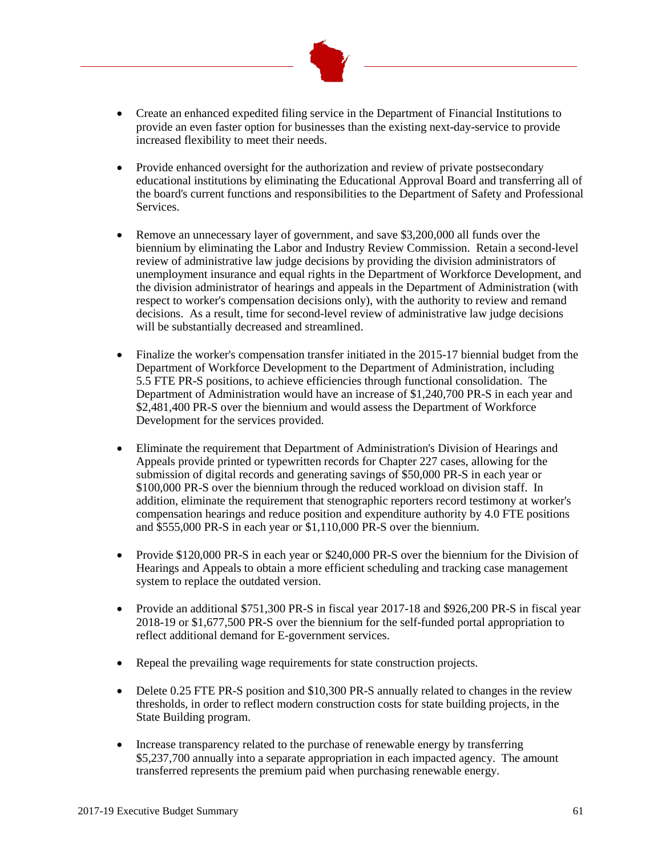

- Create an enhanced expedited filing service in the Department of Financial Institutions to provide an even faster option for businesses than the existing next-day-service to provide increased flexibility to meet their needs.
- Provide enhanced oversight for the authorization and review of private postsecondary educational institutions by eliminating the Educational Approval Board and transferring all of the board's current functions and responsibilities to the Department of Safety and Professional **Services**
- Remove an unnecessary layer of government, and save \$3,200,000 all funds over the biennium by eliminating the Labor and Industry Review Commission. Retain a second-level review of administrative law judge decisions by providing the division administrators of unemployment insurance and equal rights in the Department of Workforce Development, and the division administrator of hearings and appeals in the Department of Administration (with respect to worker's compensation decisions only), with the authority to review and remand decisions. As a result, time for second-level review of administrative law judge decisions will be substantially decreased and streamlined.
- Finalize the worker's compensation transfer initiated in the 2015-17 biennial budget from the Department of Workforce Development to the Department of Administration, including 5.5 FTE PR-S positions, to achieve efficiencies through functional consolidation. The Department of Administration would have an increase of \$1,240,700 PR-S in each year and \$2,481,400 PR-S over the biennium and would assess the Department of Workforce Development for the services provided.
- Eliminate the requirement that Department of Administration's Division of Hearings and Appeals provide printed or typewritten records for Chapter 227 cases, allowing for the submission of digital records and generating savings of \$50,000 PR-S in each year or \$100,000 PR-S over the biennium through the reduced workload on division staff. In addition, eliminate the requirement that stenographic reporters record testimony at worker's compensation hearings and reduce position and expenditure authority by 4.0 FTE positions and \$555,000 PR-S in each year or \$1,110,000 PR-S over the biennium.
- Provide \$120,000 PR-S in each year or \$240,000 PR-S over the biennium for the Division of Hearings and Appeals to obtain a more efficient scheduling and tracking case management system to replace the outdated version.
- Provide an additional \$751,300 PR-S in fiscal year 2017-18 and \$926,200 PR-S in fiscal year 2018-19 or \$1,677,500 PR-S over the biennium for the self-funded portal appropriation to reflect additional demand for E-government services.
- Repeal the prevailing wage requirements for state construction projects.
- Delete 0.25 FTE PR-S position and \$10,300 PR-S annually related to changes in the review thresholds, in order to reflect modern construction costs for state building projects, in the State Building program.
- Increase transparency related to the purchase of renewable energy by transferring \$5,237,700 annually into a separate appropriation in each impacted agency. The amount transferred represents the premium paid when purchasing renewable energy.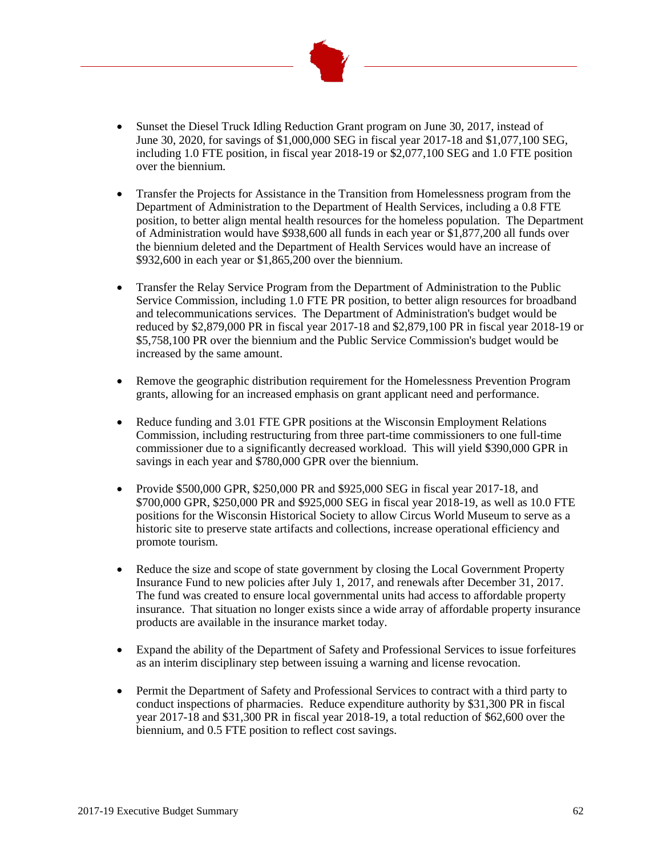

- Sunset the Diesel Truck Idling Reduction Grant program on June 30, 2017, instead of June 30, 2020, for savings of \$1,000,000 SEG in fiscal year 2017-18 and \$1,077,100 SEG, including 1.0 FTE position, in fiscal year 2018-19 or \$2,077,100 SEG and 1.0 FTE position over the biennium.
- Transfer the Projects for Assistance in the Transition from Homelessness program from the Department of Administration to the Department of Health Services, including a 0.8 FTE position, to better align mental health resources for the homeless population. The Department of Administration would have \$938,600 all funds in each year or \$1,877,200 all funds over the biennium deleted and the Department of Health Services would have an increase of \$932,600 in each year or \$1,865,200 over the biennium.
- Transfer the Relay Service Program from the Department of Administration to the Public Service Commission, including 1.0 FTE PR position, to better align resources for broadband and telecommunications services. The Department of Administration's budget would be reduced by \$2,879,000 PR in fiscal year 2017-18 and \$2,879,100 PR in fiscal year 2018-19 or \$5,758,100 PR over the biennium and the Public Service Commission's budget would be increased by the same amount.
- Remove the geographic distribution requirement for the Homelessness Prevention Program grants, allowing for an increased emphasis on grant applicant need and performance.
- Reduce funding and 3.01 FTE GPR positions at the Wisconsin Employment Relations Commission, including restructuring from three part-time commissioners to one full-time commissioner due to a significantly decreased workload. This will yield \$390,000 GPR in savings in each year and \$780,000 GPR over the biennium.
- Provide \$500,000 GPR, \$250,000 PR and \$925,000 SEG in fiscal year 2017-18, and \$700,000 GPR, \$250,000 PR and \$925,000 SEG in fiscal year 2018-19, as well as 10.0 FTE positions for the Wisconsin Historical Society to allow Circus World Museum to serve as a historic site to preserve state artifacts and collections, increase operational efficiency and promote tourism.
- Reduce the size and scope of state government by closing the Local Government Property Insurance Fund to new policies after July 1, 2017, and renewals after December 31, 2017. The fund was created to ensure local governmental units had access to affordable property insurance. That situation no longer exists since a wide array of affordable property insurance products are available in the insurance market today.
- Expand the ability of the Department of Safety and Professional Services to issue forfeitures as an interim disciplinary step between issuing a warning and license revocation.
- Permit the Department of Safety and Professional Services to contract with a third party to conduct inspections of pharmacies. Reduce expenditure authority by \$31,300 PR in fiscal year 2017-18 and \$31,300 PR in fiscal year 2018-19, a total reduction of \$62,600 over the biennium, and 0.5 FTE position to reflect cost savings.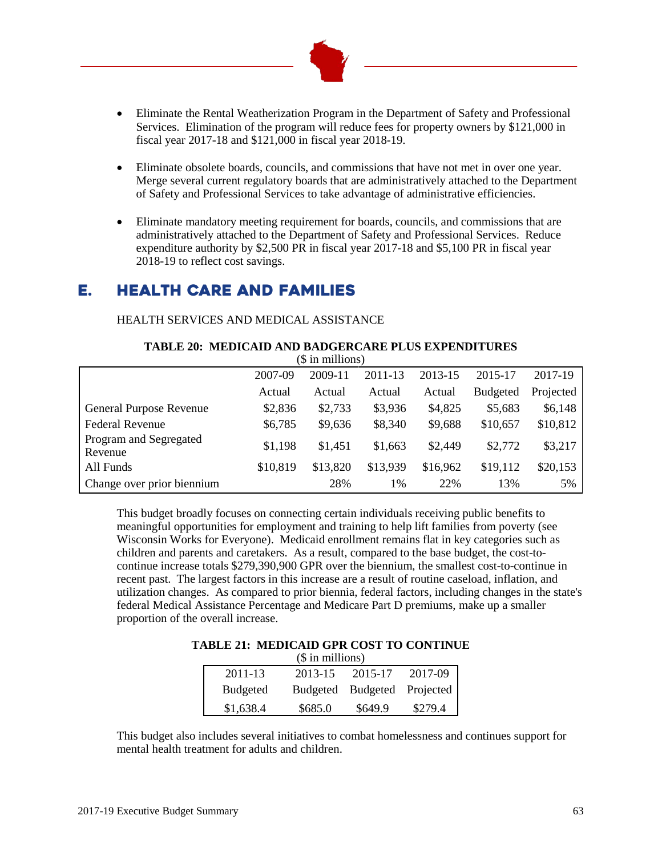

- Eliminate the Rental Weatherization Program in the Department of Safety and Professional Services. Elimination of the program will reduce fees for property owners by \$121,000 in fiscal year 2017-18 and \$121,000 in fiscal year 2018-19.
- Eliminate obsolete boards, councils, and commissions that have not met in over one year. Merge several current regulatory boards that are administratively attached to the Department of Safety and Professional Services to take advantage of administrative efficiencies.
- Eliminate mandatory meeting requirement for boards, councils, and commissions that are administratively attached to the Department of Safety and Professional Services. Reduce expenditure authority by \$2,500 PR in fiscal year 2017-18 and \$5,100 PR in fiscal year 2018-19 to reflect cost savings.

### e. Health Care and families

### HEALTH SERVICES AND MEDICAL ASSISTANCE

| $($$ in millions)                 |          |          |          |          |                 |           |
|-----------------------------------|----------|----------|----------|----------|-----------------|-----------|
|                                   | 2007-09  | 2009-11  | 2011-13  | 2013-15  | 2015-17         | 2017-19   |
|                                   | Actual   | Actual   | Actual   | Actual   | <b>Budgeted</b> | Projected |
| <b>General Purpose Revenue</b>    | \$2,836  | \$2,733  | \$3,936  | \$4,825  | \$5,683         | \$6,148   |
| <b>Federal Revenue</b>            | \$6,785  | \$9,636  | \$8,340  | \$9,688  | \$10,657        | \$10,812  |
| Program and Segregated<br>Revenue | \$1,198  | \$1,451  | \$1,663  | \$2,449  | \$2,772         | \$3,217   |
| All Funds                         | \$10,819 | \$13,820 | \$13,939 | \$16,962 | \$19,112        | \$20,153  |
| Change over prior biennium        |          | 28%      | 1%       | 22%      | 13%             | 5%        |

### **TABLE 20: MEDICAID AND BADGERCARE PLUS EXPENDITURES**

This budget broadly focuses on connecting certain individuals receiving public benefits to meaningful opportunities for employment and training to help lift families from poverty (see Wisconsin Works for Everyone). Medicaid enrollment remains flat in key categories such as children and parents and caretakers. As a result, compared to the base budget, the cost-tocontinue increase totals \$279,390,900 GPR over the biennium, the smallest cost-to-continue in recent past. The largest factors in this increase are a result of routine caseload, inflation, and utilization changes. As compared to prior biennia, federal factors, including changes in the state's federal Medical Assistance Percentage and Medicare Part D premiums, make up a smaller proportion of the overall increase.

### **TABLE 21: MEDICAID GPR COST TO CONTINUE**

| $($$ in millions) |                 |                 |           |  |
|-------------------|-----------------|-----------------|-----------|--|
| $2011 - 13$       | 2013-15         | 2015-17         | 2017-09   |  |
| <b>Budgeted</b>   | <b>Budgeted</b> | <b>Budgeted</b> | Projected |  |
| \$1,638.4         | \$685.0         | \$649.9         | \$279.4   |  |

This budget also includes several initiatives to combat homelessness and continues support for mental health treatment for adults and children.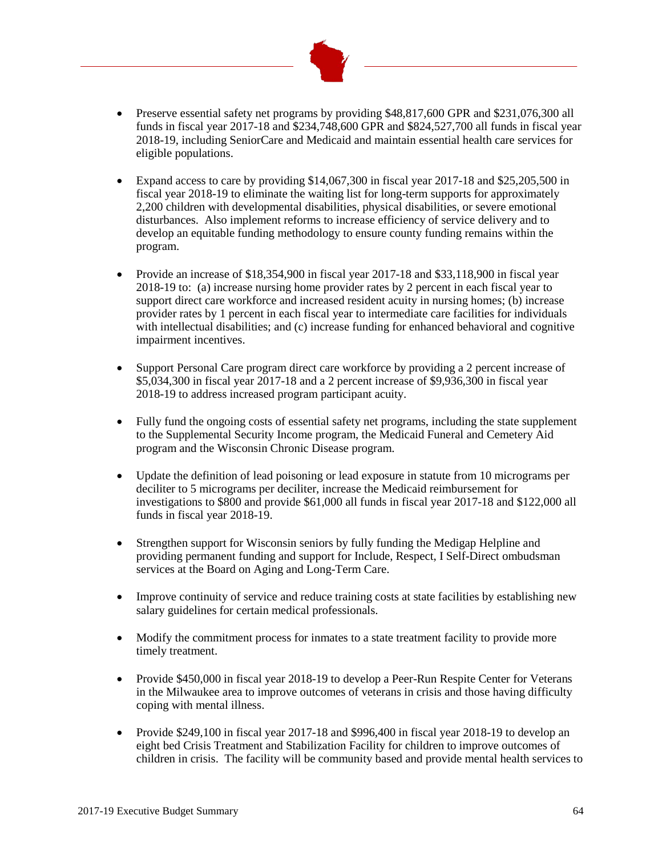

- Preserve essential safety net programs by providing \$48,817,600 GPR and \$231,076,300 all funds in fiscal year 2017-18 and \$234,748,600 GPR and \$824,527,700 all funds in fiscal year 2018-19, including SeniorCare and Medicaid and maintain essential health care services for eligible populations.
- Expand access to care by providing \$14,067,300 in fiscal year 2017-18 and \$25,205,500 in fiscal year 2018-19 to eliminate the waiting list for long-term supports for approximately 2,200 children with developmental disabilities, physical disabilities, or severe emotional disturbances. Also implement reforms to increase efficiency of service delivery and to develop an equitable funding methodology to ensure county funding remains within the program.
- Provide an increase of \$18,354,900 in fiscal year 2017-18 and \$33,118,900 in fiscal year 2018-19 to: (a) increase nursing home provider rates by 2 percent in each fiscal year to support direct care workforce and increased resident acuity in nursing homes; (b) increase provider rates by 1 percent in each fiscal year to intermediate care facilities for individuals with intellectual disabilities; and (c) increase funding for enhanced behavioral and cognitive impairment incentives.
- Support Personal Care program direct care workforce by providing a 2 percent increase of \$5,034,300 in fiscal year 2017-18 and a 2 percent increase of \$9,936,300 in fiscal year 2018-19 to address increased program participant acuity.
- Fully fund the ongoing costs of essential safety net programs, including the state supplement to the Supplemental Security Income program, the Medicaid Funeral and Cemetery Aid program and the Wisconsin Chronic Disease program.
- Update the definition of lead poisoning or lead exposure in statute from 10 micrograms per deciliter to 5 micrograms per deciliter, increase the Medicaid reimbursement for investigations to \$800 and provide \$61,000 all funds in fiscal year 2017-18 and \$122,000 all funds in fiscal year 2018-19.
- Strengthen support for Wisconsin seniors by fully funding the Medigap Helpline and providing permanent funding and support for Include, Respect, I Self-Direct ombudsman services at the Board on Aging and Long-Term Care.
- Improve continuity of service and reduce training costs at state facilities by establishing new salary guidelines for certain medical professionals.
- Modify the commitment process for inmates to a state treatment facility to provide more timely treatment.
- Provide \$450,000 in fiscal year 2018-19 to develop a Peer-Run Respite Center for Veterans in the Milwaukee area to improve outcomes of veterans in crisis and those having difficulty coping with mental illness.
- Provide \$249,100 in fiscal year 2017-18 and \$996,400 in fiscal year 2018-19 to develop an eight bed Crisis Treatment and Stabilization Facility for children to improve outcomes of children in crisis. The facility will be community based and provide mental health services to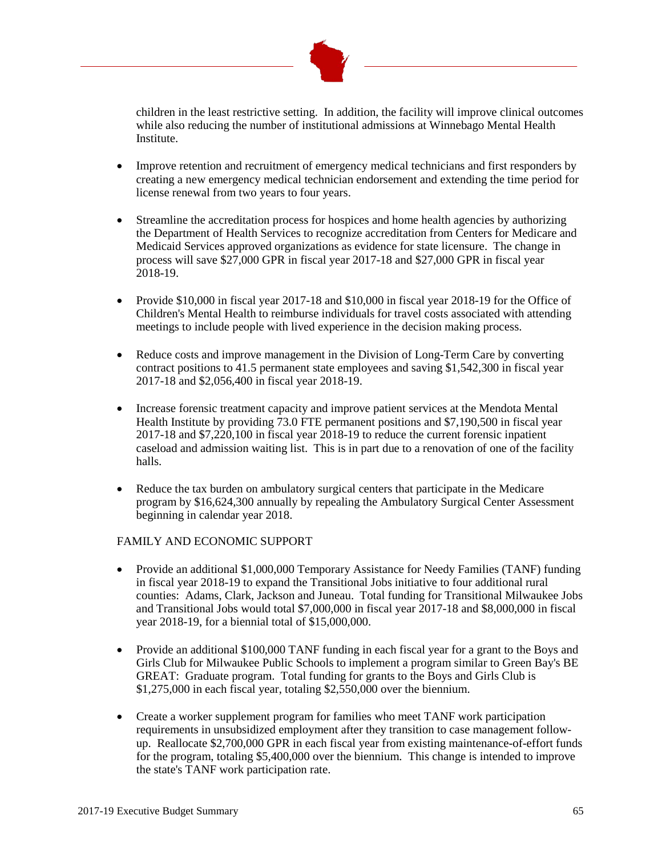

children in the least restrictive setting. In addition, the facility will improve clinical outcomes while also reducing the number of institutional admissions at Winnebago Mental Health Institute.

- Improve retention and recruitment of emergency medical technicians and first responders by creating a new emergency medical technician endorsement and extending the time period for license renewal from two years to four years.
- Streamline the accreditation process for hospices and home health agencies by authorizing the Department of Health Services to recognize accreditation from Centers for Medicare and Medicaid Services approved organizations as evidence for state licensure. The change in process will save \$27,000 GPR in fiscal year 2017-18 and \$27,000 GPR in fiscal year 2018-19.
- Provide \$10,000 in fiscal year 2017-18 and \$10,000 in fiscal year 2018-19 for the Office of Children's Mental Health to reimburse individuals for travel costs associated with attending meetings to include people with lived experience in the decision making process.
- Reduce costs and improve management in the Division of Long-Term Care by converting contract positions to 41.5 permanent state employees and saving \$1,542,300 in fiscal year 2017-18 and \$2,056,400 in fiscal year 2018-19.
- Increase forensic treatment capacity and improve patient services at the Mendota Mental Health Institute by providing 73.0 FTE permanent positions and \$7,190,500 in fiscal year 2017-18 and \$7,220,100 in fiscal year 2018-19 to reduce the current forensic inpatient caseload and admission waiting list. This is in part due to a renovation of one of the facility halls.
- Reduce the tax burden on ambulatory surgical centers that participate in the Medicare program by \$16,624,300 annually by repealing the Ambulatory Surgical Center Assessment beginning in calendar year 2018.

### FAMILY AND ECONOMIC SUPPORT

- Provide an additional \$1,000,000 Temporary Assistance for Needy Families (TANF) funding in fiscal year 2018-19 to expand the Transitional Jobs initiative to four additional rural counties: Adams, Clark, Jackson and Juneau. Total funding for Transitional Milwaukee Jobs and Transitional Jobs would total \$7,000,000 in fiscal year 2017-18 and \$8,000,000 in fiscal year 2018-19, for a biennial total of \$15,000,000.
- Provide an additional \$100,000 TANF funding in each fiscal year for a grant to the Boys and Girls Club for Milwaukee Public Schools to implement a program similar to Green Bay's BE GREAT: Graduate program. Total funding for grants to the Boys and Girls Club is \$1,275,000 in each fiscal year, totaling \$2,550,000 over the biennium.
- Create a worker supplement program for families who meet TANF work participation requirements in unsubsidized employment after they transition to case management followup. Reallocate \$2,700,000 GPR in each fiscal year from existing maintenance-of-effort funds for the program, totaling \$5,400,000 over the biennium. This change is intended to improve the state's TANF work participation rate.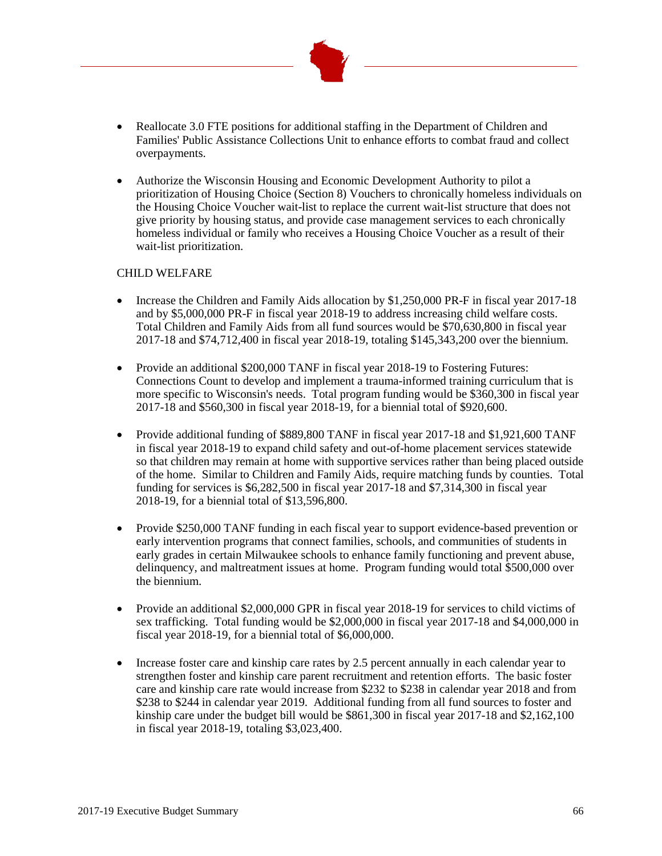

- Reallocate 3.0 FTE positions for additional staffing in the Department of Children and Families' Public Assistance Collections Unit to enhance efforts to combat fraud and collect overpayments.
- Authorize the Wisconsin Housing and Economic Development Authority to pilot a prioritization of Housing Choice (Section 8) Vouchers to chronically homeless individuals on the Housing Choice Voucher wait-list to replace the current wait-list structure that does not give priority by housing status, and provide case management services to each chronically homeless individual or family who receives a Housing Choice Voucher as a result of their wait-list prioritization.

#### CHILD WELFARE

- Increase the Children and Family Aids allocation by \$1,250,000 PR-F in fiscal year 2017-18 and by \$5,000,000 PR-F in fiscal year 2018-19 to address increasing child welfare costs. Total Children and Family Aids from all fund sources would be \$70,630,800 in fiscal year 2017-18 and \$74,712,400 in fiscal year 2018-19, totaling \$145,343,200 over the biennium.
- Provide an additional \$200,000 TANF in fiscal year 2018-19 to Fostering Futures: Connections Count to develop and implement a trauma-informed training curriculum that is more specific to Wisconsin's needs. Total program funding would be \$360,300 in fiscal year 2017-18 and \$560,300 in fiscal year 2018-19, for a biennial total of \$920,600.
- Provide additional funding of \$889,800 TANF in fiscal year 2017-18 and \$1,921,600 TANF in fiscal year 2018-19 to expand child safety and out-of-home placement services statewide so that children may remain at home with supportive services rather than being placed outside of the home. Similar to Children and Family Aids, require matching funds by counties. Total funding for services is \$6,282,500 in fiscal year 2017-18 and \$7,314,300 in fiscal year 2018-19, for a biennial total of \$13,596,800.
- Provide \$250,000 TANF funding in each fiscal year to support evidence-based prevention or early intervention programs that connect families, schools, and communities of students in early grades in certain Milwaukee schools to enhance family functioning and prevent abuse, delinquency, and maltreatment issues at home. Program funding would total \$500,000 over the biennium.
- Provide an additional \$2,000,000 GPR in fiscal year 2018-19 for services to child victims of sex trafficking. Total funding would be \$2,000,000 in fiscal year 2017-18 and \$4,000,000 in fiscal year 2018-19, for a biennial total of \$6,000,000.
- Increase foster care and kinship care rates by 2.5 percent annually in each calendar year to strengthen foster and kinship care parent recruitment and retention efforts. The basic foster care and kinship care rate would increase from \$232 to \$238 in calendar year 2018 and from \$238 to \$244 in calendar year 2019. Additional funding from all fund sources to foster and kinship care under the budget bill would be \$861,300 in fiscal year 2017-18 and \$2,162,100 in fiscal year 2018-19, totaling \$3,023,400.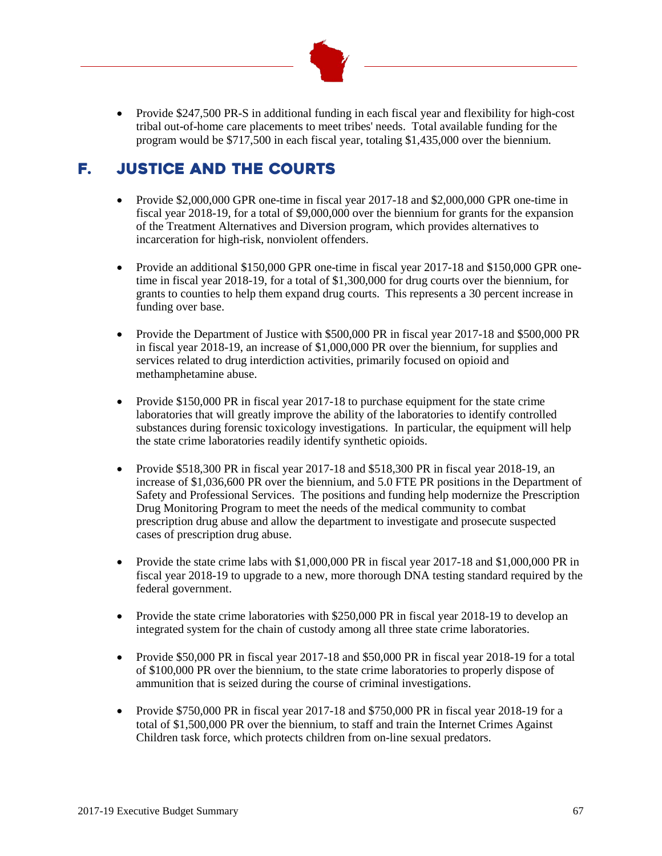

• Provide \$247,500 PR-S in additional funding in each fiscal year and flexibility for high-cost tribal out-of-home care placements to meet tribes' needs. Total available funding for the program would be \$717,500 in each fiscal year, totaling \$1,435,000 over the biennium.

# f. Justice and the Courts

- Provide \$2,000,000 GPR one-time in fiscal year 2017-18 and \$2,000,000 GPR one-time in fiscal year 2018-19, for a total of \$9,000,000 over the biennium for grants for the expansion of the Treatment Alternatives and Diversion program, which provides alternatives to incarceration for high-risk, nonviolent offenders.
- Provide an additional \$150,000 GPR one-time in fiscal year 2017-18 and \$150,000 GPR onetime in fiscal year 2018-19, for a total of \$1,300,000 for drug courts over the biennium, for grants to counties to help them expand drug courts. This represents a 30 percent increase in funding over base.
- Provide the Department of Justice with \$500,000 PR in fiscal year 2017-18 and \$500,000 PR in fiscal year 2018-19, an increase of \$1,000,000 PR over the biennium, for supplies and services related to drug interdiction activities, primarily focused on opioid and methamphetamine abuse.
- Provide \$150,000 PR in fiscal year 2017-18 to purchase equipment for the state crime laboratories that will greatly improve the ability of the laboratories to identify controlled substances during forensic toxicology investigations. In particular, the equipment will help the state crime laboratories readily identify synthetic opioids.
- Provide \$518,300 PR in fiscal year 2017-18 and \$518,300 PR in fiscal year 2018-19, an increase of \$1,036,600 PR over the biennium, and 5.0 FTE PR positions in the Department of Safety and Professional Services. The positions and funding help modernize the Prescription Drug Monitoring Program to meet the needs of the medical community to combat prescription drug abuse and allow the department to investigate and prosecute suspected cases of prescription drug abuse.
- Provide the state crime labs with \$1,000,000 PR in fiscal year 2017-18 and \$1,000,000 PR in fiscal year 2018-19 to upgrade to a new, more thorough DNA testing standard required by the federal government.
- Provide the state crime laboratories with \$250,000 PR in fiscal year 2018-19 to develop an integrated system for the chain of custody among all three state crime laboratories.
- Provide \$50,000 PR in fiscal year 2017-18 and \$50,000 PR in fiscal year 2018-19 for a total of \$100,000 PR over the biennium, to the state crime laboratories to properly dispose of ammunition that is seized during the course of criminal investigations.
- Provide \$750,000 PR in fiscal year 2017-18 and \$750,000 PR in fiscal year 2018-19 for a total of \$1,500,000 PR over the biennium, to staff and train the Internet Crimes Against Children task force, which protects children from on-line sexual predators.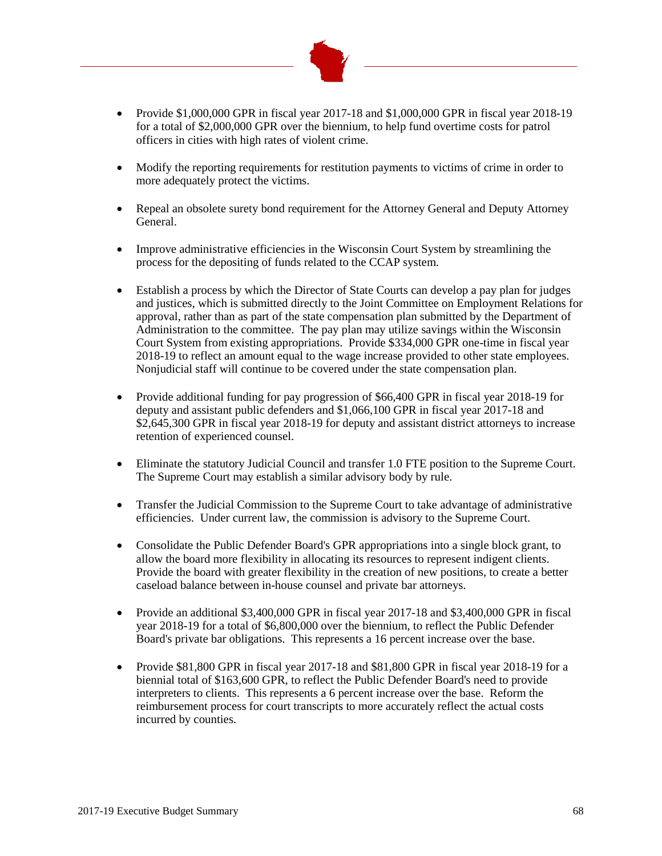

- Provide \$1,000,000 GPR in fiscal year 2017-18 and \$1,000,000 GPR in fiscal year 2018-19 for a total of \$2,000,000 GPR over the biennium, to help fund overtime costs for patrol officers in cities with high rates of violent crime.
- Modify the reporting requirements for restitution payments to victims of crime in order to more adequately protect the victims.
- Repeal an obsolete surety bond requirement for the Attorney General and Deputy Attorney General.
- Improve administrative efficiencies in the Wisconsin Court System by streamlining the process for the depositing of funds related to the CCAP system.
- Establish a process by which the Director of State Courts can develop a pay plan for judges and justices, which is submitted directly to the Joint Committee on Employment Relations for approval, rather than as part of the state compensation plan submitted by the Department of Administration to the committee. The pay plan may utilize savings within the Wisconsin Court System from existing appropriations. Provide \$334,000 GPR one-time in fiscal year 2018-19 to reflect an amount equal to the wage increase provided to other state employees. Nonjudicial staff will continue to be covered under the state compensation plan.
- Provide additional funding for pay progression of \$66,400 GPR in fiscal year 2018-19 for deputy and assistant public defenders and \$1,066,100 GPR in fiscal year 2017-18 and \$2,645,300 GPR in fiscal year 2018-19 for deputy and assistant district attorneys to increase retention of experienced counsel.
- Eliminate the statutory Judicial Council and transfer 1.0 FTE position to the Supreme Court. The Supreme Court may establish a similar advisory body by rule.
- Transfer the Judicial Commission to the Supreme Court to take advantage of administrative efficiencies. Under current law, the commission is advisory to the Supreme Court.
- Consolidate the Public Defender Board's GPR appropriations into a single block grant, to allow the board more flexibility in allocating its resources to represent indigent clients. Provide the board with greater flexibility in the creation of new positions, to create a better caseload balance between in-house counsel and private bar attorneys.
- Provide an additional \$3,400,000 GPR in fiscal year 2017-18 and \$3,400,000 GPR in fiscal year 2018-19 for a total of \$6,800,000 over the biennium, to reflect the Public Defender Board's private bar obligations. This represents a 16 percent increase over the base.
- Provide \$81,800 GPR in fiscal year 2017-18 and \$81,800 GPR in fiscal year 2018-19 for a biennial total of \$163,600 GPR, to reflect the Public Defender Board's need to provide interpreters to clients. This represents a 6 percent increase over the base. Reform the reimbursement process for court transcripts to more accurately reflect the actual costs incurred by counties.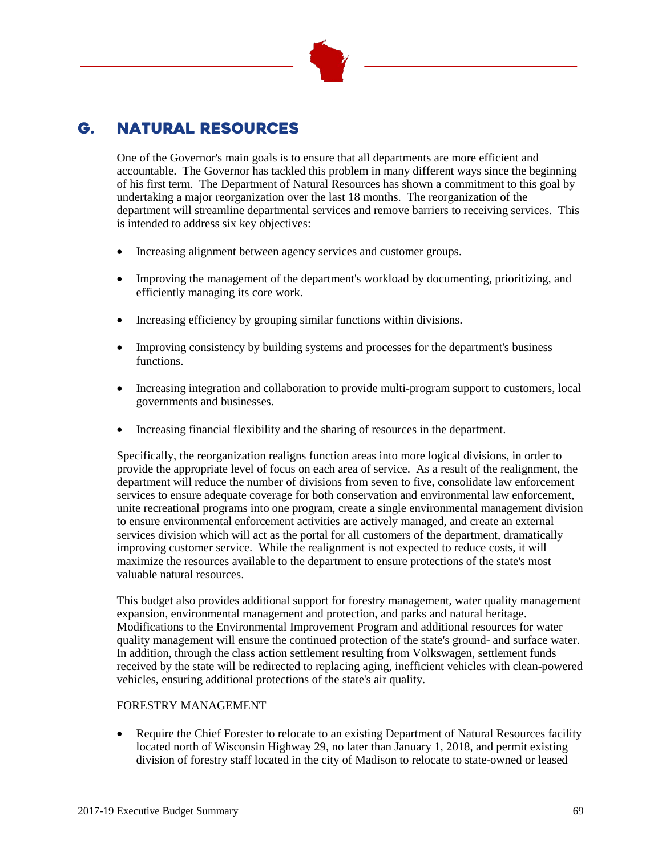

# g. Natural Resources

One of the Governor's main goals is to ensure that all departments are more efficient and accountable. The Governor has tackled this problem in many different ways since the beginning of his first term. The Department of Natural Resources has shown a commitment to this goal by undertaking a major reorganization over the last 18 months. The reorganization of the department will streamline departmental services and remove barriers to receiving services. This is intended to address six key objectives:

- Increasing alignment between agency services and customer groups.
- Improving the management of the department's workload by documenting, prioritizing, and efficiently managing its core work.
- Increasing efficiency by grouping similar functions within divisions.
- Improving consistency by building systems and processes for the department's business functions.
- Increasing integration and collaboration to provide multi-program support to customers, local governments and businesses.
- Increasing financial flexibility and the sharing of resources in the department.

Specifically, the reorganization realigns function areas into more logical divisions, in order to provide the appropriate level of focus on each area of service. As a result of the realignment, the department will reduce the number of divisions from seven to five, consolidate law enforcement services to ensure adequate coverage for both conservation and environmental law enforcement, unite recreational programs into one program, create a single environmental management division to ensure environmental enforcement activities are actively managed, and create an external services division which will act as the portal for all customers of the department, dramatically improving customer service. While the realignment is not expected to reduce costs, it will maximize the resources available to the department to ensure protections of the state's most valuable natural resources.

This budget also provides additional support for forestry management, water quality management expansion, environmental management and protection, and parks and natural heritage. Modifications to the Environmental Improvement Program and additional resources for water quality management will ensure the continued protection of the state's ground- and surface water. In addition, through the class action settlement resulting from Volkswagen, settlement funds received by the state will be redirected to replacing aging, inefficient vehicles with clean-powered vehicles, ensuring additional protections of the state's air quality.

#### FORESTRY MANAGEMENT

• Require the Chief Forester to relocate to an existing Department of Natural Resources facility located north of Wisconsin Highway 29, no later than January 1, 2018, and permit existing division of forestry staff located in the city of Madison to relocate to state-owned or leased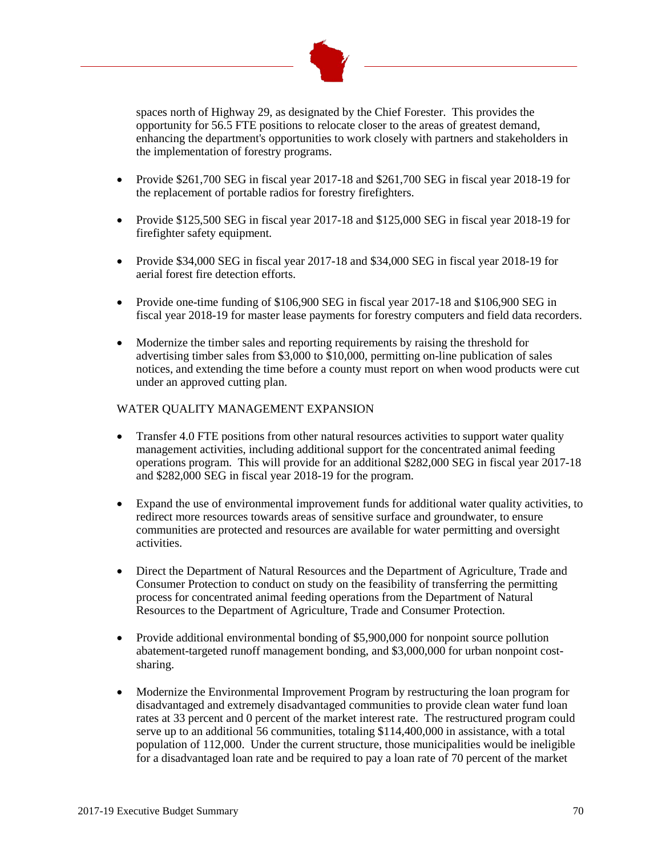

spaces north of Highway 29, as designated by the Chief Forester. This provides the opportunity for 56.5 FTE positions to relocate closer to the areas of greatest demand, enhancing the department's opportunities to work closely with partners and stakeholders in the implementation of forestry programs.

- Provide \$261,700 SEG in fiscal year 2017-18 and \$261,700 SEG in fiscal year 2018-19 for the replacement of portable radios for forestry firefighters.
- Provide \$125,500 SEG in fiscal year 2017-18 and \$125,000 SEG in fiscal year 2018-19 for firefighter safety equipment.
- Provide \$34,000 SEG in fiscal year 2017-18 and \$34,000 SEG in fiscal year 2018-19 for aerial forest fire detection efforts.
- Provide one-time funding of \$106,900 SEG in fiscal year 2017-18 and \$106,900 SEG in fiscal year 2018-19 for master lease payments for forestry computers and field data recorders.
- Modernize the timber sales and reporting requirements by raising the threshold for advertising timber sales from \$3,000 to \$10,000, permitting on-line publication of sales notices, and extending the time before a county must report on when wood products were cut under an approved cutting plan.

### WATER QUALITY MANAGEMENT EXPANSION

- Transfer 4.0 FTE positions from other natural resources activities to support water quality management activities, including additional support for the concentrated animal feeding operations program. This will provide for an additional \$282,000 SEG in fiscal year 2017-18 and \$282,000 SEG in fiscal year 2018-19 for the program.
- Expand the use of environmental improvement funds for additional water quality activities, to redirect more resources towards areas of sensitive surface and groundwater, to ensure communities are protected and resources are available for water permitting and oversight activities.
- Direct the Department of Natural Resources and the Department of Agriculture, Trade and Consumer Protection to conduct on study on the feasibility of transferring the permitting process for concentrated animal feeding operations from the Department of Natural Resources to the Department of Agriculture, Trade and Consumer Protection.
- Provide additional environmental bonding of \$5,900,000 for nonpoint source pollution abatement-targeted runoff management bonding, and \$3,000,000 for urban nonpoint costsharing.
- Modernize the Environmental Improvement Program by restructuring the loan program for disadvantaged and extremely disadvantaged communities to provide clean water fund loan rates at 33 percent and 0 percent of the market interest rate. The restructured program could serve up to an additional 56 communities, totaling \$114,400,000 in assistance, with a total population of 112,000. Under the current structure, those municipalities would be ineligible for a disadvantaged loan rate and be required to pay a loan rate of 70 percent of the market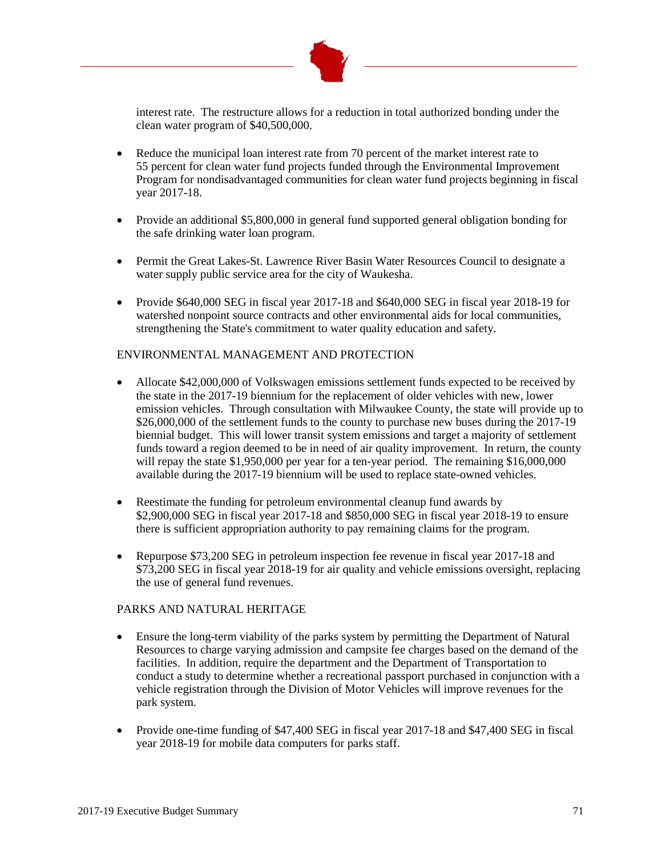

interest rate. The restructure allows for a reduction in total authorized bonding under the clean water program of \$40,500,000.

- Reduce the municipal loan interest rate from 70 percent of the market interest rate to 55 percent for clean water fund projects funded through the Environmental Improvement Program for nondisadvantaged communities for clean water fund projects beginning in fiscal year 2017-18.
- Provide an additional \$5,800,000 in general fund supported general obligation bonding for the safe drinking water loan program.
- Permit the Great Lakes-St. Lawrence River Basin Water Resources Council to designate a water supply public service area for the city of Waukesha.
- Provide \$640,000 SEG in fiscal year 2017-18 and \$640,000 SEG in fiscal year 2018-19 for watershed nonpoint source contracts and other environmental aids for local communities, strengthening the State's commitment to water quality education and safety.

### ENVIRONMENTAL MANAGEMENT AND PROTECTION

- Allocate \$42,000,000 of Volkswagen emissions settlement funds expected to be received by the state in the 2017-19 biennium for the replacement of older vehicles with new, lower emission vehicles. Through consultation with Milwaukee County, the state will provide up to \$26,000,000 of the settlement funds to the county to purchase new buses during the 2017-19 biennial budget. This will lower transit system emissions and target a majority of settlement funds toward a region deemed to be in need of air quality improvement. In return, the county will repay the state \$1,950,000 per year for a ten-year period. The remaining \$16,000,000 available during the 2017-19 biennium will be used to replace state-owned vehicles.
- Reestimate the funding for petroleum environmental cleanup fund awards by \$2,900,000 SEG in fiscal year 2017-18 and \$850,000 SEG in fiscal year 2018-19 to ensure there is sufficient appropriation authority to pay remaining claims for the program.
- Repurpose \$73,200 SEG in petroleum inspection fee revenue in fiscal year 2017-18 and \$73,200 SEG in fiscal year 2018-19 for air quality and vehicle emissions oversight, replacing the use of general fund revenues.

#### PARKS AND NATURAL HERITAGE

- Ensure the long-term viability of the parks system by permitting the Department of Natural Resources to charge varying admission and campsite fee charges based on the demand of the facilities. In addition, require the department and the Department of Transportation to conduct a study to determine whether a recreational passport purchased in conjunction with a vehicle registration through the Division of Motor Vehicles will improve revenues for the park system.
- Provide one-time funding of \$47,400 SEG in fiscal year 2017-18 and \$47,400 SEG in fiscal year 2018-19 for mobile data computers for parks staff.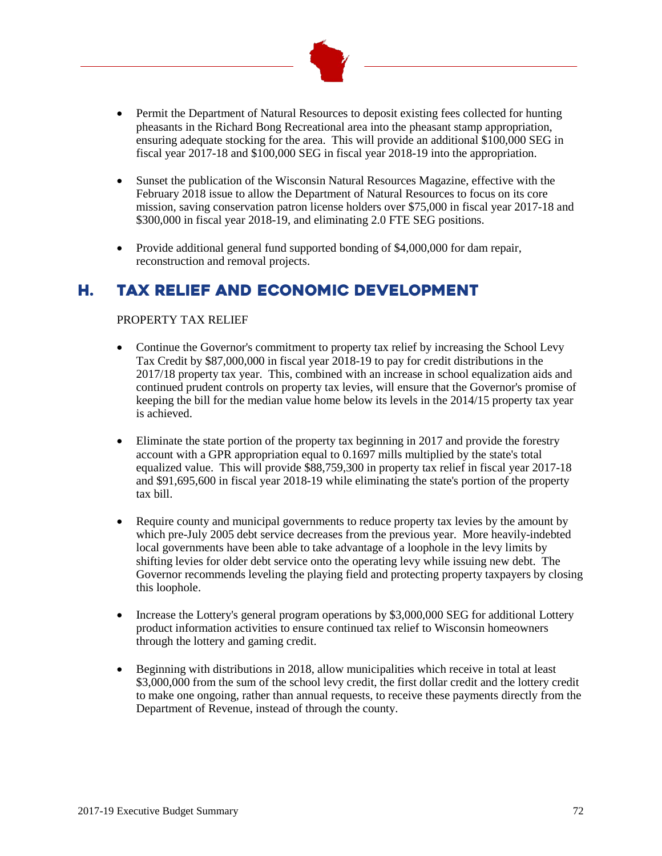

- Permit the Department of Natural Resources to deposit existing fees collected for hunting pheasants in the Richard Bong Recreational area into the pheasant stamp appropriation, ensuring adequate stocking for the area. This will provide an additional \$100,000 SEG in fiscal year 2017-18 and \$100,000 SEG in fiscal year 2018-19 into the appropriation.
- Sunset the publication of the Wisconsin Natural Resources Magazine, effective with the February 2018 issue to allow the Department of Natural Resources to focus on its core mission, saving conservation patron license holders over \$75,000 in fiscal year 2017-18 and \$300,000 in fiscal year 2018-19, and eliminating 2.0 FTE SEG positions.
- Provide additional general fund supported bonding of \$4,000,000 for dam repair, reconstruction and removal projects.

# h. Tax Relief and economic development

### PROPERTY TAX RELIEF

- Continue the Governor's commitment to property tax relief by increasing the School Levy Tax Credit by \$87,000,000 in fiscal year 2018-19 to pay for credit distributions in the 2017/18 property tax year. This, combined with an increase in school equalization aids and continued prudent controls on property tax levies, will ensure that the Governor's promise of keeping the bill for the median value home below its levels in the 2014/15 property tax year is achieved.
- Eliminate the state portion of the property tax beginning in 2017 and provide the forestry account with a GPR appropriation equal to 0.1697 mills multiplied by the state's total equalized value. This will provide \$88,759,300 in property tax relief in fiscal year 2017-18 and \$91,695,600 in fiscal year 2018-19 while eliminating the state's portion of the property tax bill.
- Require county and municipal governments to reduce property tax levies by the amount by which pre-July 2005 debt service decreases from the previous year. More heavily-indebted local governments have been able to take advantage of a loophole in the levy limits by shifting levies for older debt service onto the operating levy while issuing new debt. The Governor recommends leveling the playing field and protecting property taxpayers by closing this loophole.
- Increase the Lottery's general program operations by \$3,000,000 SEG for additional Lottery product information activities to ensure continued tax relief to Wisconsin homeowners through the lottery and gaming credit.
- Beginning with distributions in 2018, allow municipalities which receive in total at least \$3,000,000 from the sum of the school levy credit, the first dollar credit and the lottery credit to make one ongoing, rather than annual requests, to receive these payments directly from the Department of Revenue, instead of through the county.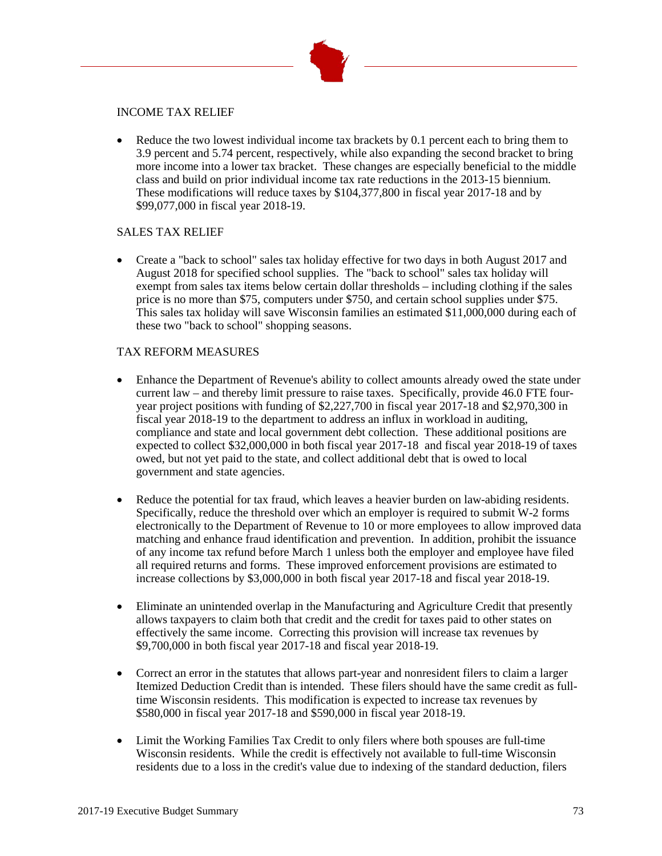

#### INCOME TAX RELIEF

• Reduce the two lowest individual income tax brackets by 0.1 percent each to bring them to 3.9 percent and 5.74 percent, respectively, while also expanding the second bracket to bring more income into a lower tax bracket. These changes are especially beneficial to the middle class and build on prior individual income tax rate reductions in the 2013-15 biennium. These modifications will reduce taxes by \$104,377,800 in fiscal year 2017-18 and by \$99,077,000 in fiscal year 2018-19.

### SALES TAX RELIEF

• Create a "back to school" sales tax holiday effective for two days in both August 2017 and August 2018 for specified school supplies. The "back to school" sales tax holiday will exempt from sales tax items below certain dollar thresholds – including clothing if the sales price is no more than \$75, computers under \$750, and certain school supplies under \$75. This sales tax holiday will save Wisconsin families an estimated \$11,000,000 during each of these two "back to school" shopping seasons.

### TAX REFORM MEASURES

- Enhance the Department of Revenue's ability to collect amounts already owed the state under current law – and thereby limit pressure to raise taxes. Specifically, provide 46.0 FTE fouryear project positions with funding of \$2,227,700 in fiscal year 2017-18 and \$2,970,300 in fiscal year 2018-19 to the department to address an influx in workload in auditing, compliance and state and local government debt collection. These additional positions are expected to collect \$32,000,000 in both fiscal year 2017-18 and fiscal year 2018-19 of taxes owed, but not yet paid to the state, and collect additional debt that is owed to local government and state agencies.
- Reduce the potential for tax fraud, which leaves a heavier burden on law-abiding residents. Specifically, reduce the threshold over which an employer is required to submit W-2 forms electronically to the Department of Revenue to 10 or more employees to allow improved data matching and enhance fraud identification and prevention. In addition, prohibit the issuance of any income tax refund before March 1 unless both the employer and employee have filed all required returns and forms. These improved enforcement provisions are estimated to increase collections by \$3,000,000 in both fiscal year 2017-18 and fiscal year 2018-19.
- Eliminate an unintended overlap in the Manufacturing and Agriculture Credit that presently allows taxpayers to claim both that credit and the credit for taxes paid to other states on effectively the same income. Correcting this provision will increase tax revenues by \$9,700,000 in both fiscal year 2017-18 and fiscal year 2018-19.
- Correct an error in the statutes that allows part-year and nonresident filers to claim a larger Itemized Deduction Credit than is intended. These filers should have the same credit as fulltime Wisconsin residents. This modification is expected to increase tax revenues by \$580,000 in fiscal year 2017-18 and \$590,000 in fiscal year 2018-19.
- Limit the Working Families Tax Credit to only filers where both spouses are full-time Wisconsin residents. While the credit is effectively not available to full-time Wisconsin residents due to a loss in the credit's value due to indexing of the standard deduction, filers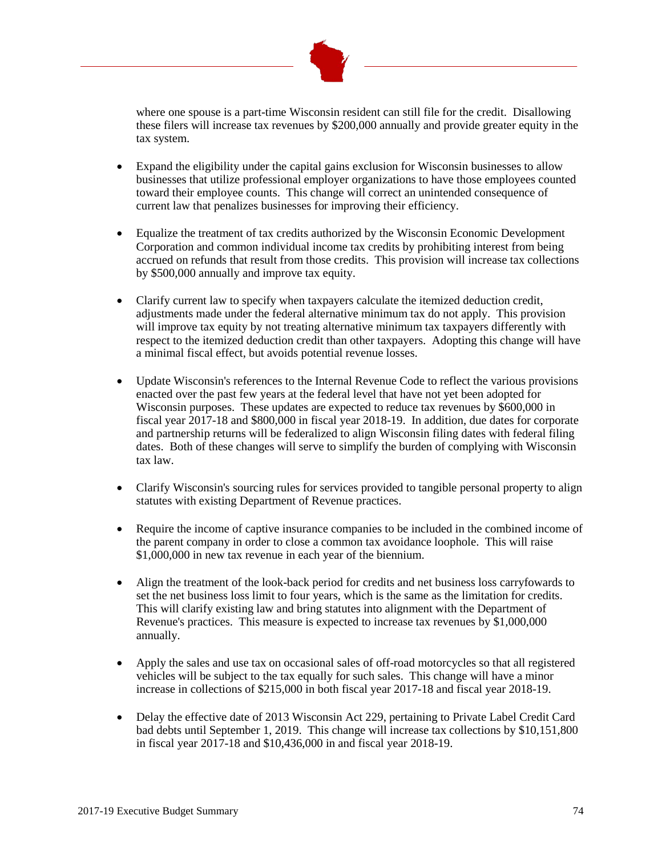

where one spouse is a part-time Wisconsin resident can still file for the credit. Disallowing these filers will increase tax revenues by \$200,000 annually and provide greater equity in the tax system.

- Expand the eligibility under the capital gains exclusion for Wisconsin businesses to allow businesses that utilize professional employer organizations to have those employees counted toward their employee counts. This change will correct an unintended consequence of current law that penalizes businesses for improving their efficiency.
- Equalize the treatment of tax credits authorized by the Wisconsin Economic Development Corporation and common individual income tax credits by prohibiting interest from being accrued on refunds that result from those credits. This provision will increase tax collections by \$500,000 annually and improve tax equity.
- Clarify current law to specify when taxpayers calculate the itemized deduction credit, adjustments made under the federal alternative minimum tax do not apply. This provision will improve tax equity by not treating alternative minimum tax taxpayers differently with respect to the itemized deduction credit than other taxpayers. Adopting this change will have a minimal fiscal effect, but avoids potential revenue losses.
- Update Wisconsin's references to the Internal Revenue Code to reflect the various provisions enacted over the past few years at the federal level that have not yet been adopted for Wisconsin purposes. These updates are expected to reduce tax revenues by \$600,000 in fiscal year 2017-18 and \$800,000 in fiscal year 2018-19. In addition, due dates for corporate and partnership returns will be federalized to align Wisconsin filing dates with federal filing dates. Both of these changes will serve to simplify the burden of complying with Wisconsin tax law.
- Clarify Wisconsin's sourcing rules for services provided to tangible personal property to align statutes with existing Department of Revenue practices.
- Require the income of captive insurance companies to be included in the combined income of the parent company in order to close a common tax avoidance loophole. This will raise \$1,000,000 in new tax revenue in each year of the biennium.
- Align the treatment of the look-back period for credits and net business loss carryfowards to set the net business loss limit to four years, which is the same as the limitation for credits. This will clarify existing law and bring statutes into alignment with the Department of Revenue's practices. This measure is expected to increase tax revenues by \$1,000,000 annually.
- Apply the sales and use tax on occasional sales of off-road motorcycles so that all registered vehicles will be subject to the tax equally for such sales. This change will have a minor increase in collections of \$215,000 in both fiscal year 2017-18 and fiscal year 2018-19.
- Delay the effective date of 2013 Wisconsin Act 229, pertaining to Private Label Credit Card bad debts until September 1, 2019. This change will increase tax collections by \$10,151,800 in fiscal year 2017-18 and \$10,436,000 in and fiscal year 2018-19.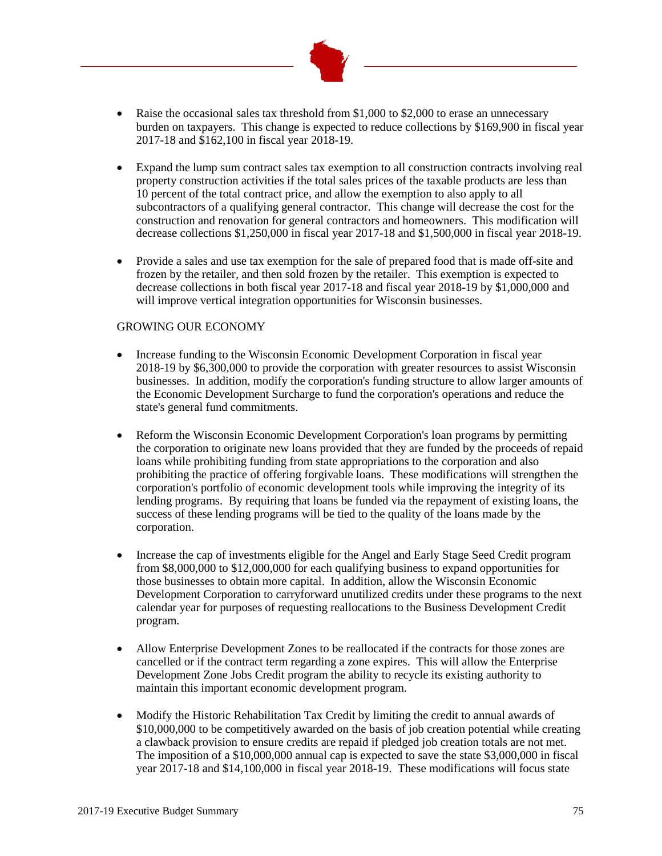

- Raise the occasional sales tax threshold from \$1,000 to \$2,000 to erase an unnecessary burden on taxpayers. This change is expected to reduce collections by \$169,900 in fiscal year 2017-18 and \$162,100 in fiscal year 2018-19.
- Expand the lump sum contract sales tax exemption to all construction contracts involving real property construction activities if the total sales prices of the taxable products are less than 10 percent of the total contract price, and allow the exemption to also apply to all subcontractors of a qualifying general contractor. This change will decrease the cost for the construction and renovation for general contractors and homeowners. This modification will decrease collections \$1,250,000 in fiscal year 2017-18 and \$1,500,000 in fiscal year 2018-19.
- Provide a sales and use tax exemption for the sale of prepared food that is made off-site and frozen by the retailer, and then sold frozen by the retailer. This exemption is expected to decrease collections in both fiscal year 2017-18 and fiscal year 2018-19 by \$1,000,000 and will improve vertical integration opportunities for Wisconsin businesses.

#### GROWING OUR ECONOMY

- Increase funding to the Wisconsin Economic Development Corporation in fiscal year 2018-19 by \$6,300,000 to provide the corporation with greater resources to assist Wisconsin businesses. In addition, modify the corporation's funding structure to allow larger amounts of the Economic Development Surcharge to fund the corporation's operations and reduce the state's general fund commitments.
- Reform the Wisconsin Economic Development Corporation's loan programs by permitting the corporation to originate new loans provided that they are funded by the proceeds of repaid loans while prohibiting funding from state appropriations to the corporation and also prohibiting the practice of offering forgivable loans. These modifications will strengthen the corporation's portfolio of economic development tools while improving the integrity of its lending programs. By requiring that loans be funded via the repayment of existing loans, the success of these lending programs will be tied to the quality of the loans made by the corporation.
- Increase the cap of investments eligible for the Angel and Early Stage Seed Credit program from \$8,000,000 to \$12,000,000 for each qualifying business to expand opportunities for those businesses to obtain more capital. In addition, allow the Wisconsin Economic Development Corporation to carryforward unutilized credits under these programs to the next calendar year for purposes of requesting reallocations to the Business Development Credit program.
- Allow Enterprise Development Zones to be reallocated if the contracts for those zones are cancelled or if the contract term regarding a zone expires. This will allow the Enterprise Development Zone Jobs Credit program the ability to recycle its existing authority to maintain this important economic development program.
- Modify the Historic Rehabilitation Tax Credit by limiting the credit to annual awards of \$10,000,000 to be competitively awarded on the basis of job creation potential while creating a clawback provision to ensure credits are repaid if pledged job creation totals are not met. The imposition of a \$10,000,000 annual cap is expected to save the state \$3,000,000 in fiscal year 2017-18 and \$14,100,000 in fiscal year 2018-19. These modifications will focus state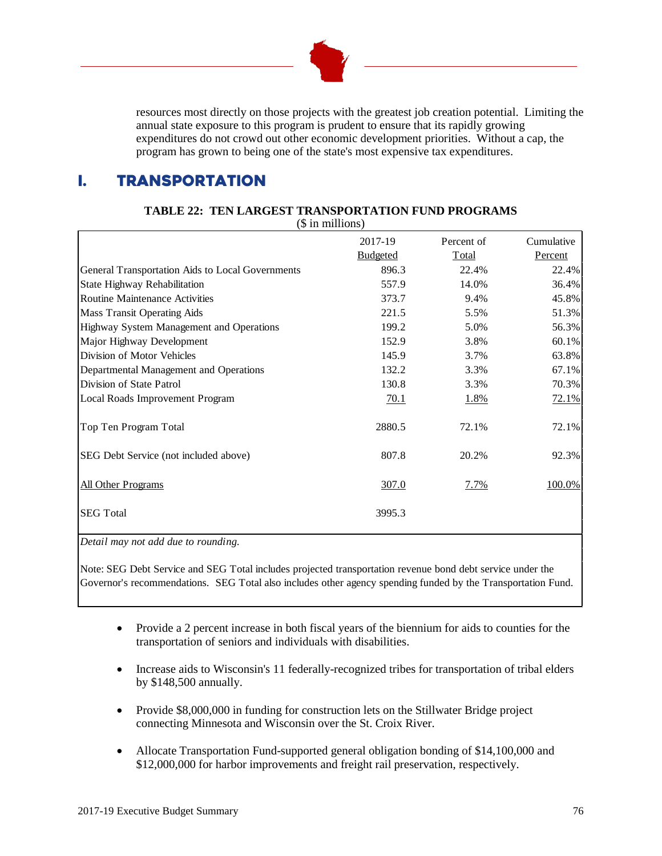

resources most directly on those projects with the greatest job creation potential. Limiting the annual state exposure to this program is prudent to ensure that its rapidly growing expenditures do not crowd out other economic development priorities. Without a cap, the program has grown to being one of the state's most expensive tax expenditures.

### i. Transportation

|                                                  | 2017-19         | Percent of | Cumulative |
|--------------------------------------------------|-----------------|------------|------------|
|                                                  | <b>Budgeted</b> | Total      | Percent    |
| General Transportation Aids to Local Governments | 896.3           | 22.4%      | 22.4%      |
| <b>State Highway Rehabilitation</b>              | 557.9           | 14.0%      | 36.4%      |
| <b>Routine Maintenance Activities</b>            | 373.7           | 9.4%       | 45.8%      |
| <b>Mass Transit Operating Aids</b>               | 221.5           | 5.5%       | 51.3%      |
| Highway System Management and Operations         | 199.2           | 5.0%       | 56.3%      |
| Major Highway Development                        | 152.9           | 3.8%       | 60.1%      |
| Division of Motor Vehicles                       | 145.9           | 3.7%       | 63.8%      |
| Departmental Management and Operations           | 132.2           | 3.3%       | 67.1%      |
| Division of State Patrol                         | 130.8           | 3.3%       | 70.3%      |
| Local Roads Improvement Program                  | 70.1            | 1.8%       | 72.1%      |
| Top Ten Program Total                            | 2880.5          | 72.1%      | 72.1%      |
| SEG Debt Service (not included above)            | 807.8           | 20.2%      | 92.3%      |
| <b>All Other Programs</b>                        | 307.0           | 7.7%       | 100.0%     |
| <b>SEG</b> Total                                 | 3995.3          |            |            |
|                                                  |                 |            |            |

### **TABLE 22: TEN LARGEST TRANSPORTATION FUND PROGRAMS**

*Detail may not add due to rounding.*

Note: SEG Debt Service and SEG Total includes projected transportation revenue bond debt service under the Governor's recommendations. SEG Total also includes other agency spending funded by the Transportation Fund.

- Provide a 2 percent increase in both fiscal years of the biennium for aids to counties for the transportation of seniors and individuals with disabilities.
- Increase aids to Wisconsin's 11 federally-recognized tribes for transportation of tribal elders by \$148,500 annually.
- Provide \$8,000,000 in funding for construction lets on the Stillwater Bridge project connecting Minnesota and Wisconsin over the St. Croix River.
- Allocate Transportation Fund-supported general obligation bonding of \$14,100,000 and \$12,000,000 for harbor improvements and freight rail preservation, respectively.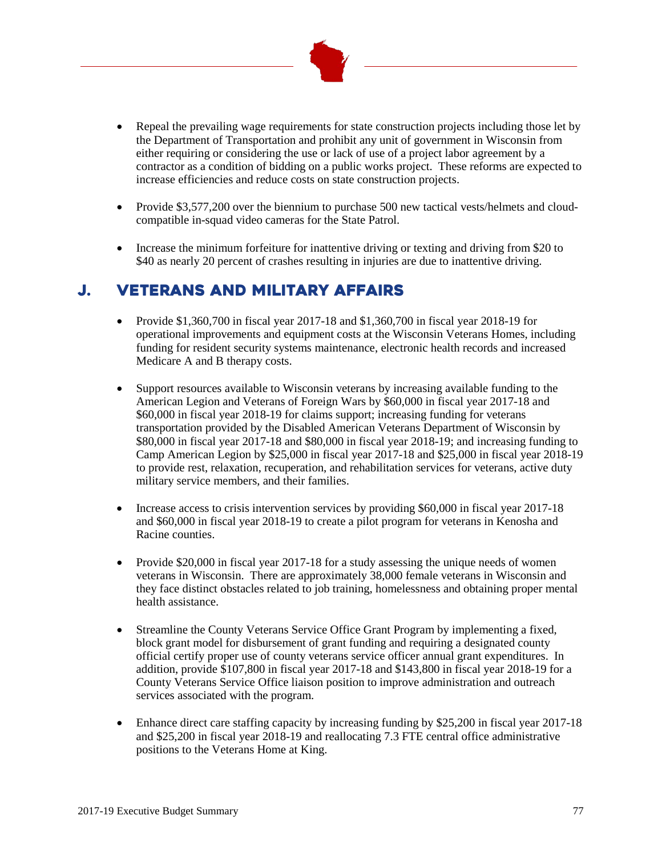

- Repeal the prevailing wage requirements for state construction projects including those let by the Department of Transportation and prohibit any unit of government in Wisconsin from either requiring or considering the use or lack of use of a project labor agreement by a contractor as a condition of bidding on a public works project. These reforms are expected to increase efficiencies and reduce costs on state construction projects.
- Provide \$3,577,200 over the biennium to purchase 500 new tactical vests/helmets and cloudcompatible in-squad video cameras for the State Patrol.
- Increase the minimum forfeiture for inattentive driving or texting and driving from \$20 to \$40 as nearly 20 percent of crashes resulting in injuries are due to inattentive driving.

# j. Veterans and Military Affairs

- Provide \$1,360,700 in fiscal year 2017-18 and \$1,360,700 in fiscal year 2018-19 for operational improvements and equipment costs at the Wisconsin Veterans Homes, including funding for resident security systems maintenance, electronic health records and increased Medicare A and B therapy costs.
- Support resources available to Wisconsin veterans by increasing available funding to the American Legion and Veterans of Foreign Wars by \$60,000 in fiscal year 2017-18 and \$60,000 in fiscal year 2018-19 for claims support; increasing funding for veterans transportation provided by the Disabled American Veterans Department of Wisconsin by \$80,000 in fiscal year 2017-18 and \$80,000 in fiscal year 2018-19; and increasing funding to Camp American Legion by \$25,000 in fiscal year 2017-18 and \$25,000 in fiscal year 2018-19 to provide rest, relaxation, recuperation, and rehabilitation services for veterans, active duty military service members, and their families.
- Increase access to crisis intervention services by providing \$60,000 in fiscal year 2017-18 and \$60,000 in fiscal year 2018-19 to create a pilot program for veterans in Kenosha and Racine counties.
- Provide \$20,000 in fiscal year 2017-18 for a study assessing the unique needs of women veterans in Wisconsin. There are approximately 38,000 female veterans in Wisconsin and they face distinct obstacles related to job training, homelessness and obtaining proper mental health assistance.
- Streamline the County Veterans Service Office Grant Program by implementing a fixed, block grant model for disbursement of grant funding and requiring a designated county official certify proper use of county veterans service officer annual grant expenditures. In addition, provide \$107,800 in fiscal year 2017-18 and \$143,800 in fiscal year 2018-19 for a County Veterans Service Office liaison position to improve administration and outreach services associated with the program.
- Enhance direct care staffing capacity by increasing funding by \$25,200 in fiscal year 2017-18 and \$25,200 in fiscal year 2018-19 and reallocating 7.3 FTE central office administrative positions to the Veterans Home at King.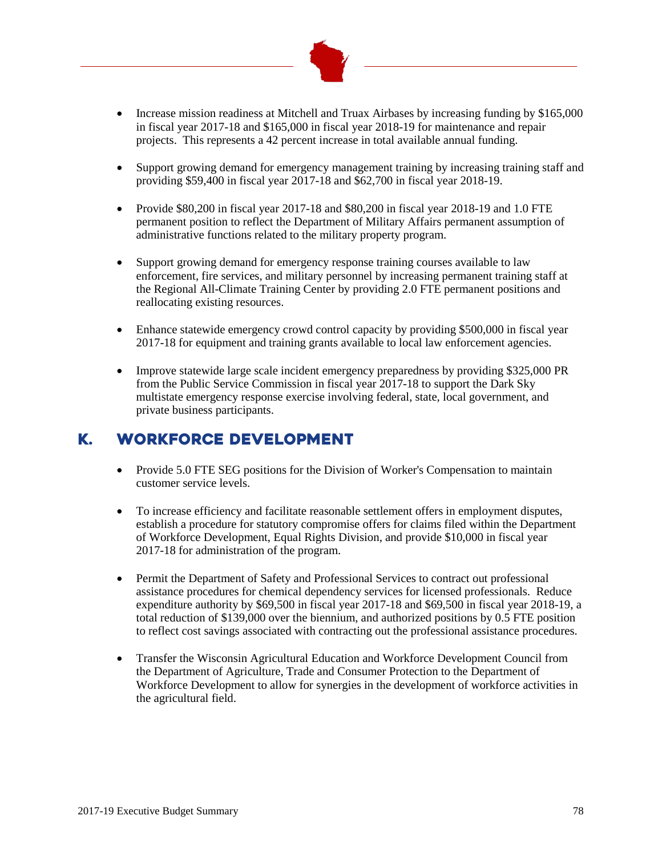

- Increase mission readiness at Mitchell and Truax Airbases by increasing funding by \$165,000 in fiscal year 2017-18 and \$165,000 in fiscal year 2018-19 for maintenance and repair projects. This represents a 42 percent increase in total available annual funding.
- Support growing demand for emergency management training by increasing training staff and providing \$59,400 in fiscal year 2017-18 and \$62,700 in fiscal year 2018-19.
- Provide \$80,200 in fiscal year 2017-18 and \$80,200 in fiscal year 2018-19 and 1.0 FTE permanent position to reflect the Department of Military Affairs permanent assumption of administrative functions related to the military property program.
- Support growing demand for emergency response training courses available to law enforcement, fire services, and military personnel by increasing permanent training staff at the Regional All-Climate Training Center by providing 2.0 FTE permanent positions and reallocating existing resources.
- Enhance statewide emergency crowd control capacity by providing \$500,000 in fiscal year 2017-18 for equipment and training grants available to local law enforcement agencies.
- Improve statewide large scale incident emergency preparedness by providing \$325,000 PR from the Public Service Commission in fiscal year 2017-18 to support the Dark Sky multistate emergency response exercise involving federal, state, local government, and private business participants.

### k. Workforce Development

- Provide 5.0 FTE SEG positions for the Division of Worker's Compensation to maintain customer service levels.
- To increase efficiency and facilitate reasonable settlement offers in employment disputes, establish a procedure for statutory compromise offers for claims filed within the Department of Workforce Development, Equal Rights Division, and provide \$10,000 in fiscal year 2017-18 for administration of the program.
- Permit the Department of Safety and Professional Services to contract out professional assistance procedures for chemical dependency services for licensed professionals. Reduce expenditure authority by \$69,500 in fiscal year 2017-18 and \$69,500 in fiscal year 2018-19, a total reduction of \$139,000 over the biennium, and authorized positions by 0.5 FTE position to reflect cost savings associated with contracting out the professional assistance procedures.
- Transfer the Wisconsin Agricultural Education and Workforce Development Council from the Department of Agriculture, Trade and Consumer Protection to the Department of Workforce Development to allow for synergies in the development of workforce activities in the agricultural field.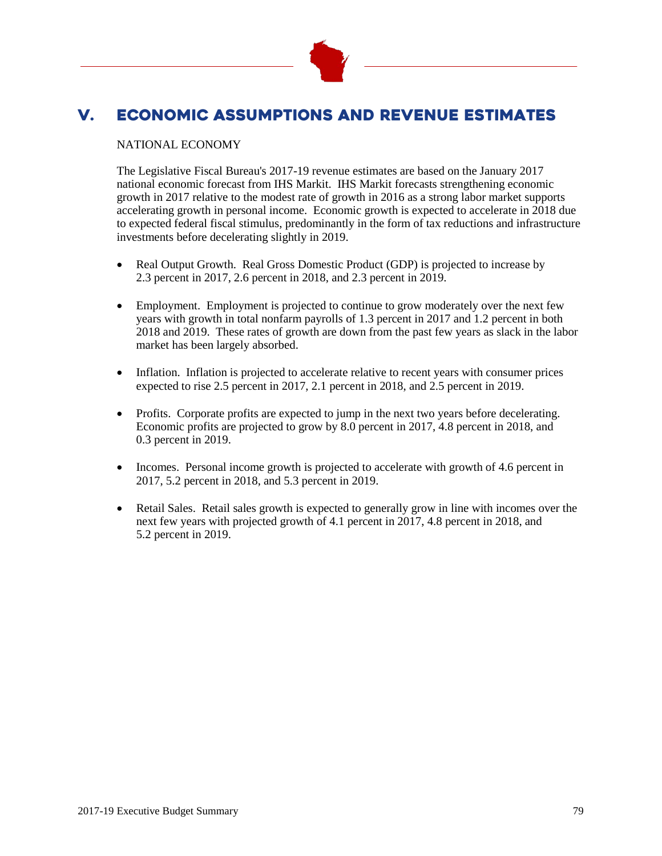

# V. Economic Assumptions and Revenue Estimates

### NATIONAL ECONOMY

The Legislative Fiscal Bureau's 2017-19 revenue estimates are based on the January 2017 national economic forecast from IHS Markit. IHS Markit forecasts strengthening economic growth in 2017 relative to the modest rate of growth in 2016 as a strong labor market supports accelerating growth in personal income. Economic growth is expected to accelerate in 2018 due to expected federal fiscal stimulus, predominantly in the form of tax reductions and infrastructure investments before decelerating slightly in 2019.

- Real Output Growth. Real Gross Domestic Product (GDP) is projected to increase by 2.3 percent in 2017, 2.6 percent in 2018, and 2.3 percent in 2019.
- Employment. Employment is projected to continue to grow moderately over the next few years with growth in total nonfarm payrolls of 1.3 percent in 2017 and 1.2 percent in both 2018 and 2019. These rates of growth are down from the past few years as slack in the labor market has been largely absorbed.
- Inflation. Inflation is projected to accelerate relative to recent years with consumer prices expected to rise 2.5 percent in 2017, 2.1 percent in 2018, and 2.5 percent in 2019.
- Profits. Corporate profits are expected to jump in the next two years before decelerating. Economic profits are projected to grow by 8.0 percent in 2017, 4.8 percent in 2018, and 0.3 percent in 2019.
- Incomes. Personal income growth is projected to accelerate with growth of 4.6 percent in 2017, 5.2 percent in 2018, and 5.3 percent in 2019.
- Retail Sales. Retail sales growth is expected to generally grow in line with incomes over the next few years with projected growth of 4.1 percent in 2017, 4.8 percent in 2018, and 5.2 percent in 2019.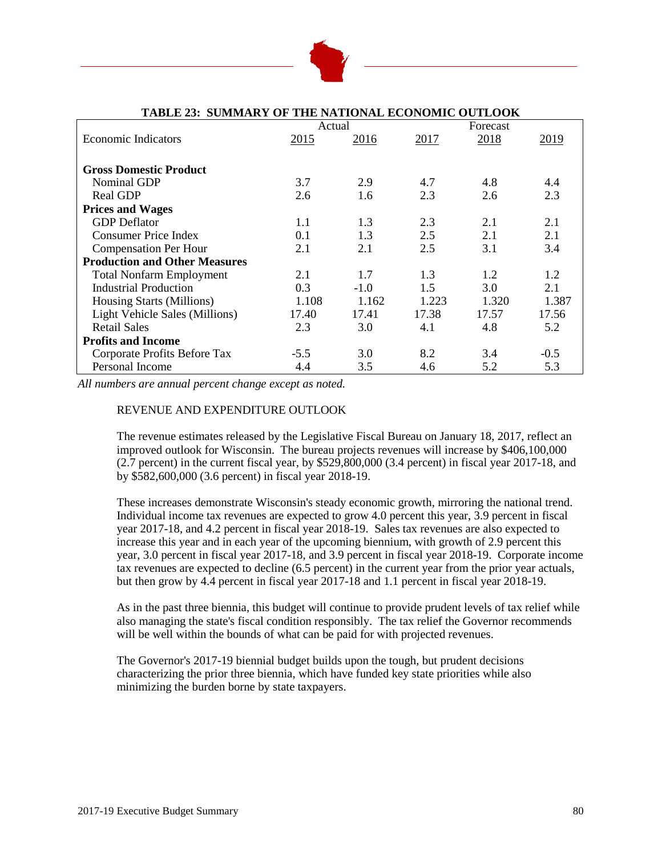

|                                      | Actual |        |       | Forecast |        |
|--------------------------------------|--------|--------|-------|----------|--------|
| Economic Indicators                  | 2015   | 2016   | 2017  | 2018     | 2019   |
|                                      |        |        |       |          |        |
| <b>Gross Domestic Product</b>        |        |        |       |          |        |
| Nominal GDP                          | 3.7    | 2.9    | 4.7   | 4.8      | 4.4    |
| <b>Real GDP</b>                      | 2.6    | 1.6    | 2.3   | 2.6      | 2.3    |
| <b>Prices and Wages</b>              |        |        |       |          |        |
| <b>GDP</b> Deflator                  | 1.1    | 1.3    | 2.3   | 2.1      | 2.1    |
| <b>Consumer Price Index</b>          | 0.1    | 1.3    | 2.5   | 2.1      | 2.1    |
| <b>Compensation Per Hour</b>         | 2.1    | 2.1    | 2.5   | 3.1      | 3.4    |
| <b>Production and Other Measures</b> |        |        |       |          |        |
| <b>Total Nonfarm Employment</b>      | 2.1    | 1.7    | 1.3   | 1.2      | 1.2    |
| <b>Industrial Production</b>         | 0.3    | $-1.0$ | 1.5   | 3.0      | 2.1    |
| Housing Starts (Millions)            | 1.108  | 1.162  | 1.223 | 1.320    | 1.387  |
| Light Vehicle Sales (Millions)       | 17.40  | 17.41  | 17.38 | 17.57    | 17.56  |
| <b>Retail Sales</b>                  | 2.3    | 3.0    | 4.1   | 4.8      | 5.2    |
| <b>Profits and Income</b>            |        |        |       |          |        |
| Corporate Profits Before Tax         | $-5.5$ | 3.0    | 8.2   | 3.4      | $-0.5$ |
| Personal Income                      | 4.4    | 3.5    | 4.6   | 5.2      | 5.3    |

### **TABLE 23: SUMMARY OF THE NATIONAL ECONOMIC OUTLOOK**

*All numbers are annual percent change except as noted.*

### REVENUE AND EXPENDITURE OUTLOOK

The revenue estimates released by the Legislative Fiscal Bureau on January 18, 2017, reflect an improved outlook for Wisconsin. The bureau projects revenues will increase by \$406,100,000 (2.7 percent) in the current fiscal year, by \$529,800,000 (3.4 percent) in fiscal year 2017-18, and by \$582,600,000 (3.6 percent) in fiscal year 2018-19.

These increases demonstrate Wisconsin's steady economic growth, mirroring the national trend. Individual income tax revenues are expected to grow 4.0 percent this year, 3.9 percent in fiscal year 2017-18, and 4.2 percent in fiscal year 2018-19. Sales tax revenues are also expected to increase this year and in each year of the upcoming biennium, with growth of 2.9 percent this year, 3.0 percent in fiscal year 2017-18, and 3.9 percent in fiscal year 2018-19. Corporate income tax revenues are expected to decline (6.5 percent) in the current year from the prior year actuals, but then grow by 4.4 percent in fiscal year 2017-18 and 1.1 percent in fiscal year 2018-19.

As in the past three biennia, this budget will continue to provide prudent levels of tax relief while also managing the state's fiscal condition responsibly. The tax relief the Governor recommends will be well within the bounds of what can be paid for with projected revenues.

The Governor's 2017-19 biennial budget builds upon the tough, but prudent decisions characterizing the prior three biennia, which have funded key state priorities while also minimizing the burden borne by state taxpayers.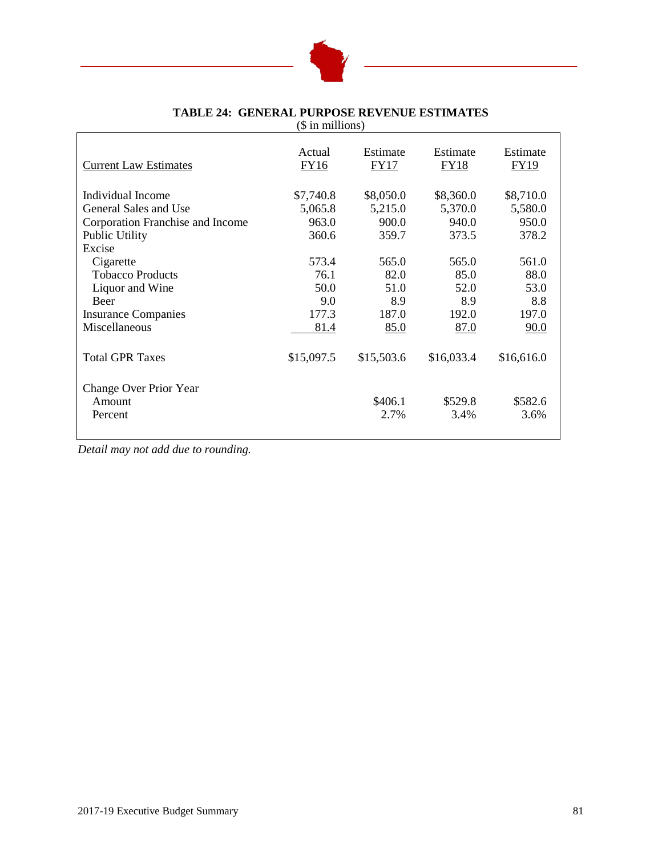

### **TABLE 24: GENERAL PURPOSE REVENUE ESTIMATES**

(\$ in millions)

| <b>Current Law Estimates</b>     | Actual<br>FY16 | Estimate<br>FY17 | Estimate<br>FY18 | Estimate<br><b>FY19</b> |
|----------------------------------|----------------|------------------|------------------|-------------------------|
| Individual Income                | \$7,740.8      | \$8,050.0        | \$8,360.0        | \$8,710.0               |
| General Sales and Use            | 5,065.8        | 5,215.0          | 5,370.0          | 5,580.0                 |
| Corporation Franchise and Income | 963.0          | 900.0            | 940.0            | 950.0                   |
| Public Utility                   | 360.6          | 359.7            | 373.5            | 378.2                   |
| Excise                           |                |                  |                  |                         |
| Cigarette                        | 573.4          | 565.0            | 565.0            | 561.0                   |
| <b>Tobacco Products</b>          | 76.1           | 82.0             | 85.0             | 88.0                    |
| Liquor and Wine                  | 50.0           | 51.0             | 52.0             | 53.0                    |
| Beer                             | 9.0            | 8.9              | 8.9              | 8.8                     |
| <b>Insurance Companies</b>       | 177.3          | 187.0            | 192.0            | 197.0                   |
| Miscellaneous                    | 81.4           | 85.0             | 87.0             | 90.0                    |
| <b>Total GPR Taxes</b>           | \$15,097.5     | \$15,503.6       | \$16,033.4       | \$16,616.0              |
| <b>Change Over Prior Year</b>    |                |                  |                  |                         |
| Amount                           |                | \$406.1          | \$529.8          | \$582.6                 |
| Percent                          |                | 2.7%             | 3.4%             | 3.6%                    |

*Detail may not add due to rounding.*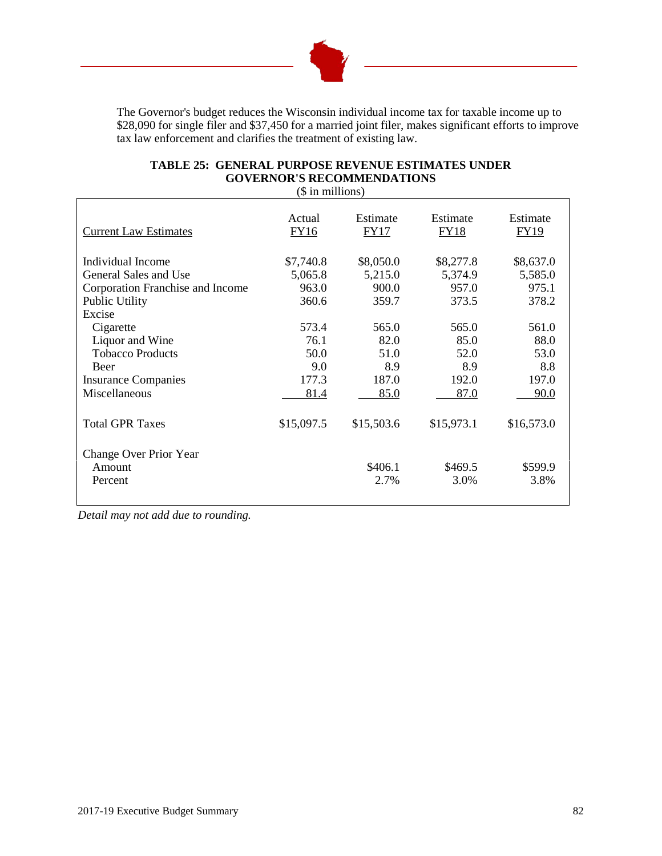

The Governor's budget reduces the Wisconsin individual income tax for taxable income up to \$28,090 for single filer and \$37,450 for a married joint filer, makes significant efforts to improve tax law enforcement and clarifies the treatment of existing law.

| <b>Current Law Estimates</b>     | Actual<br>FY16 | Estimate<br><b>FY17</b> | Estimate<br><b>FY18</b> | Estimate<br>FY19 |
|----------------------------------|----------------|-------------------------|-------------------------|------------------|
| Individual Income                | \$7,740.8      | \$8,050.0               | \$8,277.8               | \$8,637.0        |
| General Sales and Use            | 5,065.8        | 5,215.0                 | 5,374.9                 | 5,585.0          |
| Corporation Franchise and Income | 963.0          | 900.0                   | 957.0                   | 975.1            |
| Public Utility                   | 360.6          | 359.7                   | 373.5                   | 378.2            |
| Excise                           |                |                         |                         |                  |
| Cigarette                        | 573.4          | 565.0                   | 565.0                   | 561.0            |
| Liquor and Wine                  | 76.1           | 82.0                    | 85.0                    | 88.0             |
| <b>Tobacco Products</b>          | 50.0           | 51.0                    | 52.0                    | 53.0             |
| Beer                             | 9.0            | 8.9                     | 8.9                     | 8.8              |
| <b>Insurance Companies</b>       | 177.3          | 187.0                   | 192.0                   | 197.0            |
| Miscellaneous                    | 81.4           | 85.0                    | 87.0                    | 90.0             |
|                                  |                |                         |                         |                  |
| <b>Total GPR Taxes</b>           | \$15,097.5     | \$15,503.6              | \$15,973.1              | \$16,573.0       |
|                                  |                |                         |                         |                  |
| <b>Change Over Prior Year</b>    |                |                         |                         |                  |
| Amount                           |                | \$406.1                 | \$469.5                 | \$599.9          |
| Percent                          |                | 2.7%                    | 3.0%                    | 3.8%             |
|                                  |                |                         |                         |                  |

### **TABLE 25: GENERAL PURPOSE REVENUE ESTIMATES UNDER GOVERNOR'S RECOMMENDATIONS**

(\$ in millions)

*Detail may not add due to rounding.*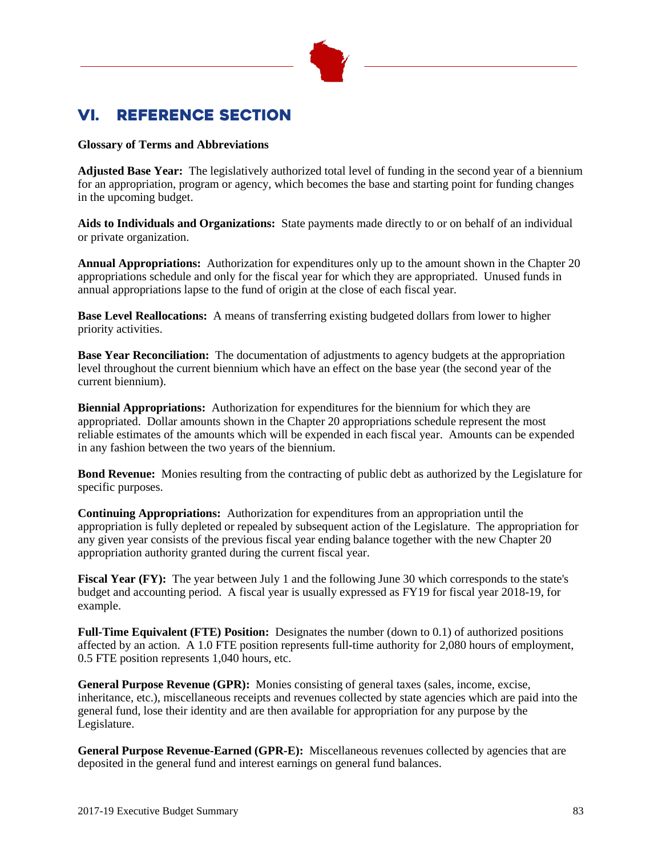

## VI. Reference Section

### **Glossary of Terms and Abbreviations**

**Adjusted Base Year:** The legislatively authorized total level of funding in the second year of a biennium for an appropriation, program or agency, which becomes the base and starting point for funding changes in the upcoming budget.

**Aids to Individuals and Organizations:** State payments made directly to or on behalf of an individual or private organization.

**Annual Appropriations:** Authorization for expenditures only up to the amount shown in the Chapter 20 appropriations schedule and only for the fiscal year for which they are appropriated. Unused funds in annual appropriations lapse to the fund of origin at the close of each fiscal year.

**Base Level Reallocations:** A means of transferring existing budgeted dollars from lower to higher priority activities.

**Base Year Reconciliation:** The documentation of adjustments to agency budgets at the appropriation level throughout the current biennium which have an effect on the base year (the second year of the current biennium).

**Biennial Appropriations:** Authorization for expenditures for the biennium for which they are appropriated. Dollar amounts shown in the Chapter 20 appropriations schedule represent the most reliable estimates of the amounts which will be expended in each fiscal year. Amounts can be expended in any fashion between the two years of the biennium.

**Bond Revenue:** Monies resulting from the contracting of public debt as authorized by the Legislature for specific purposes.

**Continuing Appropriations:** Authorization for expenditures from an appropriation until the appropriation is fully depleted or repealed by subsequent action of the Legislature. The appropriation for any given year consists of the previous fiscal year ending balance together with the new Chapter 20 appropriation authority granted during the current fiscal year.

**Fiscal Year (FY):** The year between July 1 and the following June 30 which corresponds to the state's budget and accounting period. A fiscal year is usually expressed as FY19 for fiscal year 2018-19, for example.

**Full-Time Equivalent (FTE) Position:** Designates the number (down to 0.1) of authorized positions affected by an action. A 1.0 FTE position represents full-time authority for 2,080 hours of employment, 0.5 FTE position represents 1,040 hours, etc.

**General Purpose Revenue (GPR):** Monies consisting of general taxes (sales, income, excise, inheritance, etc.), miscellaneous receipts and revenues collected by state agencies which are paid into the general fund, lose their identity and are then available for appropriation for any purpose by the Legislature.

**General Purpose Revenue-Earned (GPR-E):** Miscellaneous revenues collected by agencies that are deposited in the general fund and interest earnings on general fund balances.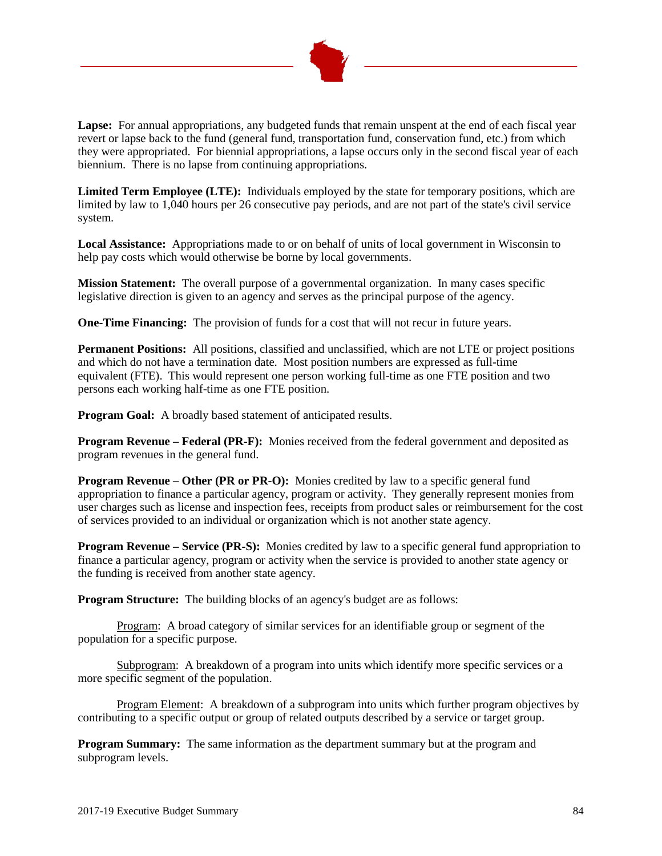

Lapse: For annual appropriations, any budgeted funds that remain unspent at the end of each fiscal year revert or lapse back to the fund (general fund, transportation fund, conservation fund, etc.) from which they were appropriated. For biennial appropriations, a lapse occurs only in the second fiscal year of each biennium. There is no lapse from continuing appropriations.

**Limited Term Employee (LTE):** Individuals employed by the state for temporary positions, which are limited by law to 1,040 hours per 26 consecutive pay periods, and are not part of the state's civil service system.

**Local Assistance:** Appropriations made to or on behalf of units of local government in Wisconsin to help pay costs which would otherwise be borne by local governments.

**Mission Statement:** The overall purpose of a governmental organization. In many cases specific legislative direction is given to an agency and serves as the principal purpose of the agency.

**One-Time Financing:** The provision of funds for a cost that will not recur in future years.

**Permanent Positions:** All positions, classified and unclassified, which are not LTE or project positions and which do not have a termination date. Most position numbers are expressed as full-time equivalent (FTE). This would represent one person working full-time as one FTE position and two persons each working half-time as one FTE position.

**Program Goal:** A broadly based statement of anticipated results.

**Program Revenue – Federal (PR-F):** Monies received from the federal government and deposited as program revenues in the general fund.

**Program Revenue – Other (PR or PR-O):** Monies credited by law to a specific general fund appropriation to finance a particular agency, program or activity. They generally represent monies from user charges such as license and inspection fees, receipts from product sales or reimbursement for the cost of services provided to an individual or organization which is not another state agency.

**Program Revenue – Service (PR-S):** Monies credited by law to a specific general fund appropriation to finance a particular agency, program or activity when the service is provided to another state agency or the funding is received from another state agency.

**Program Structure:** The building blocks of an agency's budget are as follows:

Program: A broad category of similar services for an identifiable group or segment of the population for a specific purpose.

Subprogram: A breakdown of a program into units which identify more specific services or a more specific segment of the population.

Program Element: A breakdown of a subprogram into units which further program objectives by contributing to a specific output or group of related outputs described by a service or target group.

**Program Summary:** The same information as the department summary but at the program and subprogram levels.